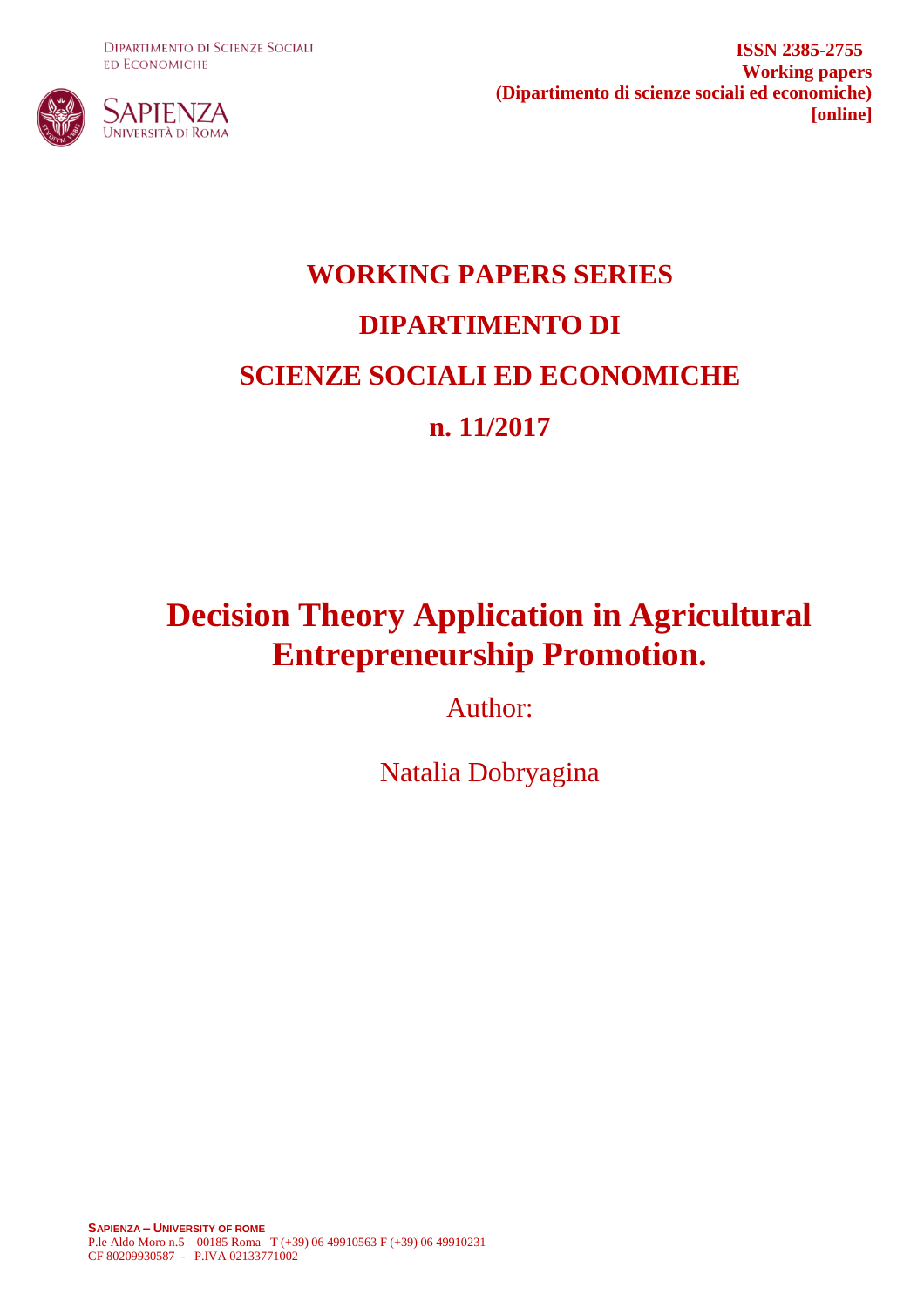**DIPARTIMENTO DI SCIENZE SOCIALI ED ECONOMICHE** 



**ISSN 2385-2755 Working papers (Dipartimento di scienze sociali ed economiche) [online]**

# **WORKING PAPERS SERIES DIPARTIMENTO DI SCIENZE SOCIALI ED ECONOMICHE n. 11/2017**

## **Decision Theory Application in Agricultural Entrepreneurship Promotion.**

Author:

Natalia Dobryagina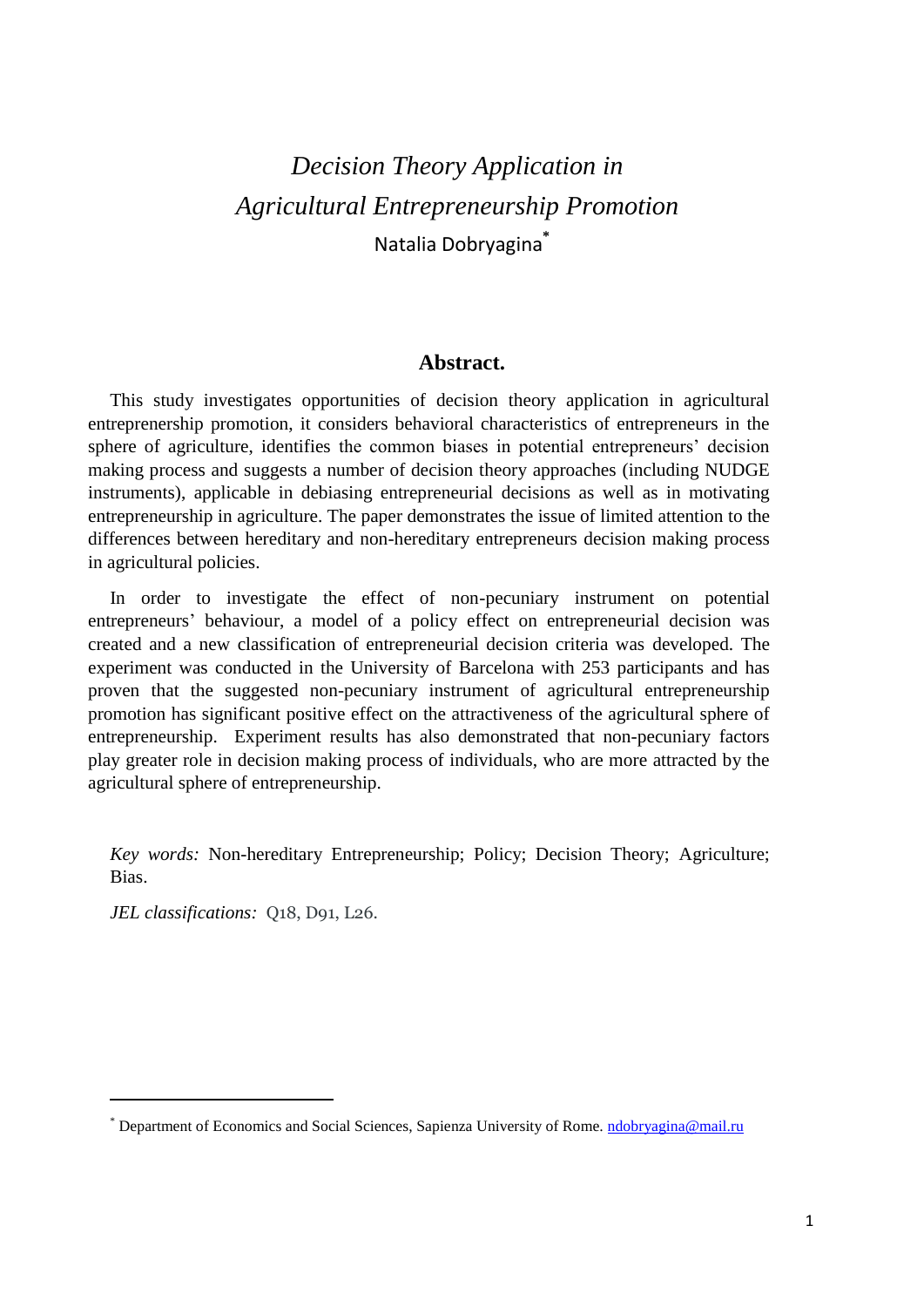## *Decision Theory Application in Agricultural Entrepreneurship Promotion* Natalia Dobryagina**\***

#### **Abstract.**

This study investigates opportunities of decision theory application in agricultural entreprenership promotion, it considers behavioral characteristics of entrepreneurs in the sphere of agriculture, identifies the common biases in potential entrepreneurs' decision making process and suggests a number of decision theory approaches (including NUDGE instruments), applicable in debiasing entrepreneurial decisions as well as in motivating entrepreneurship in agriculture. The paper demonstrates the issue of limited attention to the differences between hereditary and non-hereditary entrepreneurs decision making process in agricultural policies.

In order to investigate the effect of non-pecuniary instrument on potential entrepreneurs' behaviour, a model of a policy effect on entrepreneurial decision was created and a new classification of entrepreneurial decision criteria was developed. The experiment was conducted in the University of Barcelona with 253 participants and has proven that the suggested non-pecuniary instrument of agricultural entrepreneurship promotion has significant positive effect on the attractiveness of the agricultural sphere of entrepreneurship. Experiment results has also demonstrated that non-pecuniary factors play greater role in decision making process of individuals, who are more attracted by the agricultural sphere of entrepreneurship.

*Key words:* Non-hereditary Entrepreneurship; Policy; Decision Theory; Agriculture; Bias.

*JEL classifications:* Q18, D91, L26.

l

<sup>\*</sup> Department of Economics and Social Sciences, Sapienza University of Rome. [ndobryagina@mail.ru](mailto:ndobryagina@mail.ru)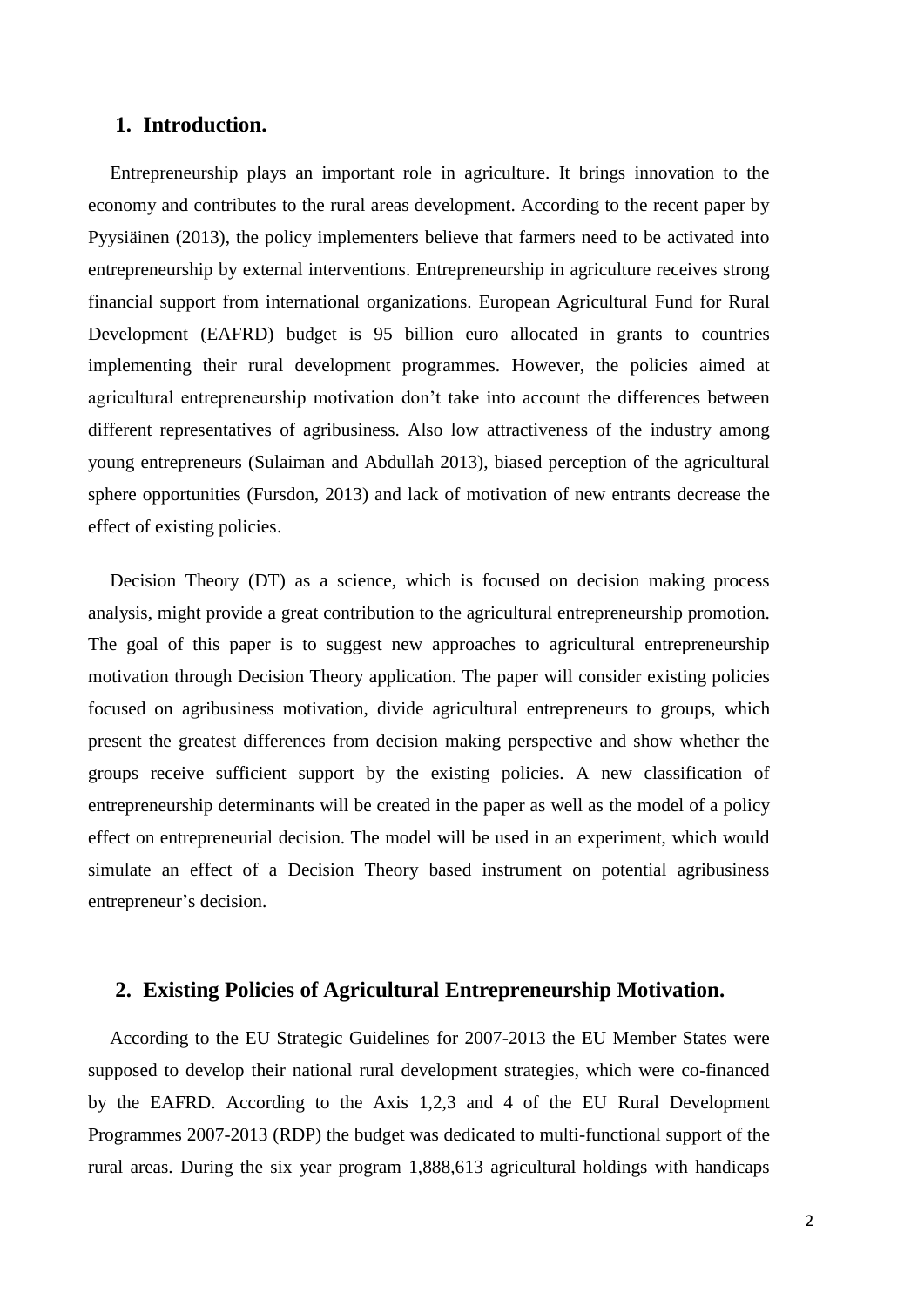#### **1. Introduction.**

Entrepreneurship plays an important role in agriculture. It brings innovation to the economy and contributes to the rural areas development. According to the recent paper by Pyysiäinen (2013), the policy implementers believe that farmers need to be activated into entrepreneurship by external interventions. Entrepreneurship in agriculture receives strong financial support from international organizations. European Agricultural Fund for Rural Development (EAFRD) budget is 95 billion euro allocated in grants to countries implementing their rural development programmes. However, the policies aimed at agricultural entrepreneurship motivation don't take into account the differences between different representatives of agribusiness. Also low attractiveness of the industry among young entrepreneurs (Sulaiman and Abdullah 2013), biased perception of the agricultural sphere opportunities (Fursdon, 2013) and lack of motivation of new entrants decrease the effect of existing policies.

Decision Theory (DT) as a science, which is focused on decision making process analysis, might provide a great contribution to the agricultural entrepreneurship promotion. The goal of this paper is to suggest new approaches to agricultural entrepreneurship motivation through Decision Theory application. The paper will consider existing policies focused on agribusiness motivation, divide agricultural entrepreneurs to groups, which present the greatest differences from decision making perspective and show whether the groups receive sufficient support by the existing policies. A new classification of entrepreneurship determinants will be created in the paper as well as the model of a policy effect on entrepreneurial decision. The model will be used in an experiment, which would simulate an effect of a Decision Theory based instrument on potential agribusiness entrepreneur's decision.

#### **2. Existing Policies of Agricultural Entrepreneurship Motivation.**

According to the EU Strategic Guidelines for 2007-2013 the EU Member States were supposed to develop their national rural development strategies, which were co-financed by the EAFRD. According to the Axis 1,2,3 and 4 of the EU Rural Development Programmes 2007-2013 (RDP) the budget was dedicated to multi-functional support of the rural areas. During the six year program 1,888,613 agricultural holdings with handicaps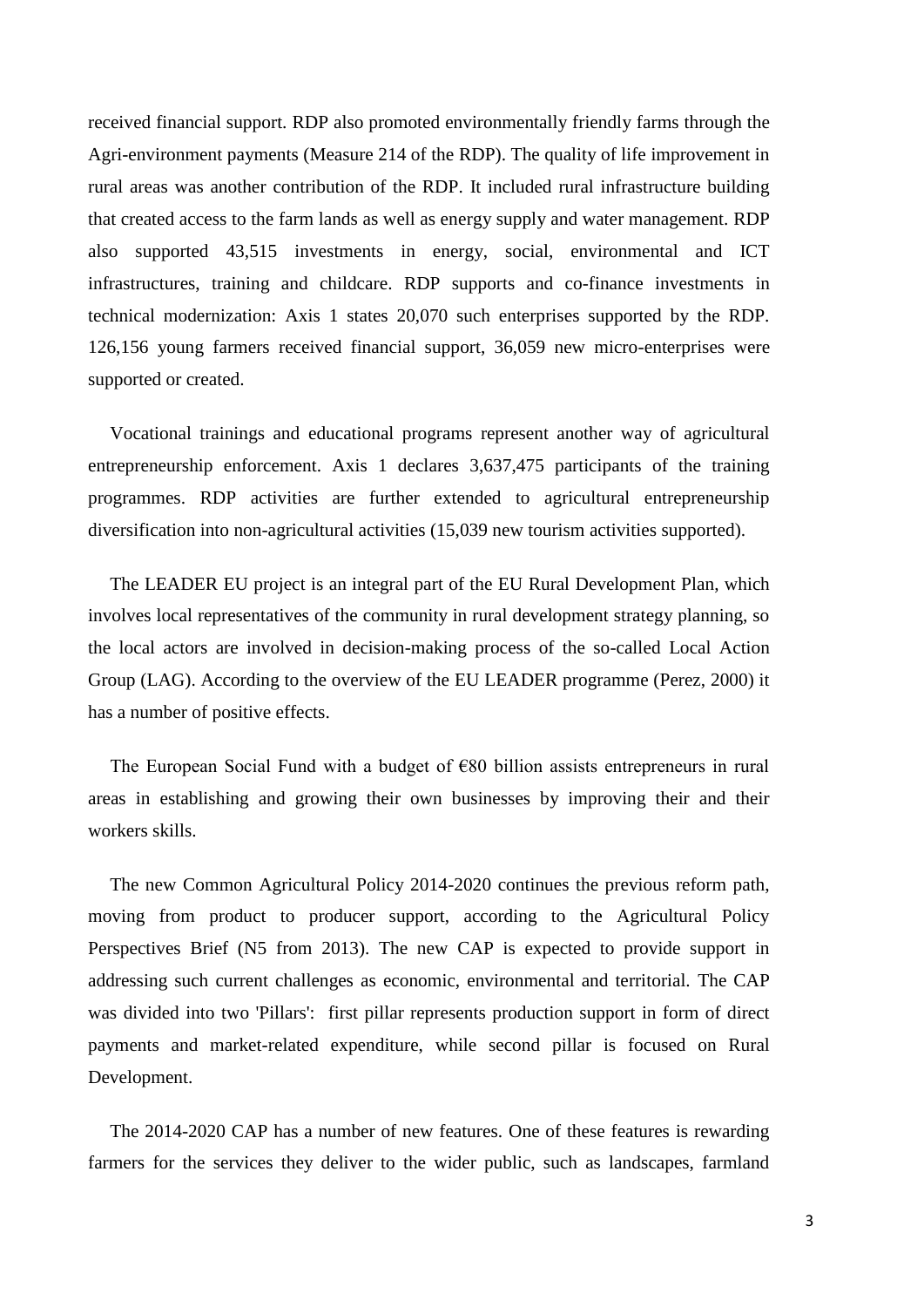received financial support. RDP also promoted environmentally friendly farms through the Agri-environment payments (Measure 214 of the RDP). The quality of life improvement in rural areas was another contribution of the RDP. It included rural infrastructure building that created access to the farm lands as well as energy supply and water management. RDP also supported 43,515 investments in energy, social, environmental and ICT infrastructures, training and childcare. RDP supports and co-finance investments in technical modernization: Axis 1 states 20,070 such enterprises supported by the RDP. 126,156 young farmers received financial support, 36,059 new micro-enterprises were supported or created.

Vocational trainings and educational programs represent another way of agricultural entrepreneurship enforcement. Axis 1 declares 3,637,475 participants of the training programmes. RDP activities are further extended to agricultural entrepreneurship diversification into non-agricultural activities (15,039 new tourism activities supported).

The LEADER EU project is an integral part of the EU Rural Development Plan, which involves local representatives of the community in rural development strategy planning, so the local actors are involved in decision-making process of the so-called Local Action Group (LAG). According to the overview of the EU LEADER programme (Perez, 2000) it has a number of positive effects.

The European Social Fund with a budget of  $\epsilon$ 80 billion assists entrepreneurs in rural areas in establishing and growing their own businesses by improving their and their workers skills.

The new Common Agricultural Policy 2014-2020 continues the previous reform path, moving from product to producer support, according to the Agricultural Policy Perspectives Brief (N5 from 2013). The new CAP is expected to provide support in addressing such current challenges as economic, environmental and territorial. The CAP was divided into two 'Pillars': first pillar represents production support in form of direct payments and market-related expenditure, while second pillar is focused on Rural Development.

The 2014-2020 CAP has a number of new features. One of these features is rewarding farmers for the services they deliver to the wider public, such as landscapes, farmland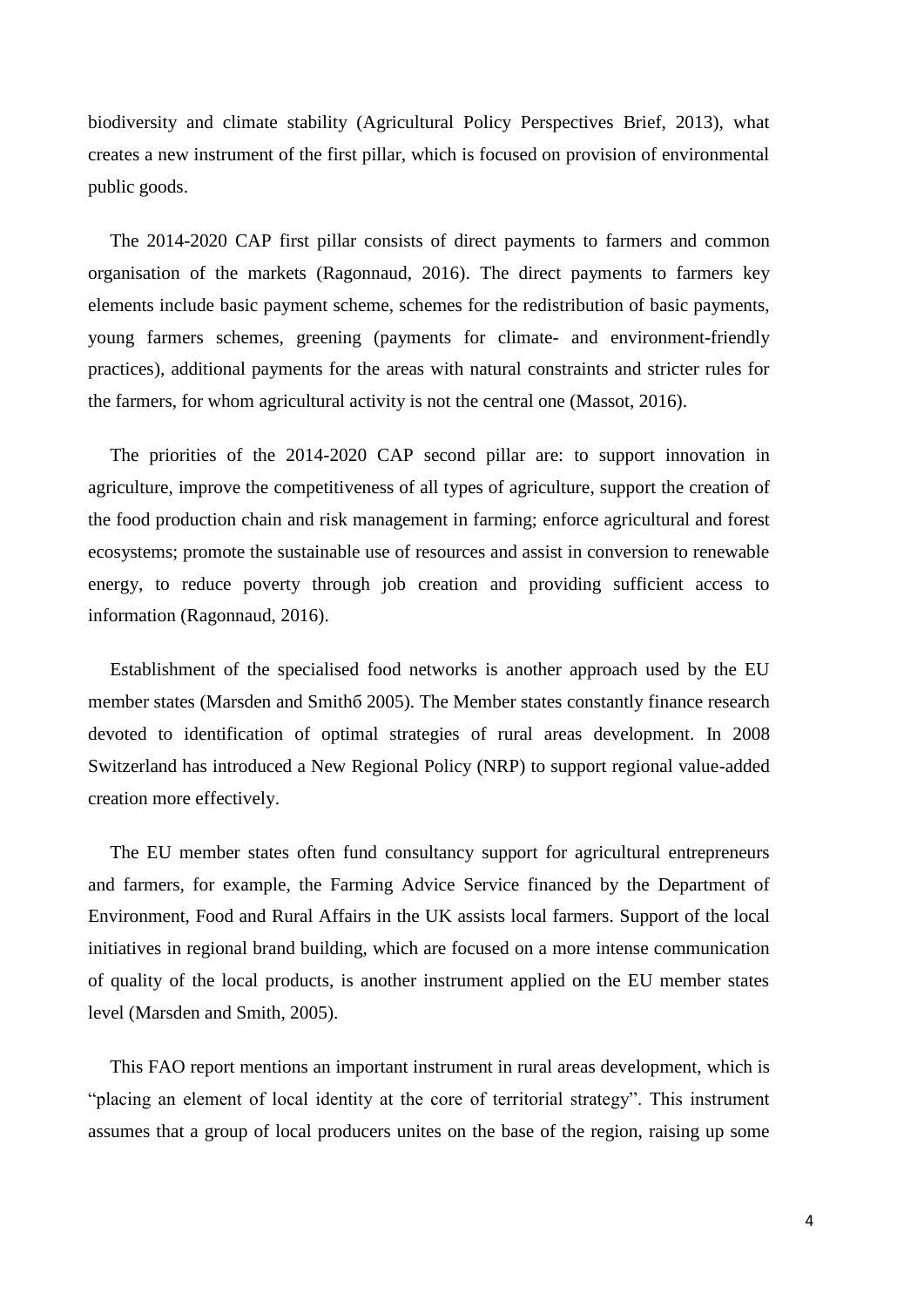biodiversity and climate stability (Agricultural Policy Perspectives Brief, 2013), what creates a new instrument of the first pillar, which is focused on provision of environmental public goods.

The 2014-2020 CAP first pillar consists of direct payments to farmers and common organisation of the markets (Ragonnaud, 2016). The direct payments to farmers key elements include basic payment scheme, schemes for the redistribution of basic payments, young farmers schemes, greening (payments for climate- and environment-friendly practices), additional payments for the areas with natural constraints and stricter rules for the farmers, for whom agricultural activity is not the central one (Massot, 2016).

The priorities of the 2014-2020 CAP second pillar are: to support innovation in agriculture, improve the competitiveness of all types of agriculture, support the creation of the food production chain and risk management in farming; enforce agricultural and forest ecosystems; promote the sustainable use of resources and assist in conversion to renewable energy, to reduce poverty through job creation and providing sufficient access to information (Ragonnaud, 2016).

Establishment of the specialised food networks is another approach used by the EU member states (Marsden and Smithб 2005). The Member states constantly finance research devoted to identification of optimal strategies of rural areas development. In 2008 Switzerland has introduced a New Regional Policy (NRP) to support regional value-added creation more effectively.

The EU member states often fund consultancy support for agricultural entrepreneurs and farmers, for example, the Farming Advice Service financed by the Department of Environment, Food and Rural Affairs in the UK assists local farmers. Support of the local initiatives in regional brand building, which are focused on a more intense communication of quality of the local products, is another instrument applied on the EU member states level (Marsden and Smith, 2005).

This FAO report mentions an important instrument in rural areas development, which is "placing an element of local identity at the core of territorial strategy". This instrument assumes that a group of local producers unites on the base of the region, raising up some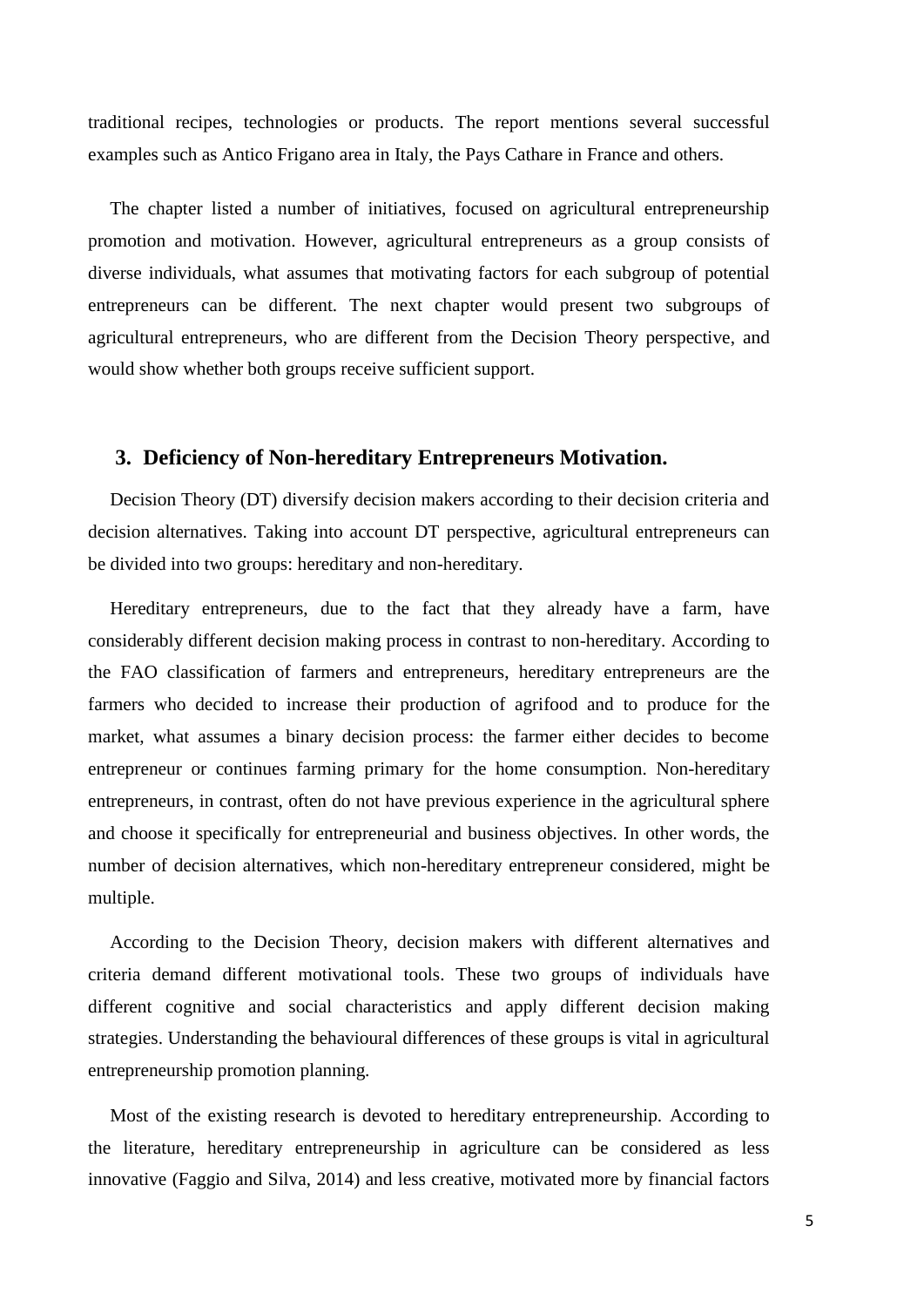traditional recipes, technologies or products. The report mentions several successful examples such as Antico Frigano area in Italy, the Pays Cathare in France and others.

The chapter listed a number of initiatives, focused on agricultural entrepreneurship promotion and motivation. However, agricultural entrepreneurs as a group consists of diverse individuals, what assumes that motivating factors for each subgroup of potential entrepreneurs can be different. The next chapter would present two subgroups of agricultural entrepreneurs, who are different from the Decision Theory perspective, and would show whether both groups receive sufficient support.

#### **3. Deficiency of Non-hereditary Entrepreneurs Motivation.**

Decision Theory (DT) diversify decision makers according to their decision criteria and decision alternatives. Taking into account DT perspective, agricultural entrepreneurs can be divided into two groups: hereditary and non-hereditary.

Hereditary entrepreneurs, due to the fact that they already have a farm, have considerably different decision making process in contrast to non-hereditary. According to the FAO classification of farmers and entrepreneurs, hereditary entrepreneurs are the farmers who decided to increase their production of agrifood and to produce for the market, what assumes a binary decision process: the farmer either decides to become entrepreneur or continues farming primary for the home consumption. Non-hereditary entrepreneurs, in contrast, often do not have previous experience in the agricultural sphere and choose it specifically for entrepreneurial and business objectives. In other words, the number of decision alternatives, which non-hereditary entrepreneur considered, might be multiple.

According to the Decision Theory, decision makers with different alternatives and criteria demand different motivational tools. These two groups of individuals have different cognitive and social characteristics and apply different decision making strategies. Understanding the behavioural differences of these groups is vital in agricultural entrepreneurship promotion planning.

Most of the existing research is devoted to hereditary entrepreneurship. According to the literature, hereditary entrepreneurship in agriculture can be considered as less innovative (Faggio and Silva, 2014) and less creative, motivated more by financial factors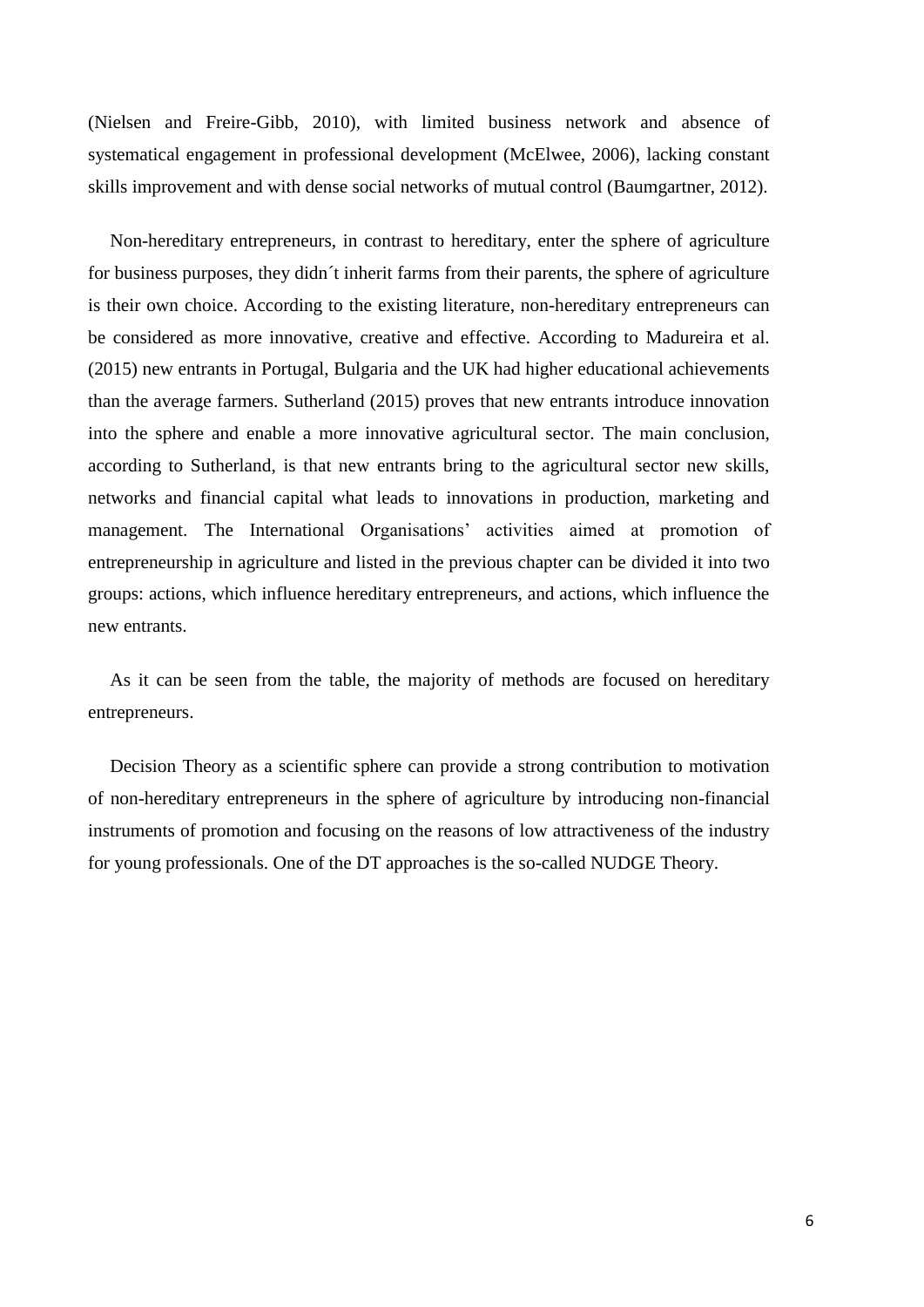(Nielsen and Freire-Gibb, 2010), with limited business network and absence of systematical engagement in professional development (McElwee, 2006), lacking constant skills improvement and with dense social networks of mutual control (Baumgartner, 2012).

Non-hereditary entrepreneurs, in contrast to hereditary, enter the sphere of agriculture for business purposes, they didn´t inherit farms from their parents, the sphere of agriculture is their own choice. According to the existing literature, non-hereditary entrepreneurs can be considered as more innovative, creative and effective. According to Madureira et al. (2015) new entrants in Portugal, Bulgaria and the UK had higher educational achievements than the average farmers. Sutherland (2015) proves that new entrants introduce innovation into the sphere and enable a more innovative agricultural sector. The main conclusion, according to Sutherland, is that new entrants bring to the agricultural sector new skills, networks and financial capital what leads to innovations in production, marketing and management. The International Organisations' activities aimed at promotion of entrepreneurship in agriculture and listed in the previous chapter can be divided it into two groups: actions, which influence hereditary entrepreneurs, and actions, which influence the new entrants.

As it can be seen from the table, the majority of methods are focused on hereditary entrepreneurs.

Decision Theory as a scientific sphere can provide a strong contribution to motivation of non-hereditary entrepreneurs in the sphere of agriculture by introducing non-financial instruments of promotion and focusing on the reasons of low attractiveness of the industry for young professionals. One of the DT approaches is the so-called NUDGE Theory.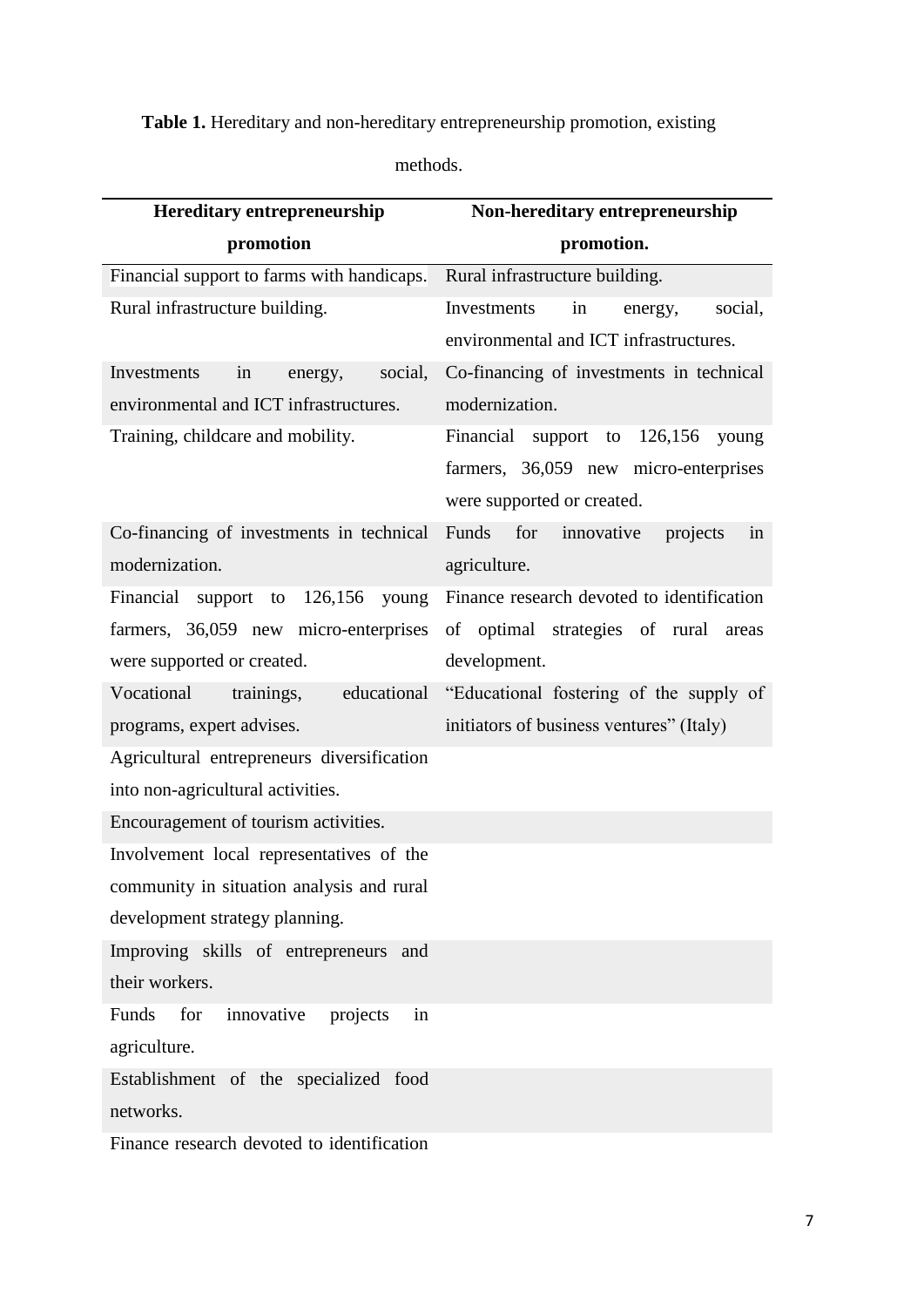## **Table 1.** Hereditary and non-hereditary entrepreneurship promotion, existing

| methods. |
|----------|
|----------|

| <b>Hereditary entrepreneurship</b>           | Non-hereditary entrepreneurship            |
|----------------------------------------------|--------------------------------------------|
| promotion                                    | promotion.                                 |
| Financial support to farms with handicaps.   | Rural infrastructure building.             |
| Rural infrastructure building.               | Investments<br>social,<br>in<br>energy,    |
|                                              | environmental and ICT infrastructures.     |
| Investments<br>in<br>social,<br>energy,      | Co-financing of investments in technical   |
| environmental and ICT infrastructures.       | modernization.                             |
| Training, childcare and mobility.            | Financial support to<br>$126,156$ young    |
|                                              | farmers, 36,059 new micro-enterprises      |
|                                              | were supported or created.                 |
| Co-financing of investments in technical     | Funds<br>for innovative<br>projects<br>in  |
| modernization.                               | agriculture.                               |
| Financial support to 126,156 young           | Finance research devoted to identification |
| farmers, 36,059 new micro-enterprises        | of optimal strategies of rural areas       |
| were supported or created.                   | development.                               |
| Vocational<br>educational<br>trainings,      | "Educational fostering of the supply of    |
| programs, expert advises.                    | initiators of business ventures" (Italy)   |
| Agricultural entrepreneurs diversification   |                                            |
| into non-agricultural activities.            |                                            |
| Encouragement of tourism activities.         |                                            |
| Involvement local representatives of the     |                                            |
| community in situation analysis and rural    |                                            |
| development strategy planning.               |                                            |
| Improving skills of entrepreneurs and        |                                            |
| their workers.                               |                                            |
| Funds<br>for<br>innovative<br>projects<br>in |                                            |
| agriculture.                                 |                                            |
| Establishment of the specialized food        |                                            |
| networks.                                    |                                            |
| Finance research devoted to identification   |                                            |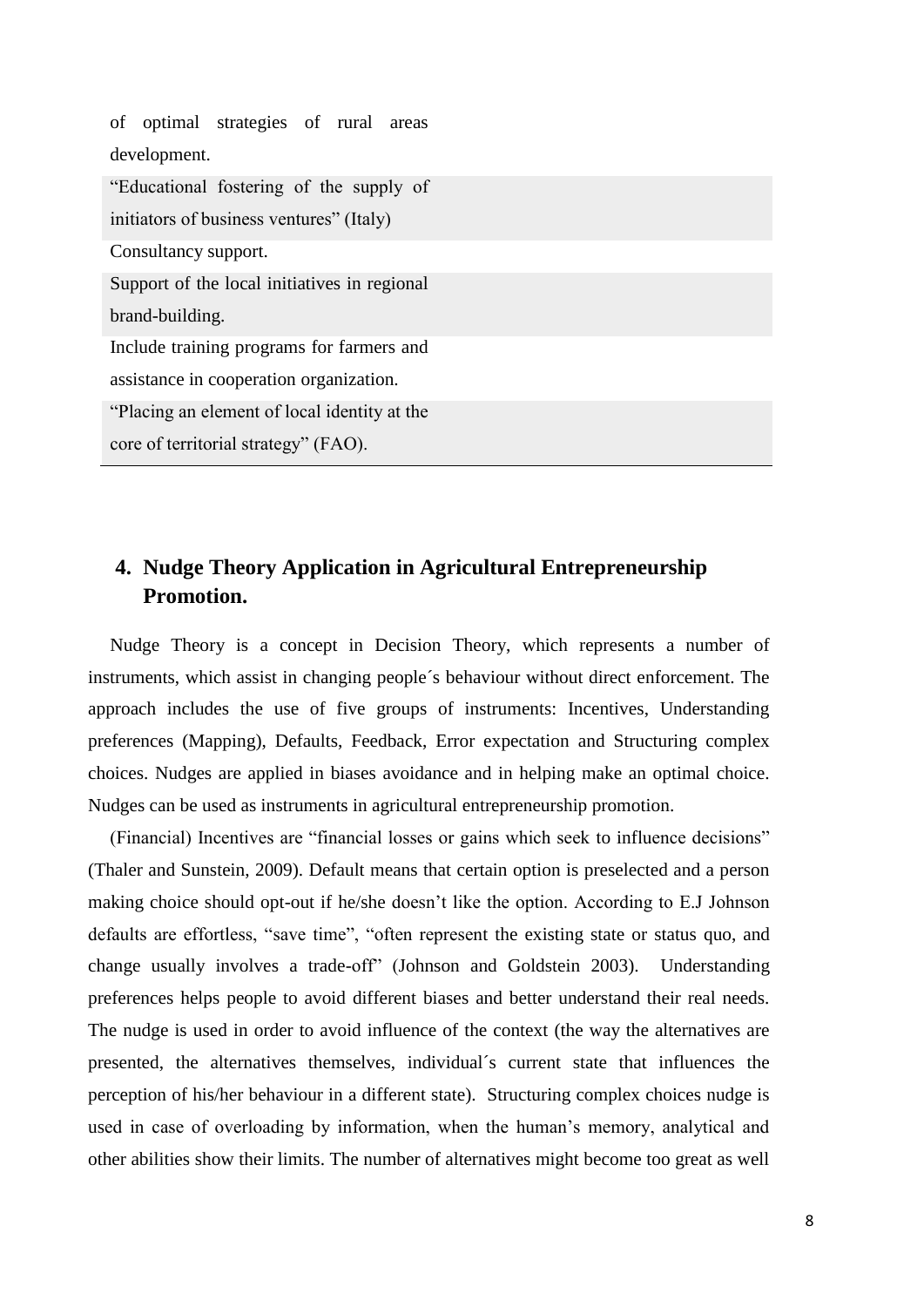| of optimal strategies of rural areas         |
|----------------------------------------------|
| development.                                 |
| "Educational fostering of the supply of      |
| initiators of business ventures" (Italy)     |
| Consultancy support.                         |
| Support of the local initiatives in regional |
| brand-building.                              |
| Include training programs for farmers and    |
| assistance in cooperation organization.      |
| "Placing an element of local identity at the |
| core of territorial strategy" (FAO).         |

## **4. Nudge Theory Application in Agricultural Entrepreneurship Promotion.**

Nudge Theory is a concept in Decision Theory, which represents a number of instruments, which assist in changing people´s behaviour without direct enforcement. The approach includes the use of five groups of instruments: Incentives, Understanding preferences (Mapping), Defaults, Feedback, Error expectation and Structuring complex choices. Nudges are applied in biases avoidance and in helping make an optimal choice. Nudges can be used as instruments in agricultural entrepreneurship promotion.

(Financial) Incentives are "financial losses or gains which seek to influence decisions" (Thaler and Sunstein, 2009). Default means that certain option is preselected and a person making choice should opt-out if he/she doesn't like the option. According to E.J Johnson defaults are effortless, "save time", "often represent the existing state or status quo, and change usually involves a trade-off" (Johnson and Goldstein 2003). Understanding preferences helps people to avoid different biases and better understand their real needs. The nudge is used in order to avoid influence of the context (the way the alternatives are presented, the alternatives themselves, individual´s current state that influences the perception of his/her behaviour in a different state). Structuring complex choices nudge is used in case of overloading by information, when the human's memory, analytical and other abilities show their limits. The number of alternatives might become too great as well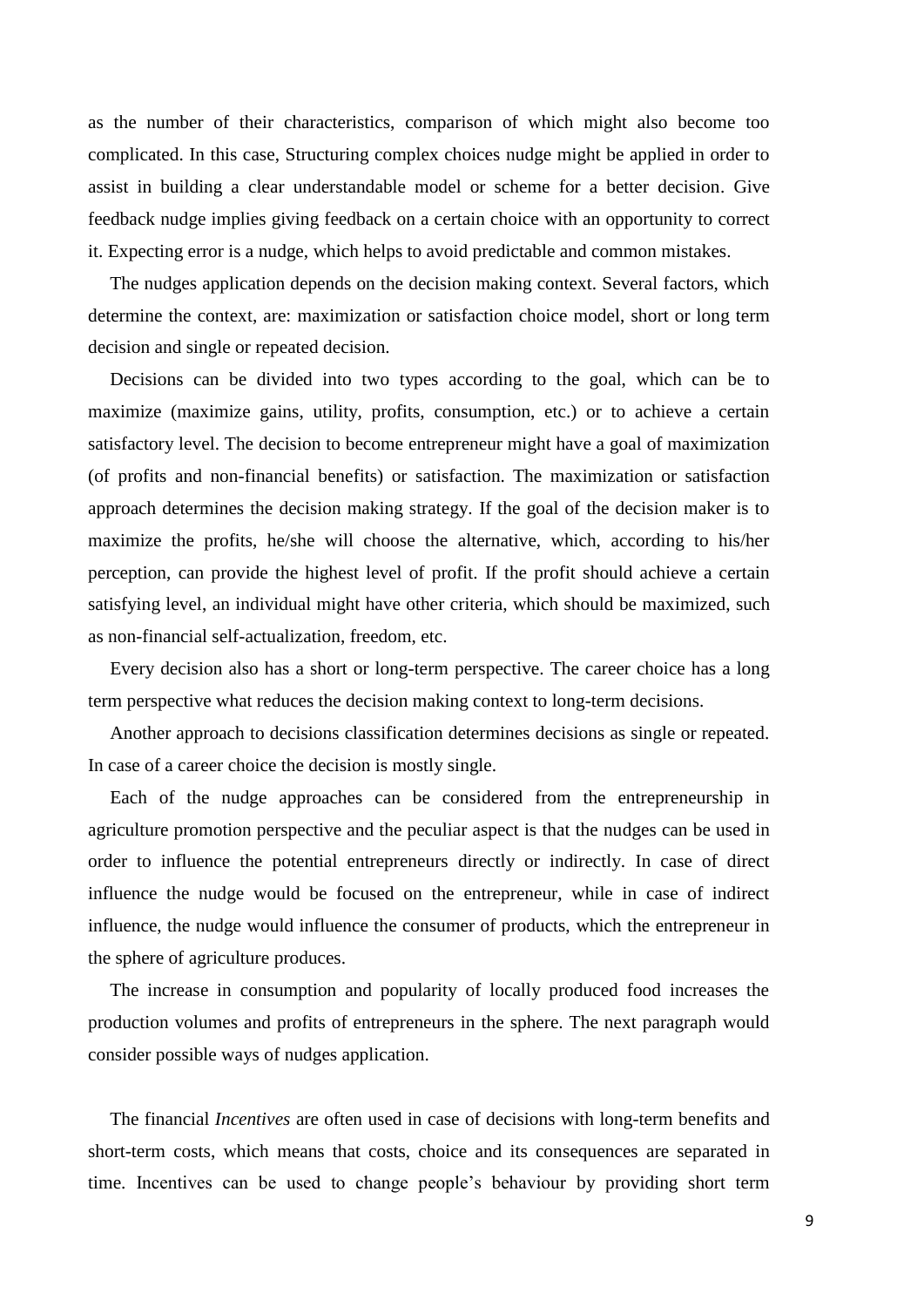as the number of their characteristics, comparison of which might also become too complicated. In this case, Structuring complex choices nudge might be applied in order to assist in building a clear understandable model or scheme for a better decision. Give feedback nudge implies giving feedback on a certain choice with an opportunity to correct it. Expecting error is a nudge, which helps to avoid predictable and common mistakes.

The nudges application depends on the decision making context. Several factors, which determine the context, are: maximization or satisfaction choice model, short or long term decision and single or repeated decision.

Decisions can be divided into two types according to the goal, which can be to maximize (maximize gains, utility, profits, consumption, etc.) or to achieve a certain satisfactory level. The decision to become entrepreneur might have a goal of maximization (of profits and non-financial benefits) or satisfaction. The maximization or satisfaction approach determines the decision making strategy. If the goal of the decision maker is to maximize the profits, he/she will choose the alternative, which, according to his/her perception, can provide the highest level of profit. If the profit should achieve a certain satisfying level, an individual might have other criteria, which should be maximized, such as non-financial self-actualization, freedom, etc.

Every decision also has a short or long-term perspective. The career choice has a long term perspective what reduces the decision making context to long-term decisions.

Another approach to decisions classification determines decisions as single or repeated. In case of a career choice the decision is mostly single.

Each of the nudge approaches can be considered from the entrepreneurship in agriculture promotion perspective and the peculiar aspect is that the nudges can be used in order to influence the potential entrepreneurs directly or indirectly. In case of direct influence the nudge would be focused on the entrepreneur, while in case of indirect influence, the nudge would influence the consumer of products, which the entrepreneur in the sphere of agriculture produces.

The increase in consumption and popularity of locally produced food increases the production volumes and profits of entrepreneurs in the sphere. The next paragraph would consider possible ways of nudges application.

The financial *Incentives* are often used in case of decisions with long-term benefits and short-term costs, which means that costs, choice and its consequences are separated in time. Incentives can be used to change people's behaviour by providing short term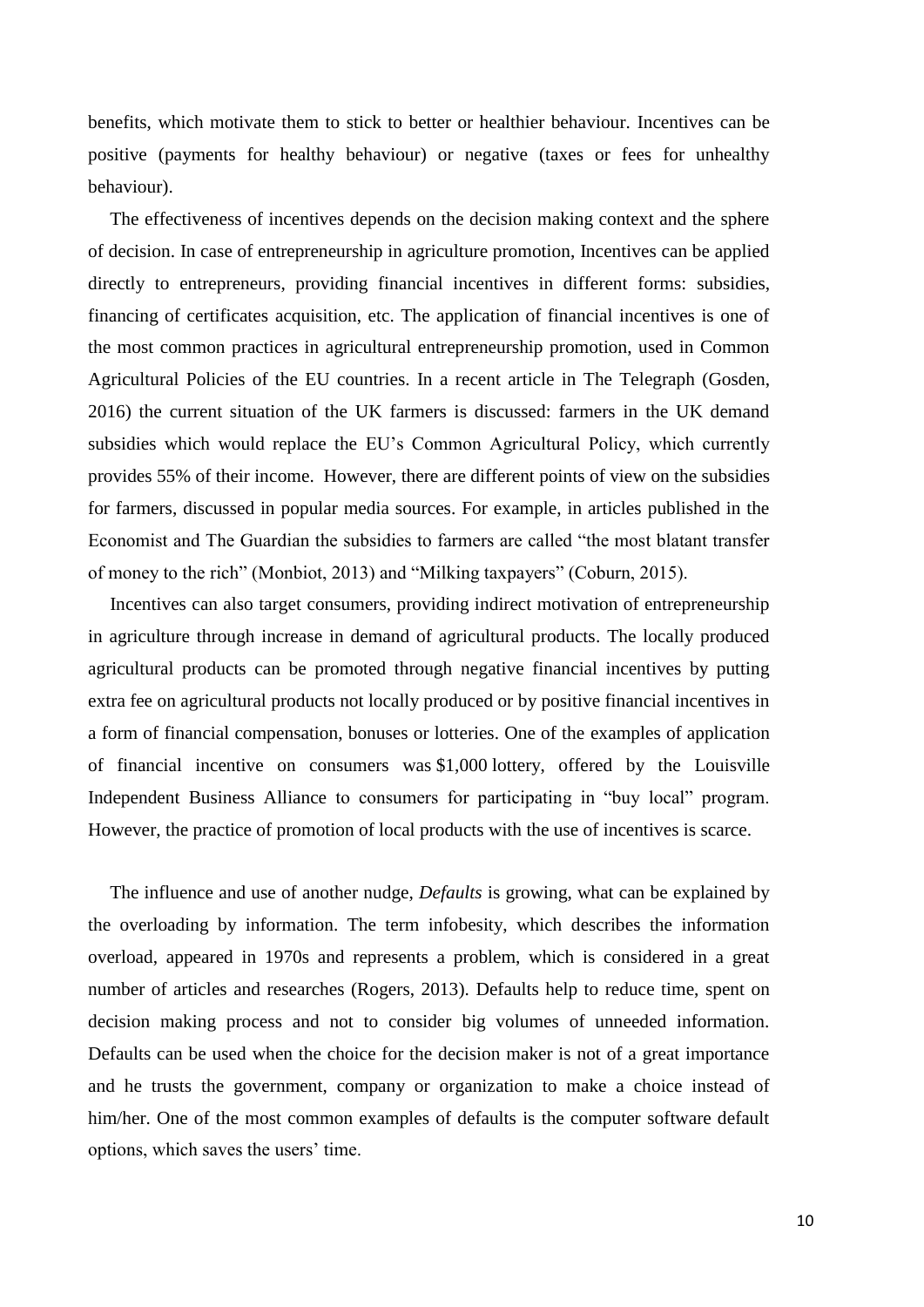benefits, which motivate them to stick to better or healthier behaviour. Incentives can be positive (payments for healthy behaviour) or negative (taxes or fees for unhealthy behaviour).

The effectiveness of incentives depends on the decision making context and the sphere of decision. In case of entrepreneurship in agriculture promotion, Incentives can be applied directly to entrepreneurs, providing financial incentives in different forms: subsidies, financing of certificates acquisition, etc. The application of financial incentives is one of the most common practices in agricultural entrepreneurship promotion, used in Common Agricultural Policies of the EU countries. In a recent article in The Telegraph (Gosden, 2016) the current situation of the UK farmers is discussed: farmers in the UK demand subsidies which would replace the EU's Common Agricultural Policy, which currently provides 55% of their income. However, there are different points of view on the subsidies for farmers, discussed in popular media sources. For example, in articles published in the Economist and The Guardian the subsidies to farmers are called "the most blatant transfer of money to the rich" (Monbiot, 2013) and "Milking taxpayers" (Coburn, 2015).

Incentives can also target consumers, providing indirect motivation of entrepreneurship in agriculture through increase in demand of agricultural products. The locally produced agricultural products can be promoted through negative financial incentives by putting extra fee on agricultural products not locally produced or by positive financial incentives in a form of financial compensation, bonuses or lotteries. One of the examples of application of financial incentive on consumers was \$1,000 lottery, offered by the Louisville Independent Business Alliance to consumers for participating in "buy local" program. However, the practice of promotion of local products with the use of incentives is scarce.

The influence and use of another nudge, *Defaults* is growing, what can be explained by the overloading by information. The term infobesity, which describes the information overload, appeared in 1970s and represents a problem, which is considered in a great number of articles and researches (Rogers, 2013). Defaults help to reduce time, spent on decision making process and not to consider big volumes of unneeded information. Defaults can be used when the choice for the decision maker is not of a great importance and he trusts the government, company or organization to make a choice instead of him/her. One of the most common examples of defaults is the computer software default options, which saves the users' time.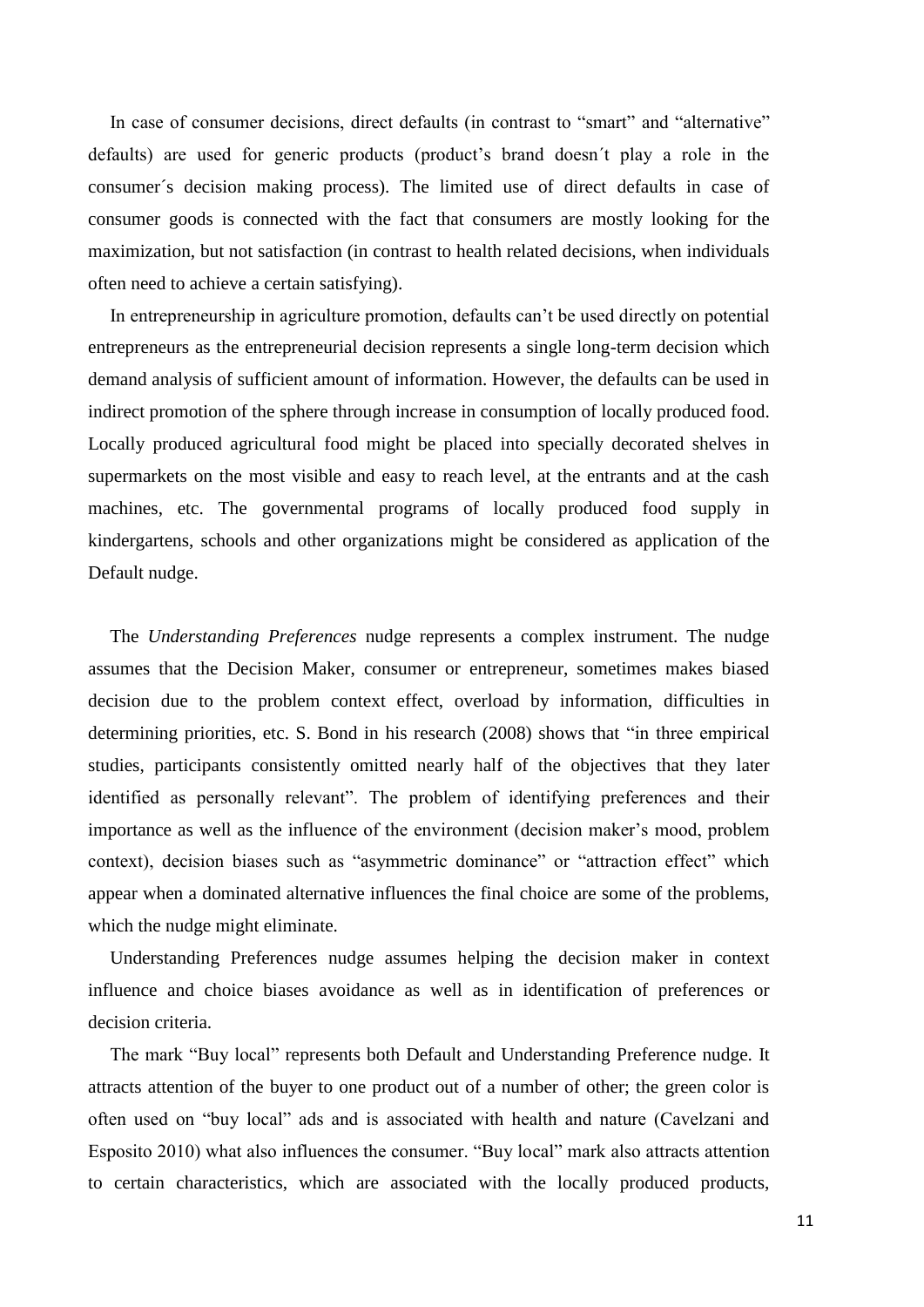In case of consumer decisions, direct defaults (in contrast to "smart" and "alternative" defaults) are used for generic products (product's brand doesn't play a role in the consumer´s decision making process). The limited use of direct defaults in case of consumer goods is connected with the fact that consumers are mostly looking for the maximization, but not satisfaction (in contrast to health related decisions, when individuals often need to achieve a certain satisfying).

In entrepreneurship in agriculture promotion, defaults can't be used directly on potential entrepreneurs as the entrepreneurial decision represents a single long-term decision which demand analysis of sufficient amount of information. However, the defaults can be used in indirect promotion of the sphere through increase in consumption of locally produced food. Locally produced agricultural food might be placed into specially decorated shelves in supermarkets on the most visible and easy to reach level, at the entrants and at the cash machines, etc. The governmental programs of locally produced food supply in kindergartens, schools and other organizations might be considered as application of the Default nudge.

The *Understanding Preferences* nudge represents a complex instrument. The nudge assumes that the Decision Maker, consumer or entrepreneur, sometimes makes biased decision due to the problem context effect, overload by information, difficulties in determining priorities, etc. S. Bond in his research (2008) shows that "in three empirical studies, participants consistently omitted nearly half of the objectives that they later identified as personally relevant". The problem of identifying preferences and their importance as well as the influence of the environment (decision maker's mood, problem context), decision biases such as "asymmetric dominance" or "attraction effect" which appear when a dominated alternative influences the final choice are some of the problems, which the nudge might eliminate.

Understanding Preferences nudge assumes helping the decision maker in context influence and choice biases avoidance as well as in identification of preferences or decision criteria.

The mark "Buy local" represents both Default and Understanding Preference nudge. It attracts attention of the buyer to one product out of a number of other; the green color is often used on "buy local" ads and is associated with health and nature (Cavelzani and Esposito 2010) what also influences the consumer. "Buy local" mark also attracts attention to certain characteristics, which are associated with the locally produced products,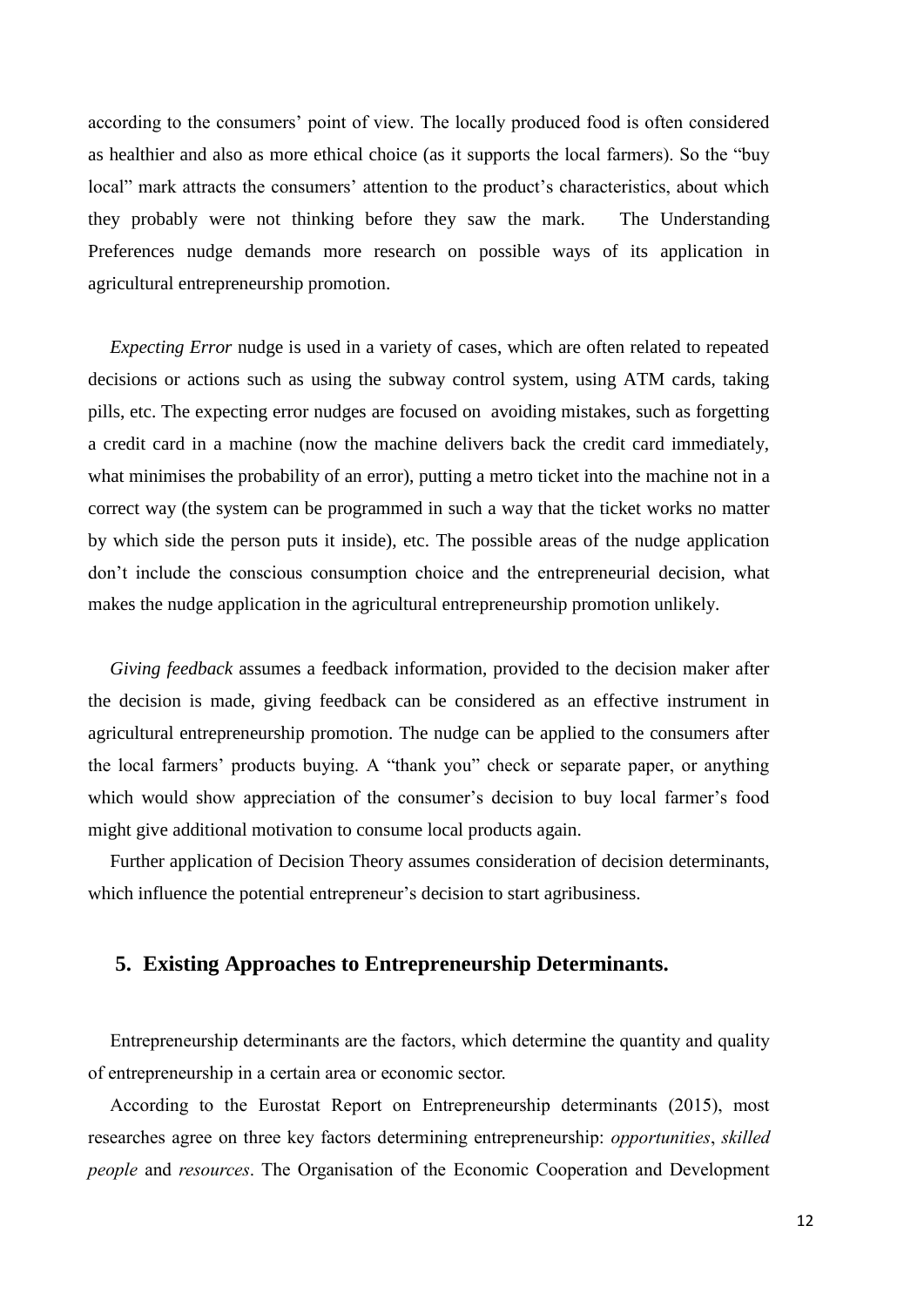according to the consumers' point of view. The locally produced food is often considered as healthier and also as more ethical choice (as it supports the local farmers). So the "buy local" mark attracts the consumers' attention to the product's characteristics, about which they probably were not thinking before they saw the mark. The Understanding Preferences nudge demands more research on possible ways of its application in agricultural entrepreneurship promotion.

*Expecting Error* nudge is used in a variety of cases, which are often related to repeated decisions or actions such as using the subway control system, using ATM cards, taking pills, etc. The expecting error nudges are focused on avoiding mistakes, such as forgetting a credit card in a machine (now the machine delivers back the credit card immediately, what minimises the probability of an error), putting a metro ticket into the machine not in a correct way (the system can be programmed in such a way that the ticket works no matter by which side the person puts it inside), etc. The possible areas of the nudge application don't include the conscious consumption choice and the entrepreneurial decision, what makes the nudge application in the agricultural entrepreneurship promotion unlikely.

*Giving feedback* assumes a feedback information, provided to the decision maker after the decision is made, giving feedback can be considered as an effective instrument in agricultural entrepreneurship promotion. The nudge can be applied to the consumers after the local farmers' products buying. A "thank you" check or separate paper, or anything which would show appreciation of the consumer's decision to buy local farmer's food might give additional motivation to consume local products again.

Further application of Decision Theory assumes consideration of decision determinants, which influence the potential entrepreneur's decision to start agribusiness.

#### **5. Existing Approaches to Entrepreneurship Determinants.**

Entrepreneurship determinants are the factors, which determine the quantity and quality of entrepreneurship in a certain area or economic sector.

According to the Eurostat Report on Entrepreneurship determinants (2015), most researches agree on three key factors determining entrepreneurship: *opportunities*, *skilled people* and *resources*. The Organisation of the Economic Cooperation and Development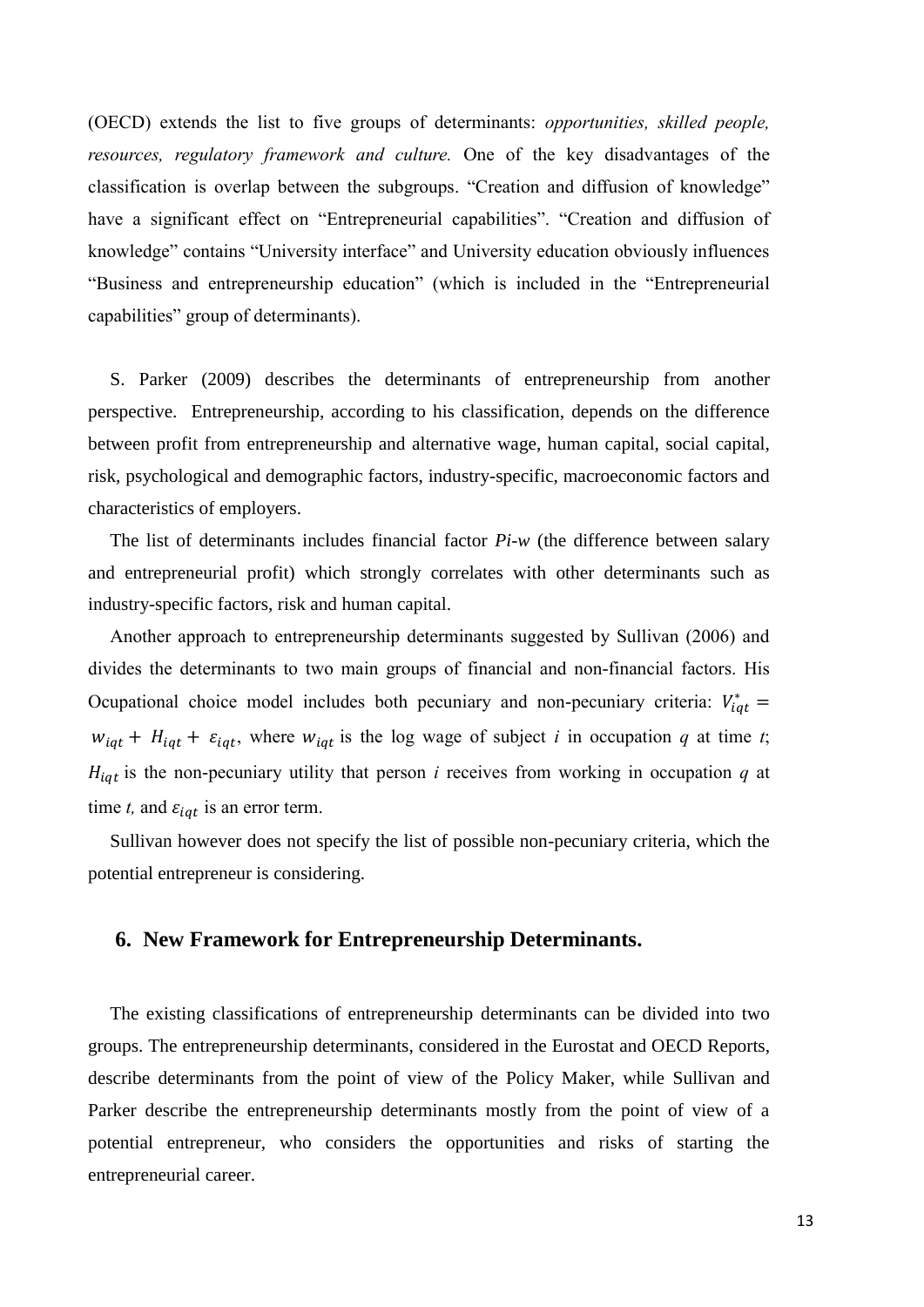(OECD) extends the list to five groups of determinants: *opportunities, skilled people, resources, regulatory framework and culture.* One of the key disadvantages of the classification is overlap between the subgroups. "Creation and diffusion of knowledge" have a significant effect on "Entrepreneurial capabilities". "Creation and diffusion of knowledge" contains "University interface" and University education obviously influences "Business and entrepreneurship education" (which is included in the "Entrepreneurial capabilities" group of determinants).

S. Parker (2009) describes the determinants of entrepreneurship from another perspective. Entrepreneurship, according to his classification, depends on the difference between profit from entrepreneurship and alternative wage, human capital, social capital, risk, psychological and demographic factors, industry-specific, macroeconomic factors and characteristics of employers.

The list of determinants includes financial factor *Pi-w* (the difference between salary and entrepreneurial profit) which strongly correlates with other determinants such as industry-specific factors, risk and human capital.

Another approach to entrepreneurship determinants suggested by Sullivan (2006) and divides the determinants to two main groups of financial and non-financial factors. His Ocupational choice model includes both pecuniary and non-pecuniary criteria:  $V_{iqt}^* =$  $w_{iqt}$  +  $H_{iqt}$  +  $\varepsilon_{iqt}$ , where  $w_{iqt}$  is the log wage of subject *i* in occupation *q* at time *t*;  $H_{iqt}$  is the non-pecuniary utility that person *i* receives from working in occupation *q* at time *t*, and  $\varepsilon_{i}$  is an error term.

Sullivan however does not specify the list of possible non-pecuniary criteria, which the potential entrepreneur is considering.

#### **6. New Framework for Entrepreneurship Determinants.**

The existing classifications of entrepreneurship determinants can be divided into two groups. The entrepreneurship determinants, considered in the Eurostat and OECD Reports, describe determinants from the point of view of the Policy Maker, while Sullivan and Parker describe the entrepreneurship determinants mostly from the point of view of a potential entrepreneur, who considers the opportunities and risks of starting the entrepreneurial career.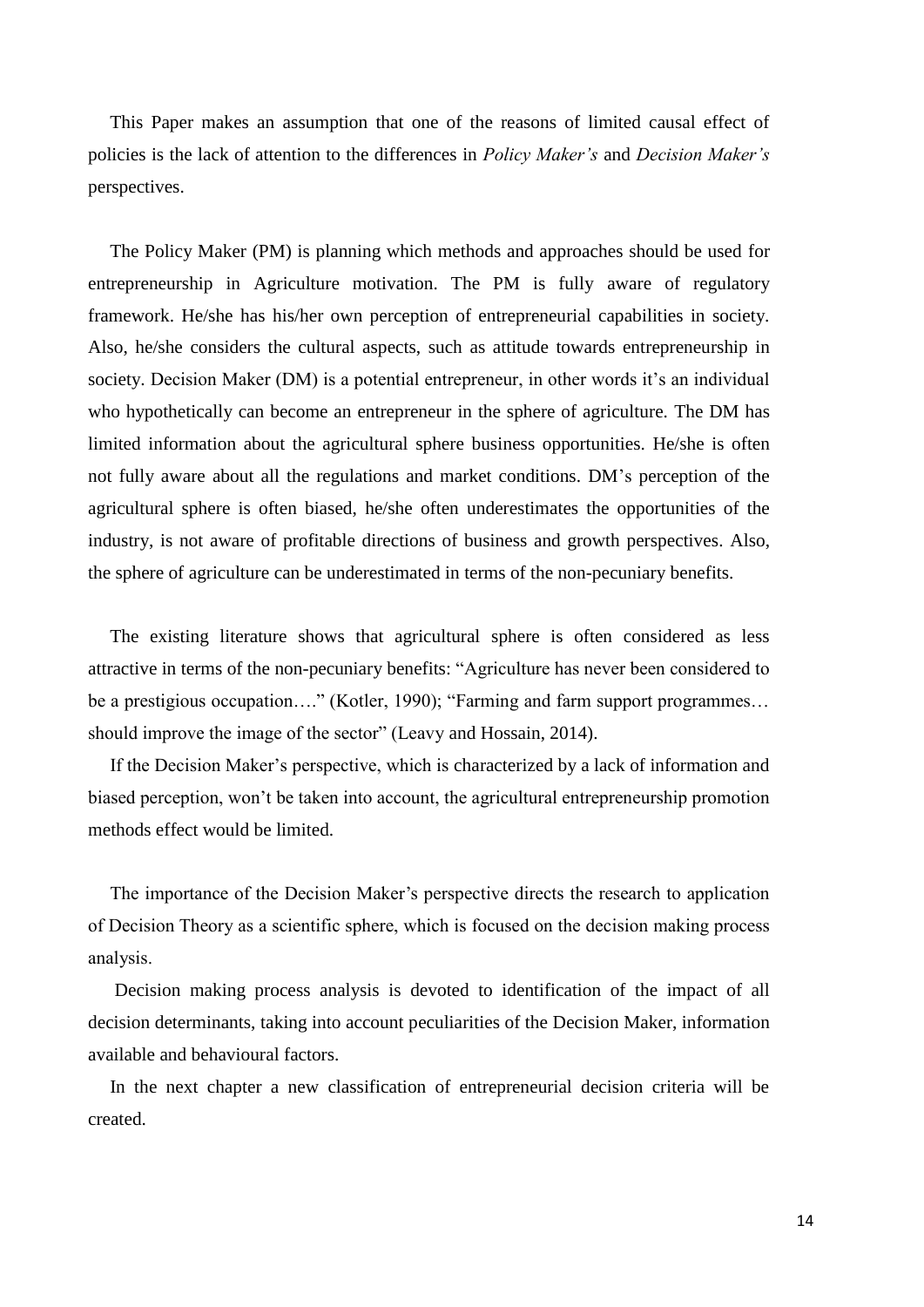This Paper makes an assumption that one of the reasons of limited causal effect of policies is the lack of attention to the differences in *Policy Maker's* and *Decision Maker's* perspectives.

The Policy Maker (PM) is planning which methods and approaches should be used for entrepreneurship in Agriculture motivation. The PM is fully aware of regulatory framework. He/she has his/her own perception of entrepreneurial capabilities in society. Also, he/she considers the cultural aspects, such as attitude towards entrepreneurship in society. Decision Maker (DM) is a potential entrepreneur, in other words it's an individual who hypothetically can become an entrepreneur in the sphere of agriculture. The DM has limited information about the agricultural sphere business opportunities. He/she is often not fully aware about all the regulations and market conditions. DM's perception of the agricultural sphere is often biased, he/she often underestimates the opportunities of the industry, is not aware of profitable directions of business and growth perspectives. Also, the sphere of agriculture can be underestimated in terms of the non-pecuniary benefits.

The existing literature shows that agricultural sphere is often considered as less attractive in terms of the non-pecuniary benefits: "Agriculture has never been considered to be a prestigious occupation…." (Kotler, 1990); "Farming and farm support programmes... should improve the image of the sector" (Leavy and Hossain, 2014).

If the Decision Maker's perspective, which is characterized by a lack of information and biased perception, won't be taken into account, the agricultural entrepreneurship promotion methods effect would be limited.

The importance of the Decision Maker's perspective directs the research to application of Decision Theory as a scientific sphere, which is focused on the decision making process analysis.

Decision making process analysis is devoted to identification of the impact of all decision determinants, taking into account peculiarities of the Decision Maker, information available and behavioural factors.

In the next chapter a new classification of entrepreneurial decision criteria will be created.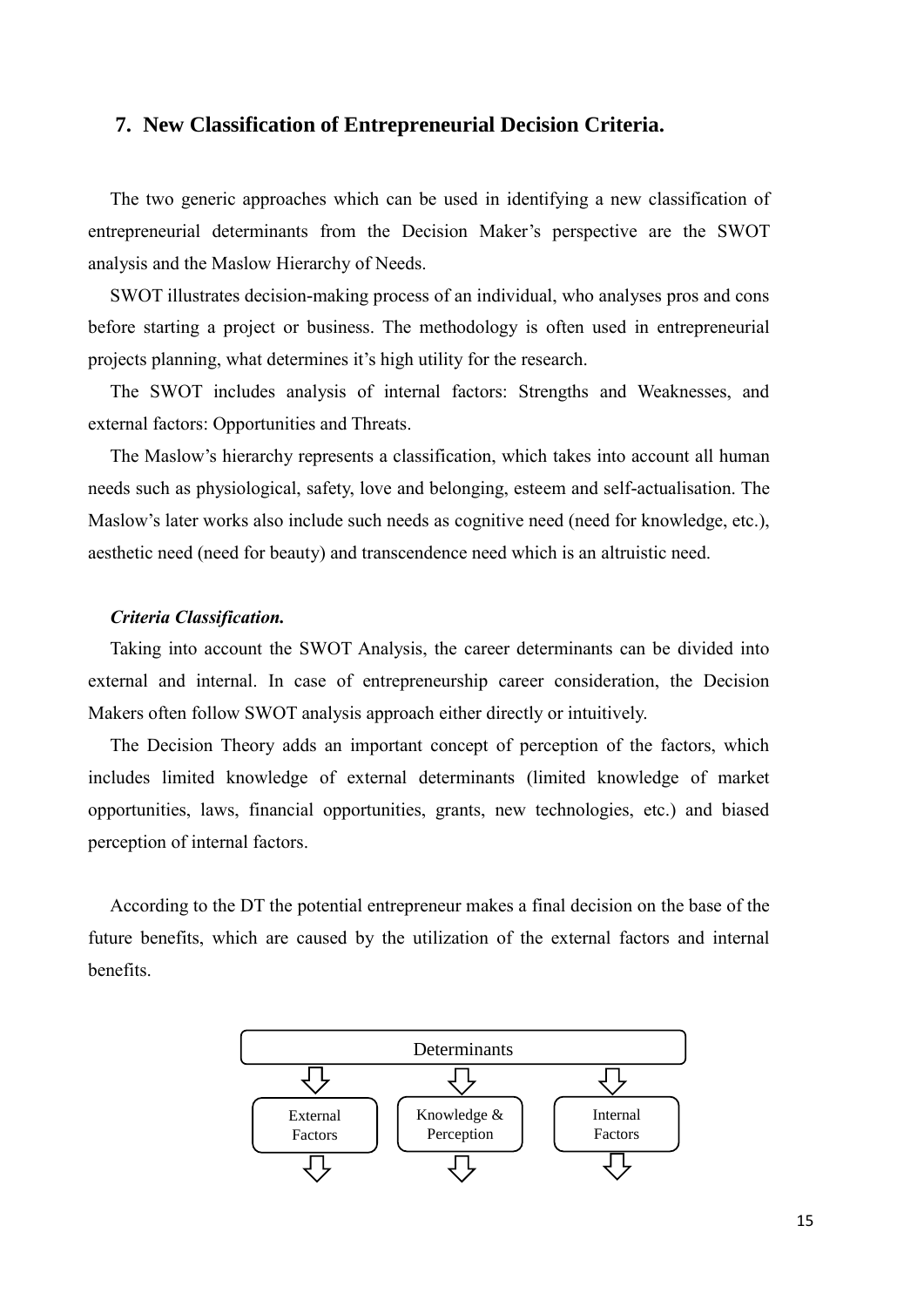#### **7. New Classification of Entrepreneurial Decision Criteria.**

The two generic approaches which can be used in identifying a new classification of entrepreneurial determinants from the Decision Maker's perspective are the SWOT analysis and the Maslow Hierarchy of Needs.

SWOT illustrates decision-making process of an individual, who analyses pros and cons before starting a project or business. The methodology is often used in entrepreneurial projects planning, what determines it's high utility for the research.

The SWOT includes analysis of internal factors: Strengths and Weaknesses, and external factors: Opportunities and Threats.

The Maslow's hierarchy represents a classification, which takes into account all human needs such as physiological, safety, love and belonging, esteem and self-actualisation. The Maslow's later works also include such needs as cognitive need (need for knowledge, etc.), aesthetic need (need for beauty) and transcendence need which is an altruistic need.

#### *Criteria Classification.*

Taking into account the SWOT Analysis, the career determinants can be divided into external and internal. In case of entrepreneurship career consideration, the Decision Makers often follow SWOT analysis approach either directly or intuitively.

The Decision Theory adds an important concept of perception of the factors, which includes limited knowledge of external determinants (limited knowledge of market opportunities, laws, financial opportunities, grants, new technologies, etc.) and biased perception of internal factors.

According to the DT the potential entrepreneur makes a final decision on the base of the future benefits, which are caused by the utilization of the external factors and internal benefits.

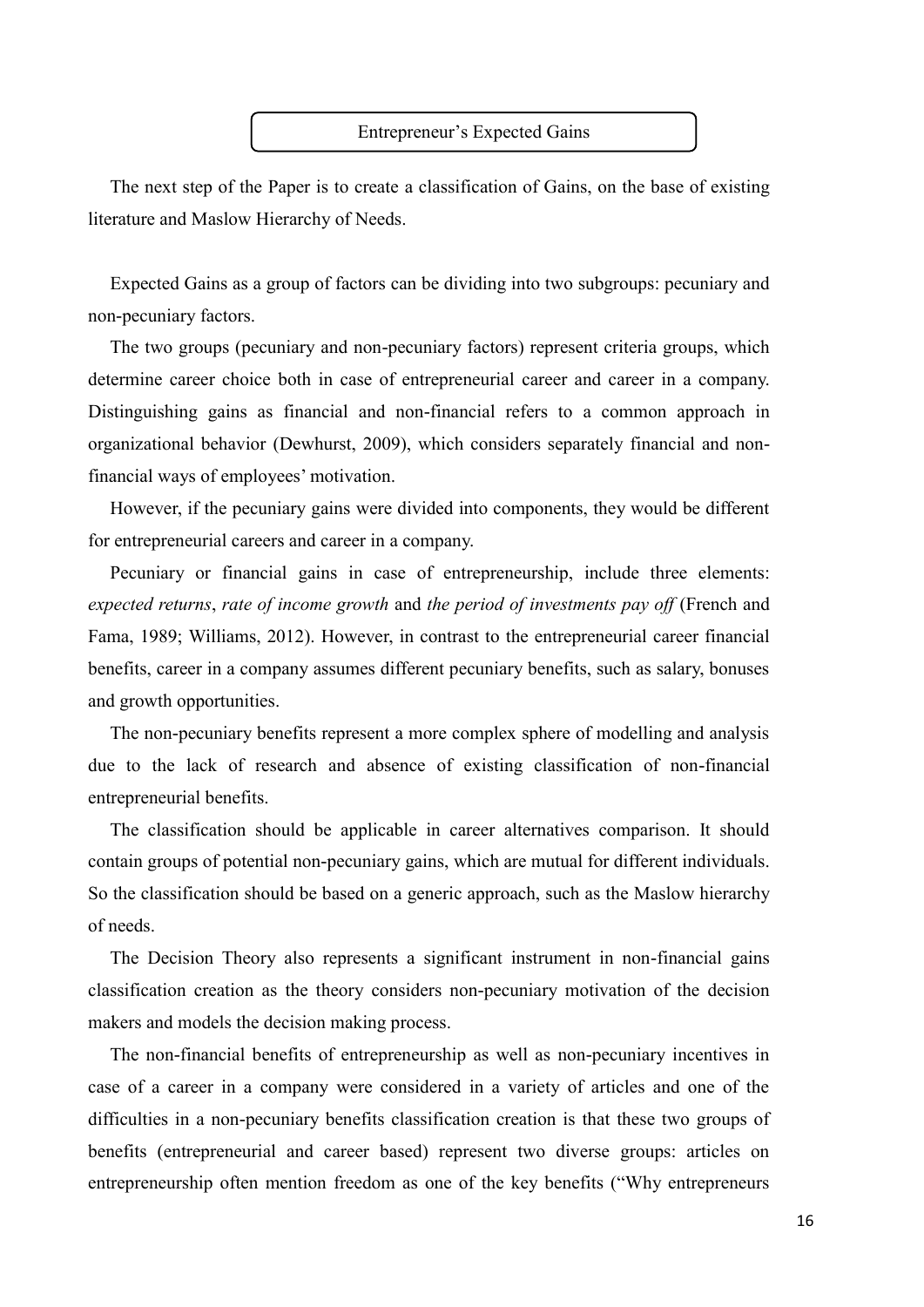#### Entrepreneur's Expected Gains

The next step of the Paper is to create a classification of Gains, on the base of existing literature and Maslow Hierarchy of Needs.

Expected Gains as a group of factors can be dividing into two subgroups: pecuniary and non-pecuniary factors.

The two groups (pecuniary and non-pecuniary factors) represent criteria groups, which determine career choice both in case of entrepreneurial career and career in a company. Distinguishing gains as financial and non-financial refers to a common approach in organizational behavior (Dewhurst, 2009), which considers separately financial and nonfinancial ways of employees' motivation.

However, if the pecuniary gains were divided into components, they would be different for entrepreneurial careers and career in a company.

Pecuniary or financial gains in case of entrepreneurship, include three elements: *expected returns*, *rate of income growth* and *the period of investments pay off* (French and Fama, 1989; Williams, 2012). However, in contrast to the entrepreneurial career financial benefits, career in a company assumes different pecuniary benefits, such as salary, bonuses and growth opportunities.

The non-pecuniary benefits represent a more complex sphere of modelling and analysis due to the lack of research and absence of existing classification of non-financial entrepreneurial benefits.

The classification should be applicable in career alternatives comparison. It should contain groups of potential non-pecuniary gains, which are mutual for different individuals. So the classification should be based on a generic approach, such as the Maslow hierarchy of needs.

The Decision Theory also represents a significant instrument in non-financial gains classification creation as the theory considers non-pecuniary motivation of the decision makers and models the decision making process.

The non-financial benefits of entrepreneurship as well as non-pecuniary incentives in case of a career in a company were considered in a variety of articles and one of the difficulties in a non-pecuniary benefits classification creation is that these two groups of benefits (entrepreneurial and career based) represent two diverse groups: articles on entrepreneurship often mention freedom as one of the key benefits ("Why entrepreneurs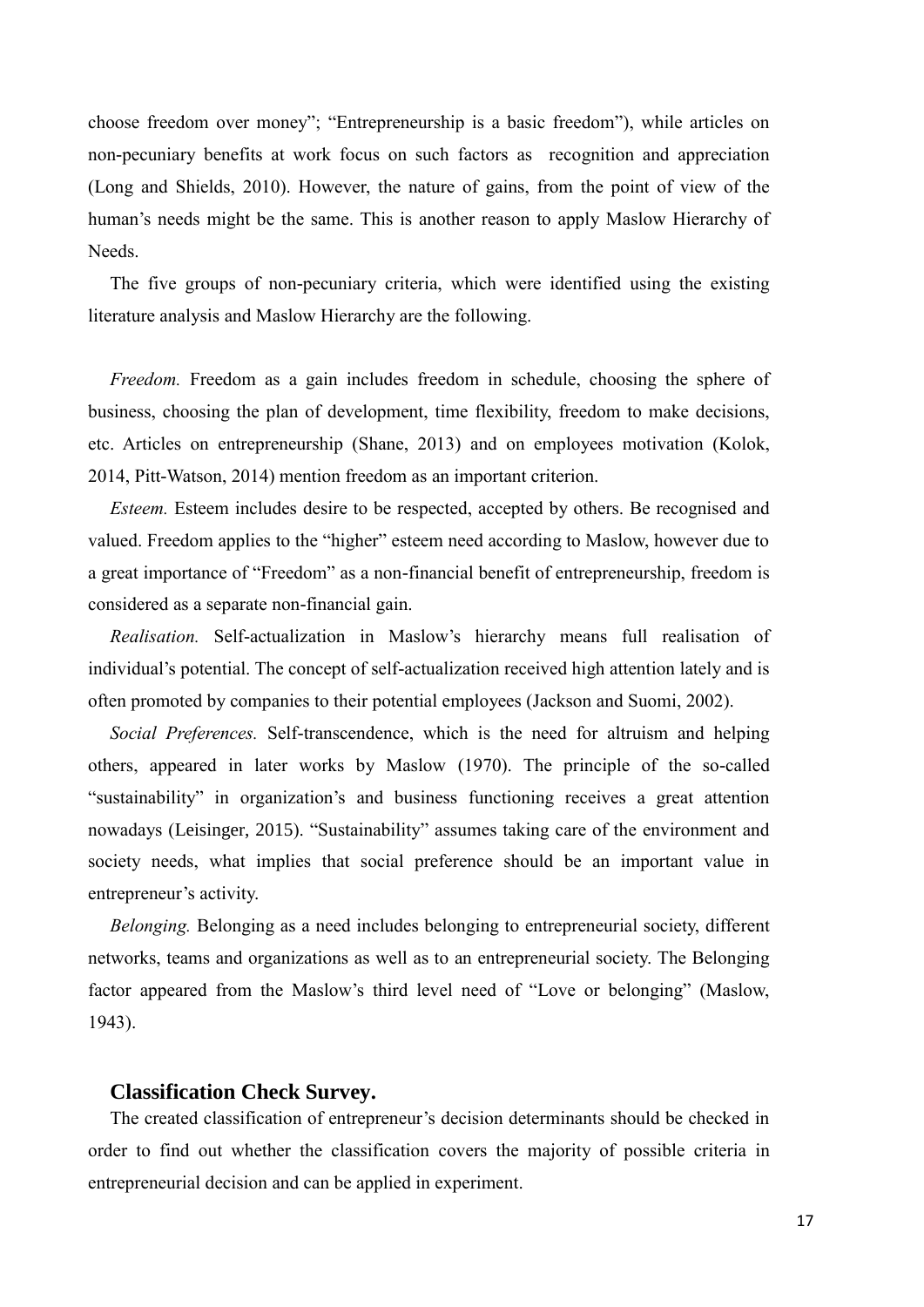choose freedom over money"; "Entrepreneurship is a basic freedom"), while articles on non-pecuniary benefits at work focus on such factors as recognition and appreciation (Long and Shields, 2010). However, the nature of gains, from the point of view of the human's needs might be the same. This is another reason to apply Maslow Hierarchy of Needs.

The five groups of non-pecuniary criteria, which were identified using the existing literature analysis and Maslow Hierarchy are the following.

*Freedom.* Freedom as a gain includes freedom in schedule, choosing the sphere of business, choosing the plan of development, time flexibility, freedom to make decisions, etc. Articles on entrepreneurship (Shane, 2013) and on employees motivation (Kolok, 2014, Pitt-Watson, 2014) mention freedom as an important criterion.

*Esteem.* Esteem includes desire to be respected, accepted by others. Be recognised and valued. Freedom applies to the "higher" esteem need according to Maslow, however due to a great importance of "Freedom" as a non-financial benefit of entrepreneurship, freedom is considered as a separate non-financial gain.

*Realisation.* Self-actualization in Maslow's hierarchy means full realisation of individual's potential. The concept of self-actualization received high attention lately and is often promoted by companies to their potential employees (Jackson and Suomi, 2002).

*Social Preferences.* Self-transcendence, which is the need for altruism and helping others, appeared in later works by Maslow (1970). The principle of the so-called "sustainability" in organization's and business functioning receives a great attention nowadays (Leisinger, 2015). "Sustainability" assumes taking care of the environment and society needs, what implies that social preference should be an important value in entrepreneur's activity.

*Belonging.* Belonging as a need includes belonging to entrepreneurial society, different networks, teams and organizations as well as to an entrepreneurial society. The Belonging factor appeared from the Maslow's third level need of "Love or belonging" (Maslow, 1943).

#### **Classification Check Survey.**

The created classification of entrepreneur's decision determinants should be checked in order to find out whether the classification covers the majority of possible criteria in entrepreneurial decision and can be applied in experiment.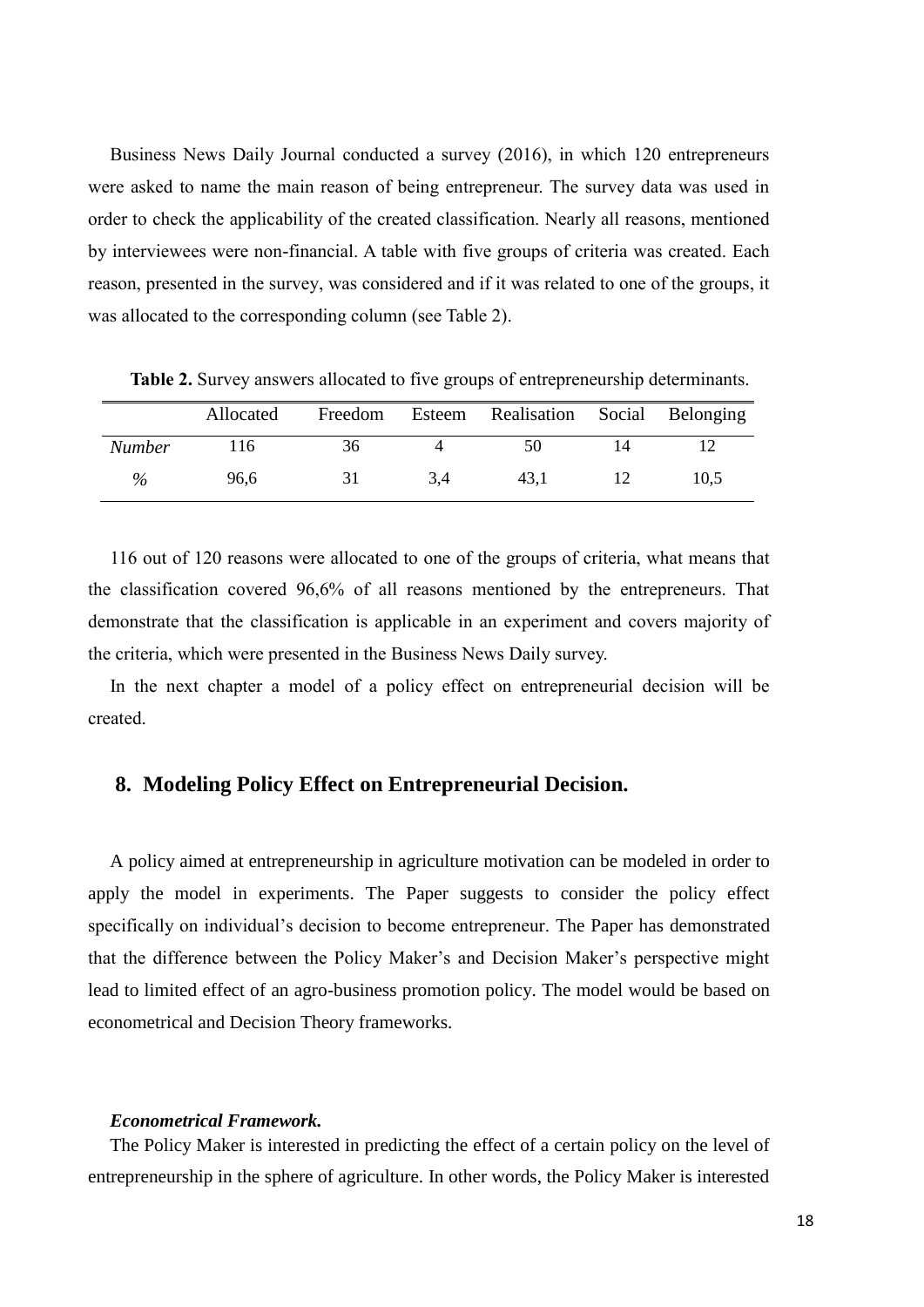Business News Daily Journal conducted a survey (2016), in which 120 entrepreneurs were asked to name the main reason of being entrepreneur. The survey data was used in order to check the applicability of the created classification. Nearly all reasons, mentioned by interviewees were non-financial. A table with five groups of criteria was created. Each reason, presented in the survey, was considered and if it was related to one of the groups, it was allocated to the corresponding column (see Table 2).

|        | Allocated |    |     | Freedom Esteem Realisation Social Belonging |      |
|--------|-----------|----|-----|---------------------------------------------|------|
| Number | ، 16      | 36 |     | 50                                          |      |
| $\%$   | 96.6      | 31 | 3.4 | 43.1                                        | 10.5 |

**Table 2.** Survey answers allocated to five groups of entrepreneurship determinants.

116 out of 120 reasons were allocated to one of the groups of criteria, what means that the classification covered 96,6% of all reasons mentioned by the entrepreneurs. That demonstrate that the classification is applicable in an experiment and covers majority of the criteria, which were presented in the Business News Daily survey.

In the next chapter a model of a policy effect on entrepreneurial decision will be created.

#### **8. Modeling Policy Effect on Entrepreneurial Decision.**

A policy aimed at entrepreneurship in agriculture motivation can be modeled in order to apply the model in experiments. The Paper suggests to consider the policy effect specifically on individual's decision to become entrepreneur. The Paper has demonstrated that the difference between the Policy Maker's and Decision Maker's perspective might lead to limited effect of an agro-business promotion policy. The model would be based on econometrical and Decision Theory frameworks.

#### *Econometrical Framework.*

The Policy Maker is interested in predicting the effect of a certain policy on the level of entrepreneurship in the sphere of agriculture. In other words, the Policy Maker is interested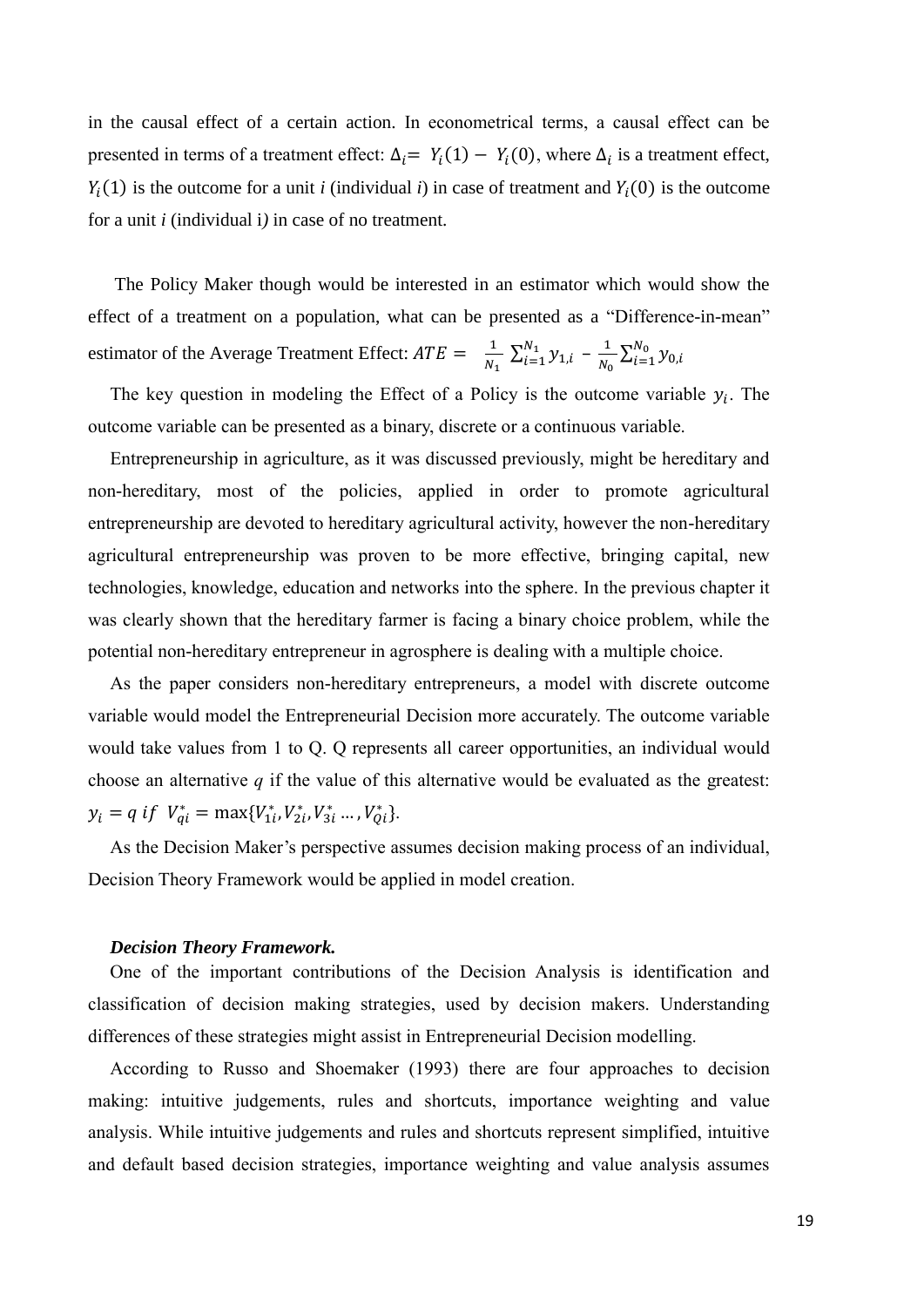in the causal effect of a certain action. In econometrical terms, a causal effect can be presented in terms of a treatment effect:  $\Delta_i = Y_i(1) - Y_i(0)$ , where  $\Delta_i$  is a treatment effect,  $Y_i(1)$  is the outcome for a unit *i* (individual *i*) in case of treatment and  $Y_i(0)$  is the outcome for a unit *i* (individual i*)* in case of no treatment.

The Policy Maker though would be interested in an estimator which would show the effect of a treatment on a population, what can be presented as a "Difference-in-mean" estimator of the Average Treatment Effect:  $ATE = \frac{1}{N}$  $\frac{1}{N_1} \sum_{i=1}^{N_1} y_{1,i}$  $\frac{N_1}{i=1} y_{1,i} - \frac{1}{N_0}$  $\frac{1}{N_0} \sum_{i=1}^{N_0} y_{0,i}$  $i=1$ 

The key question in modeling the Effect of a Policy is the outcome variable  $y_i$ . The outcome variable can be presented as a binary, discrete or a continuous variable.

Entrepreneurship in agriculture, as it was discussed previously, might be hereditary and non-hereditary, most of the policies, applied in order to promote agricultural entrepreneurship are devoted to hereditary agricultural activity, however the non-hereditary agricultural entrepreneurship was proven to be more effective, bringing capital, new technologies, knowledge, education and networks into the sphere. In the previous chapter it was clearly shown that the hereditary farmer is facing a binary choice problem, while the potential non-hereditary entrepreneur in agrosphere is dealing with a multiple choice.

As the paper considers non-hereditary entrepreneurs, a model with discrete outcome variable would model the Entrepreneurial Decision more accurately. The outcome variable would take values from 1 to Q. Q represents all career opportunities, an individual would choose an alternative *q* if the value of this alternative would be evaluated as the greatest:  $y_i = q \text{ if } V_{qi}^* = \max\{V_{1i}^*, V_{2i}^*, V_{3i}^* \dots, V_{Qi}^*\}.$ 

As the Decision Maker's perspective assumes decision making process of an individual, Decision Theory Framework would be applied in model creation.

#### *Decision Theory Framework.*

One of the important contributions of the Decision Analysis is identification and classification of decision making strategies, used by decision makers. Understanding differences of these strategies might assist in Entrepreneurial Decision modelling.

According to Russo and Shoemaker (1993) there are four approaches to decision making: intuitive judgements, rules and shortcuts, importance weighting and value analysis. While intuitive judgements and rules and shortcuts represent simplified, intuitive and default based decision strategies, importance weighting and value analysis assumes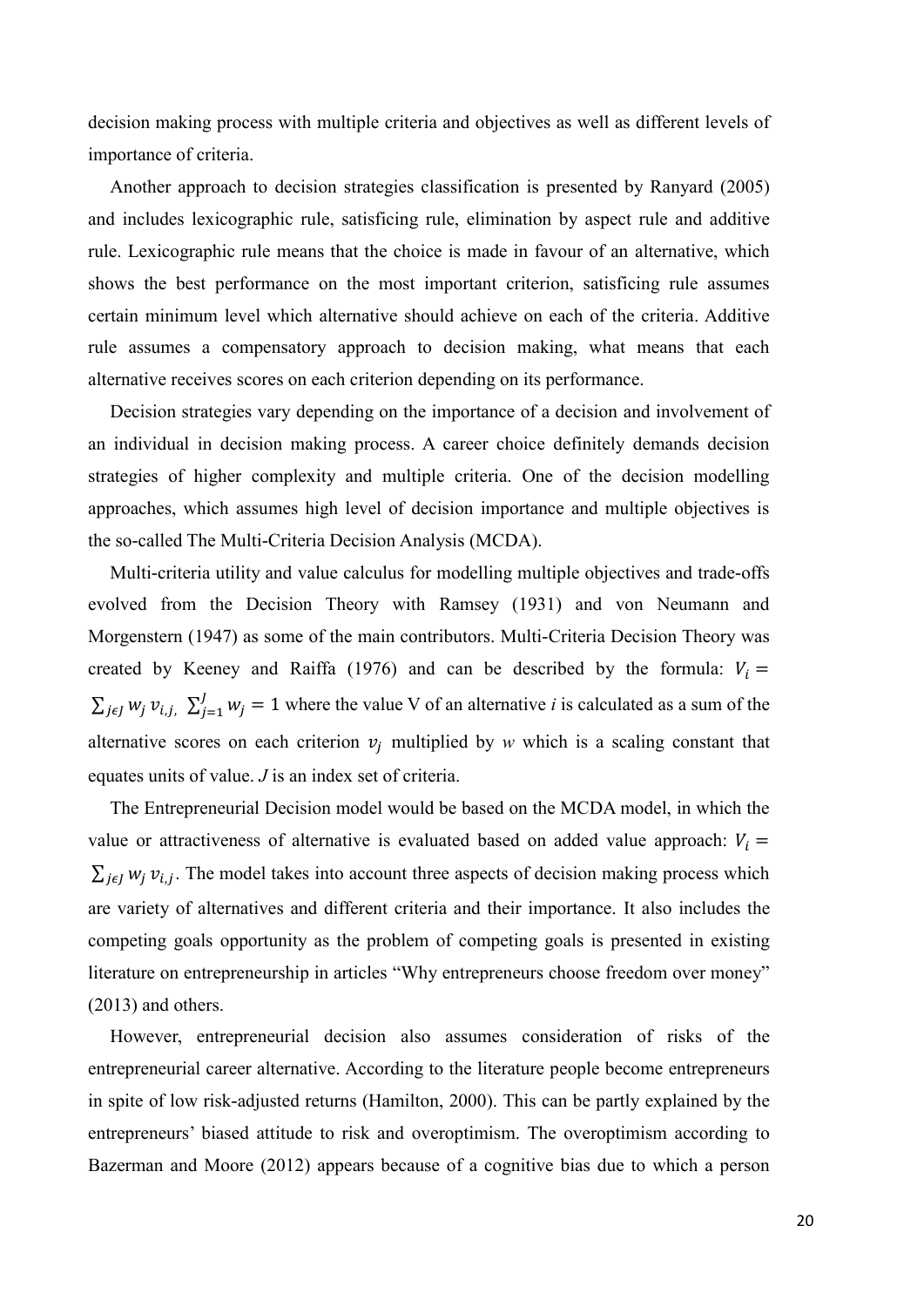decision making process with multiple criteria and objectives as well as different levels of importance of criteria.

Another approach to decision strategies classification is presented by Ranyard (2005) and includes lexicographic rule, satisficing rule, elimination by aspect rule and additive rule. Lexicographic rule means that the choice is made in favour of an alternative, which shows the best performance on the most important criterion, satisficing rule assumes certain minimum level which alternative should achieve on each of the criteria. Additive rule assumes a compensatory approach to decision making, what means that each alternative receives scores on each criterion depending on its performance.

Decision strategies vary depending on the importance of a decision and involvement of an individual in decision making process. A career choice definitely demands decision strategies of higher complexity and multiple criteria. One of the decision modelling approaches, which assumes high level of decision importance and multiple objectives is the so-called The Multi-Criteria Decision Analysis (MCDA).

Multi-criteria utility and value calculus for modelling multiple objectives and trade-offs evolved from the Decision Theory with Ramsey (1931) and von Neumann and Morgenstern (1947) as some of the main contributors. Multi-Criteria Decision Theory was created by Keeney and Raiffa (1976) and can be described by the formula:  $V_i =$  $\sum_{j \in J} w_j v_{i,j}$ ,  $\sum_{j=1}^{J} w_j = 1$  where the value V of an alternative *i* is calculated as a sum of the alternative scores on each criterion  $v_j$  multiplied by *w* which is a scaling constant that equates units of value. *J* is an index set of criteria.

The Entrepreneurial Decision model would be based on the MCDA model, in which the value or attractiveness of alternative is evaluated based on added value approach:  $V_i$  =  $\sum_{j \in J} w_j v_{i,j}$ . The model takes into account three aspects of decision making process which are variety of alternatives and different criteria and their importance. It also includes the competing goals opportunity as the problem of competing goals is presented in existing literature on entrepreneurship in articles "Why entrepreneurs choose freedom over money" (2013) and others.

However, entrepreneurial decision also assumes consideration of risks of the entrepreneurial career alternative. According to the literature people become entrepreneurs in spite of low risk-adjusted returns (Hamilton, 2000). This can be partly explained by the entrepreneurs' biased attitude to risk and overoptimism. The overoptimism according to Bazerman and Moore (2012) appears because of a cognitive bias due to which a person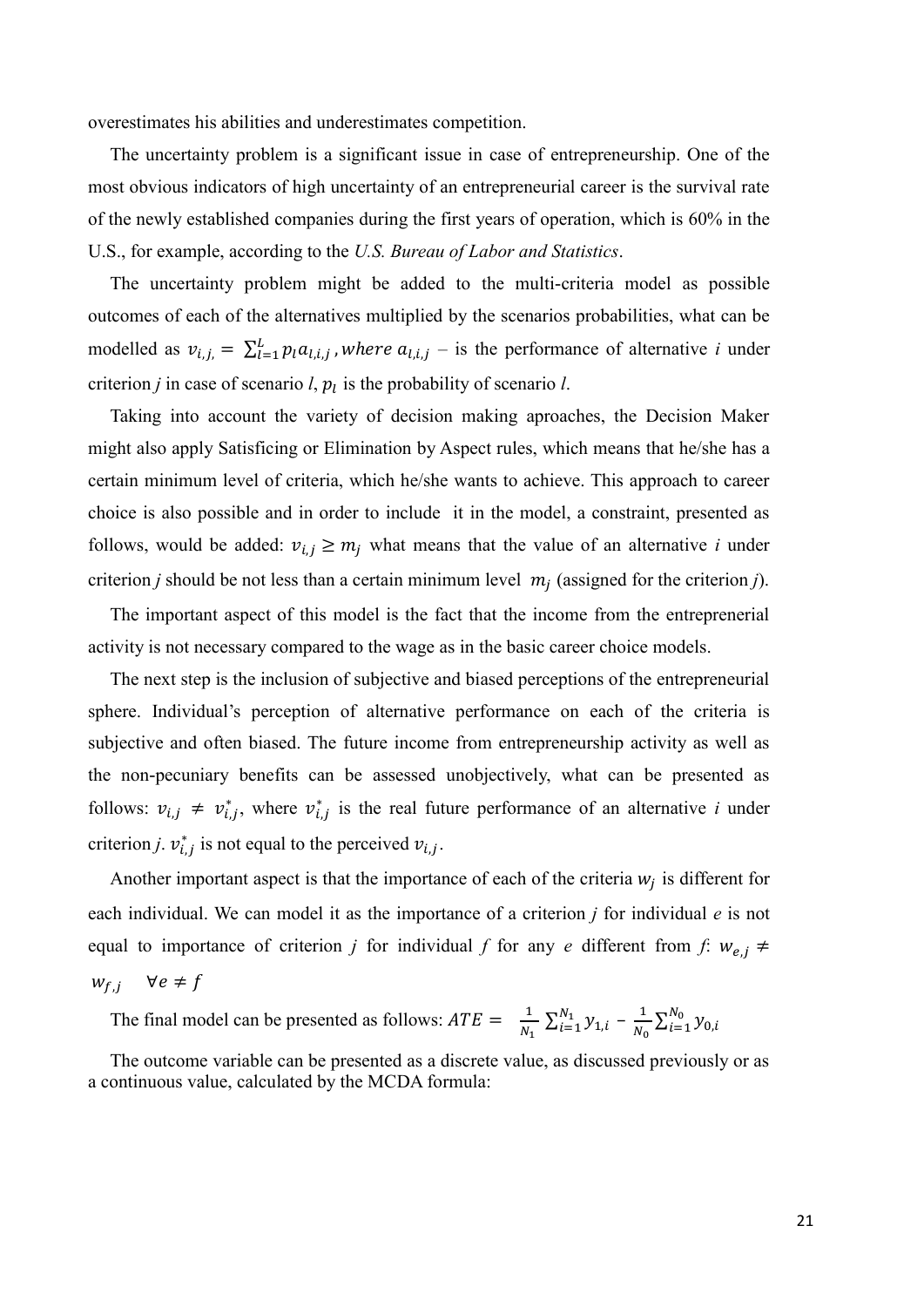overestimates his abilities and underestimates competition.

The uncertainty problem is a significant issue in case of entrepreneurship. One of the most obvious indicators of high uncertainty of an entrepreneurial career is the survival rate of the newly established companies during the first years of operation, which is 60% in the U.S., for example, according to the *U.S. Bureau of Labor and Statistics*.

The uncertainty problem might be added to the multi-criteria model as possible outcomes of each of the alternatives multiplied by the scenarios probabilities, what can be modelled as  $v_{i,j} = \sum_{l=1}^{L} p_l a_{l,i,j}$ , where  $a_{l,i,j}$  – is the performance of alternative *i* under criterion *j* in case of scenario *l*,  $p_l$  is the probability of scenario *l*.

Taking into account the variety of decision making aproaches, the Decision Maker might also apply Satisficing or Elimination by Aspect rules, which means that he/she has a certain minimum level of criteria, which he/she wants to achieve. This approach to career choice is also possible and in order to include it in the model, a constraint, presented as follows, would be added:  $v_{i,j} \geq m_j$  what means that the value of an alternative *i* under criterion *j* should be not less than a certain minimum level  $m_j$  (assigned for the criterion *j*).

The important aspect of this model is the fact that the income from the entreprenerial activity is not necessary compared to the wage as in the basic career choice models.

The next step is the inclusion of subjective and biased perceptions of the entrepreneurial sphere. Individual's perception of alternative performance on each of the criteria is subjective and often biased. The future income from entrepreneurship activity as well as the non-pecuniary benefits can be assessed unobjectively, what can be presented as follows:  $v_{i,j} \neq v_{i,j}^*$ , where  $v_{i,j}^*$  is the real future performance of an alternative *i* under criterion *j*.  $v_{i,j}^*$  is not equal to the perceived  $v_{i,j}$ .

Another important aspect is that the importance of each of the criteria  $w_j$  is different for each individual. We can model it as the importance of a criterion *j* for individual *e* is not equal to importance of criterion *j* for individual *f* for any *e* different from *f*:  $w_{e,i} \neq$  $W_{f,i}$   $\forall e \neq f$ 

The final model can be presented as follows:  $ATE = \frac{1}{N}$  $\frac{1}{N_1} \sum_{i=1}^{N_1} y_{1,i}$  $\frac{N_1}{i=1} y_{1,i} - \frac{1}{N_0}$  $\frac{1}{N_0} \sum_{i=1}^{N_0} y_{0,i}$  $i=1$ 

The outcome variable can be presented as a discrete value, as discussed previously or as a continuous value, calculated by the MCDA formula: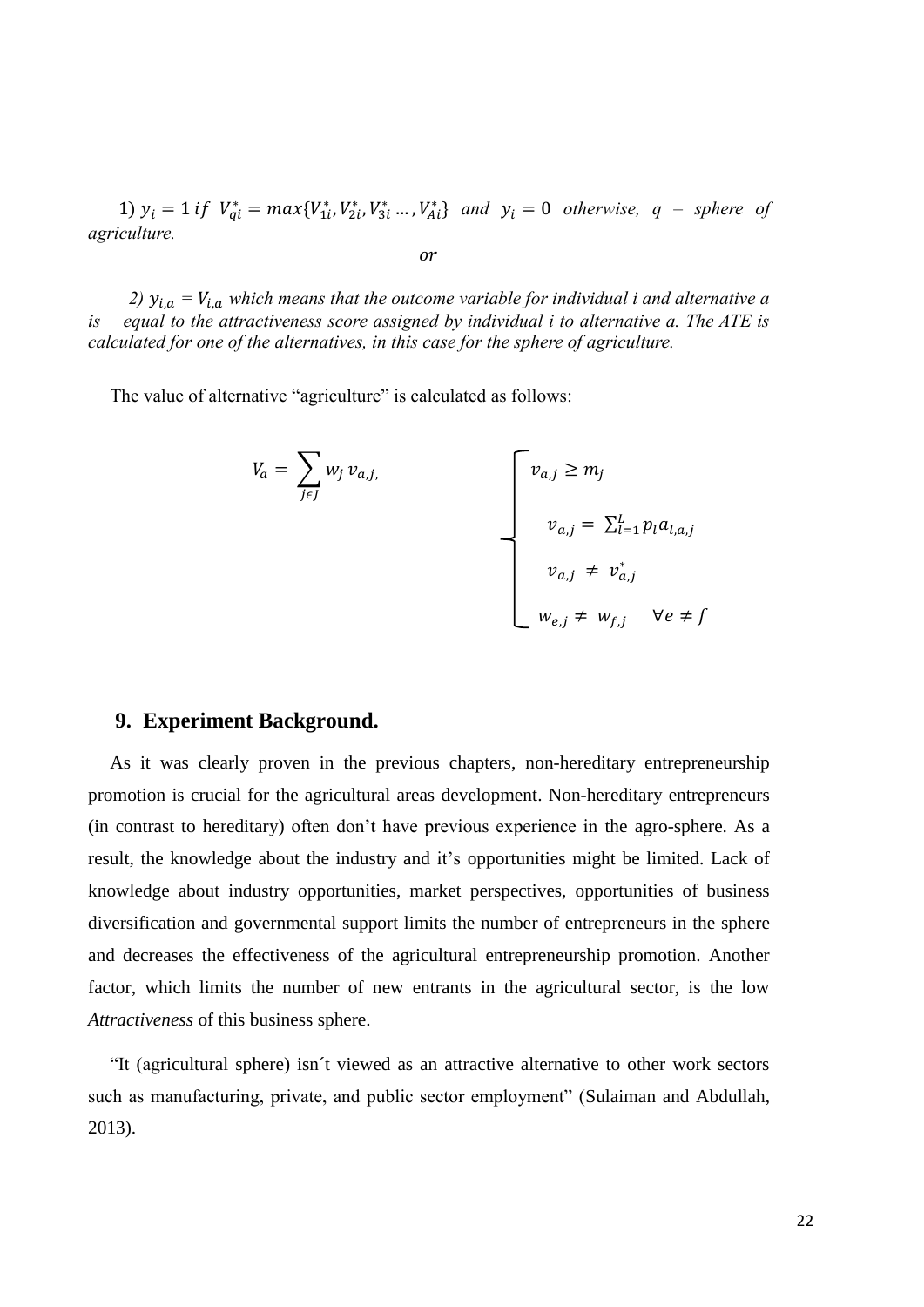1)  $y_i = 1$  if  $V_{qi}^* = max{V_{1i}^*, V_{2i}^*, V_{3i}^* ... , V_{Ai}^*}$  and  $y_i = 0$  *otherwise*,  $q$  – *sphere of agriculture.*

$$
\overline{or}
$$

*2)*  $y_{i,a} = V_{i,a}$  which means that the outcome variable for individual i and alternative a *is equal to the attractiveness score assigned by individual i to alternative a. The ATE is calculated for one of the alternatives, in this case for the sphere of agriculture.*

The value of alternative "agriculture" is calculated as follows:

$$
V_a = \sum_{j \in J} w_j v_{a,j},
$$
  

$$
v_{a,j} = \sum_{l=1}^{L} p_l a_{l,a,j}
$$
  

$$
v_{a,j} \neq v_{a,j}^*
$$
  

$$
w_{e,j} \neq w_{f,j} \quad \forall e \neq f
$$

#### **9. Experiment Background.**

As it was clearly proven in the previous chapters, non-hereditary entrepreneurship promotion is crucial for the agricultural areas development. Non-hereditary entrepreneurs (in contrast to hereditary) often don't have previous experience in the agro-sphere. As a result, the knowledge about the industry and it's opportunities might be limited. Lack of knowledge about industry opportunities, market perspectives, opportunities of business diversification and governmental support limits the number of entrepreneurs in the sphere and decreases the effectiveness of the agricultural entrepreneurship promotion. Another factor, which limits the number of new entrants in the agricultural sector, is the low *Attractiveness* of this business sphere.

"It (agricultural sphere) isn´t viewed as an attractive alternative to other work sectors such as manufacturing, private, and public sector employment" (Sulaiman and Abdullah, 2013).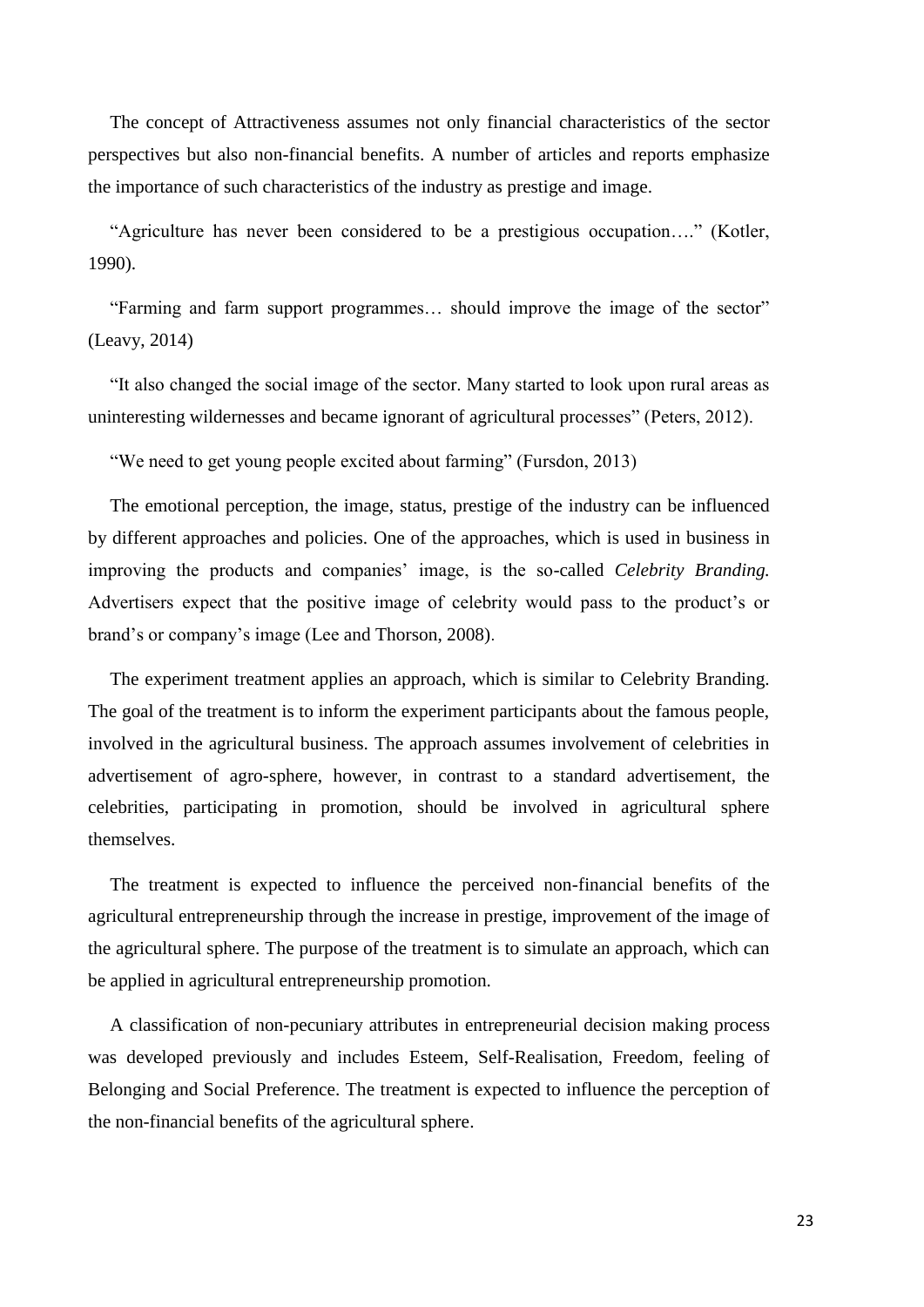The concept of Attractiveness assumes not only financial characteristics of the sector perspectives but also non-financial benefits. A number of articles and reports emphasize the importance of such characteristics of the industry as prestige and image.

"Agriculture has never been considered to be a prestigious occupation…." (Kotler, 1990).

"Farming and farm support programmes… should improve the image of the sector" (Leavy, 2014)

"It also changed the social image of the sector. Many started to look upon rural areas as uninteresting wildernesses and became ignorant of agricultural processes" (Peters, 2012).

"We need to get young people excited about farming" (Fursdon, 2013)

The emotional perception, the image, status, prestige of the industry can be influenced by different approaches and policies. One of the approaches, which is used in business in improving the products and companies' image, is the so-called *Celebrity Branding.*  Advertisers expect that the positive image of celebrity would pass to the product's or brand's or company's image (Lee and Thorson, 2008).

The experiment treatment applies an approach, which is similar to Celebrity Branding. The goal of the treatment is to inform the experiment participants about the famous people, involved in the agricultural business. The approach assumes involvement of celebrities in advertisement of agro-sphere, however, in contrast to a standard advertisement, the celebrities, participating in promotion, should be involved in agricultural sphere themselves.

The treatment is expected to influence the perceived non-financial benefits of the agricultural entrepreneurship through the increase in prestige, improvement of the image of the agricultural sphere. The purpose of the treatment is to simulate an approach, which can be applied in agricultural entrepreneurship promotion.

A classification of non-pecuniary attributes in entrepreneurial decision making process was developed previously and includes Esteem, Self-Realisation, Freedom, feeling of Belonging and Social Preference. The treatment is expected to influence the perception of the non-financial benefits of the agricultural sphere.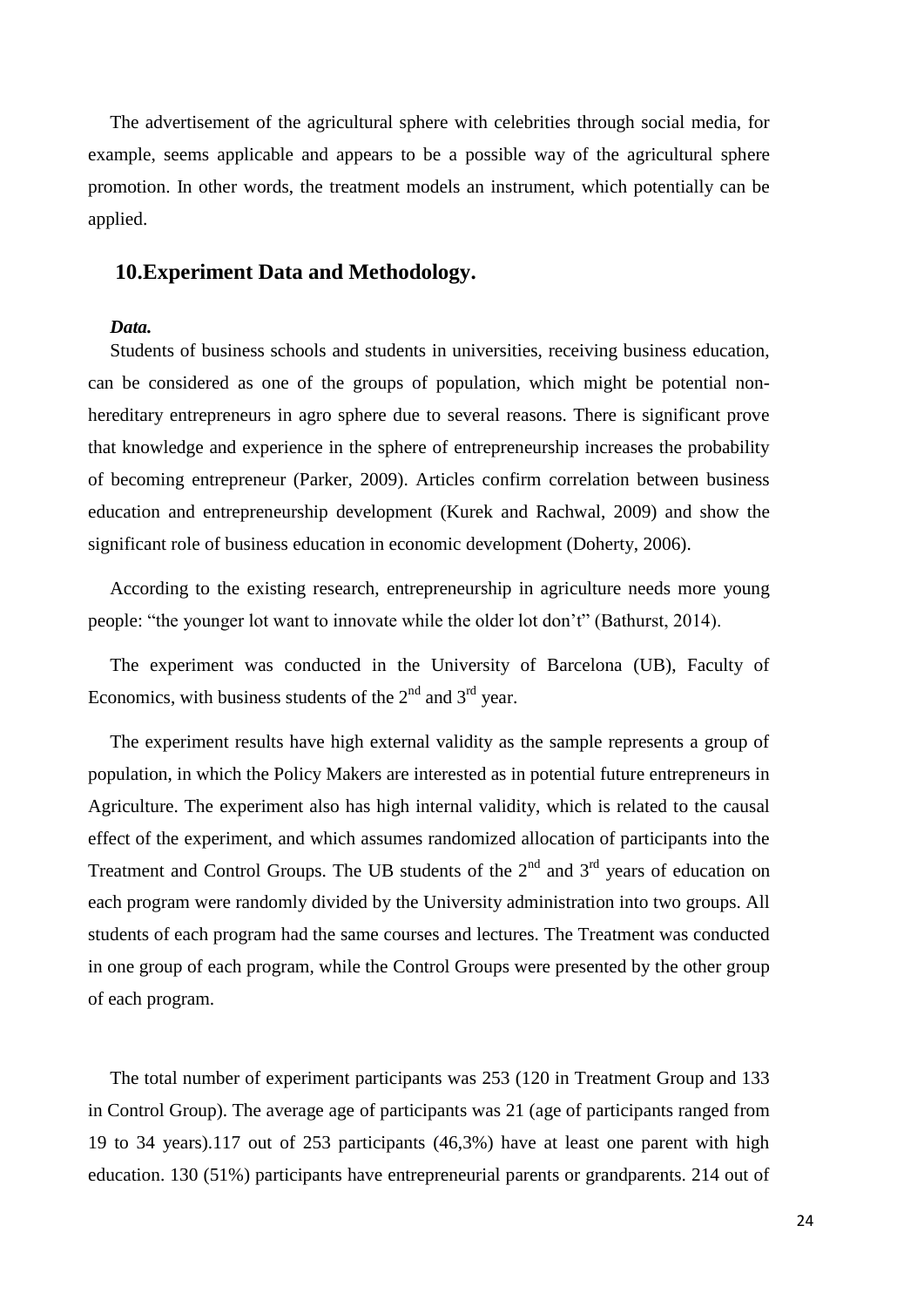The advertisement of the agricultural sphere with celebrities through social media, for example, seems applicable and appears to be a possible way of the agricultural sphere promotion. In other words, the treatment models an instrument, which potentially can be applied.

#### **10.Experiment Data and Methodology.**

#### *Data.*

Students of business schools and students in universities, receiving business education, can be considered as one of the groups of population, which might be potential nonhereditary entrepreneurs in agro sphere due to several reasons. There is significant prove that knowledge and experience in the sphere of entrepreneurship increases the probability of becoming entrepreneur (Parker, 2009). Articles confirm correlation between business education and entrepreneurship development (Kurek and Rachwal, 2009) and show the significant role of business education in economic development (Doherty, 2006).

According to the existing research, entrepreneurship in agriculture needs more young people: "the younger lot want to innovate while the older lot don't" (Bathurst, 2014).

The experiment was conducted in the University of Barcelona (UB), Faculty of Economics, with business students of the  $2<sup>nd</sup>$  and  $3<sup>rd</sup>$  year.

The experiment results have high external validity as the sample represents a group of population, in which the Policy Makers are interested as in potential future entrepreneurs in Agriculture. The experiment also has high internal validity, which is related to the causal effect of the experiment, and which assumes randomized allocation of participants into the Treatment and Control Groups. The UB students of the  $2<sup>nd</sup>$  and  $3<sup>rd</sup>$  years of education on each program were randomly divided by the University administration into two groups. All students of each program had the same courses and lectures. The Treatment was conducted in one group of each program, while the Control Groups were presented by the other group of each program.

The total number of experiment participants was 253 (120 in Treatment Group and 133 in Control Group). The average age of participants was 21 (age of participants ranged from 19 to 34 years).117 out of 253 participants (46,3%) have at least one parent with high education. 130 (51%) participants have entrepreneurial parents or grandparents. 214 out of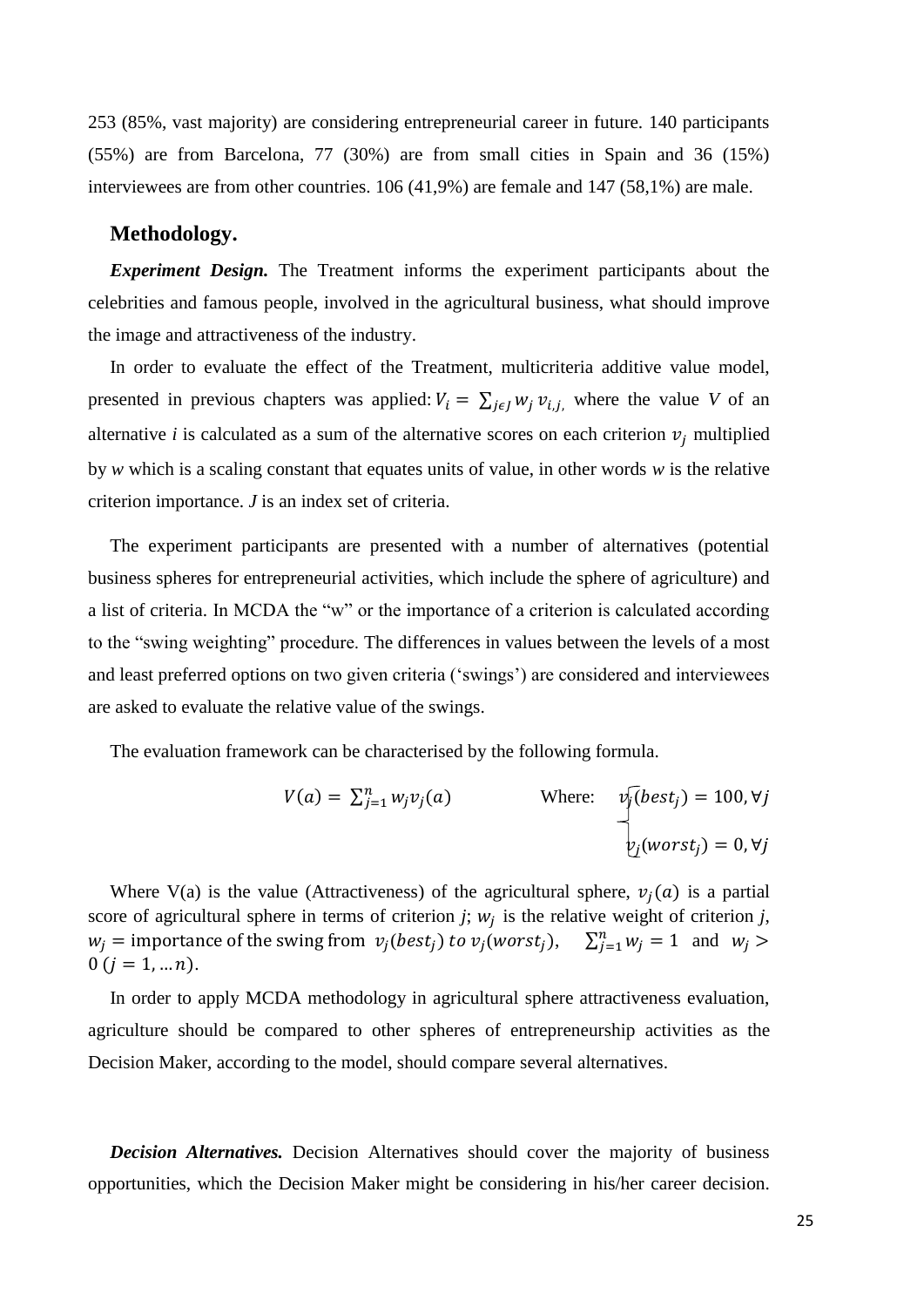253 (85%, vast majority) are considering entrepreneurial career in future. 140 participants (55%) are from Barcelona, 77 (30%) are from small cities in Spain and 36 (15%) interviewees are from other countries. 106 (41,9%) are female and 147 (58,1%) are male.

#### **Methodology.**

*Experiment Design.* The Treatment informs the experiment participants about the celebrities and famous people, involved in the agricultural business, what should improve the image and attractiveness of the industry.

In order to evaluate the effect of the Treatment, multicriteria additive value model, presented in previous chapters was applied:  $V_i = \sum_{i \in I} w_i v_{i,i}$ , where the value *V* of an alternative *i* is calculated as a sum of the alternative scores on each criterion  $v_i$  multiplied by *w* which is a scaling constant that equates units of value, in other words *w* is the relative criterion importance. *J* is an index set of criteria.

The experiment participants are presented with a number of alternatives (potential business spheres for entrepreneurial activities, which include the sphere of agriculture) and a list of criteria. In MCDA the "w" or the importance of a criterion is calculated according to the "swing weighting" procedure. The differences in values between the levels of a most and least preferred options on two given criteria ('swings') are considered and interviewees are asked to evaluate the relative value of the swings.

The evaluation framework can be characterised by the following formula.

$$
V(a) = \sum_{j=1}^{n} w_j v_j(a)
$$
 Where:  $v_j(best_j) = 100, \forall j$   
 $v_j(worst_j) = 0, \forall j$ 

Where V(a) is the value (Attractiveness) of the agricultural sphere,  $v_i(a)$  is a partial score of agricultural sphere in terms of criterion  $j$ ;  $w_j$  is the relative weight of criterion  $j$ ,  $w_j$  = importance of the swing from  $v_j(best_j)$  to  $v_j(worst_j)$ ,  $\sum_{j=1}^n w_j = 1$  and  $w_j >$  $0 (j = 1, ... n).$ 

In order to apply MCDA methodology in agricultural sphere attractiveness evaluation, agriculture should be compared to other spheres of entrepreneurship activities as the Decision Maker, according to the model, should compare several alternatives.

*Decision Alternatives.* Decision Alternatives should cover the majority of business opportunities, which the Decision Maker might be considering in his/her career decision.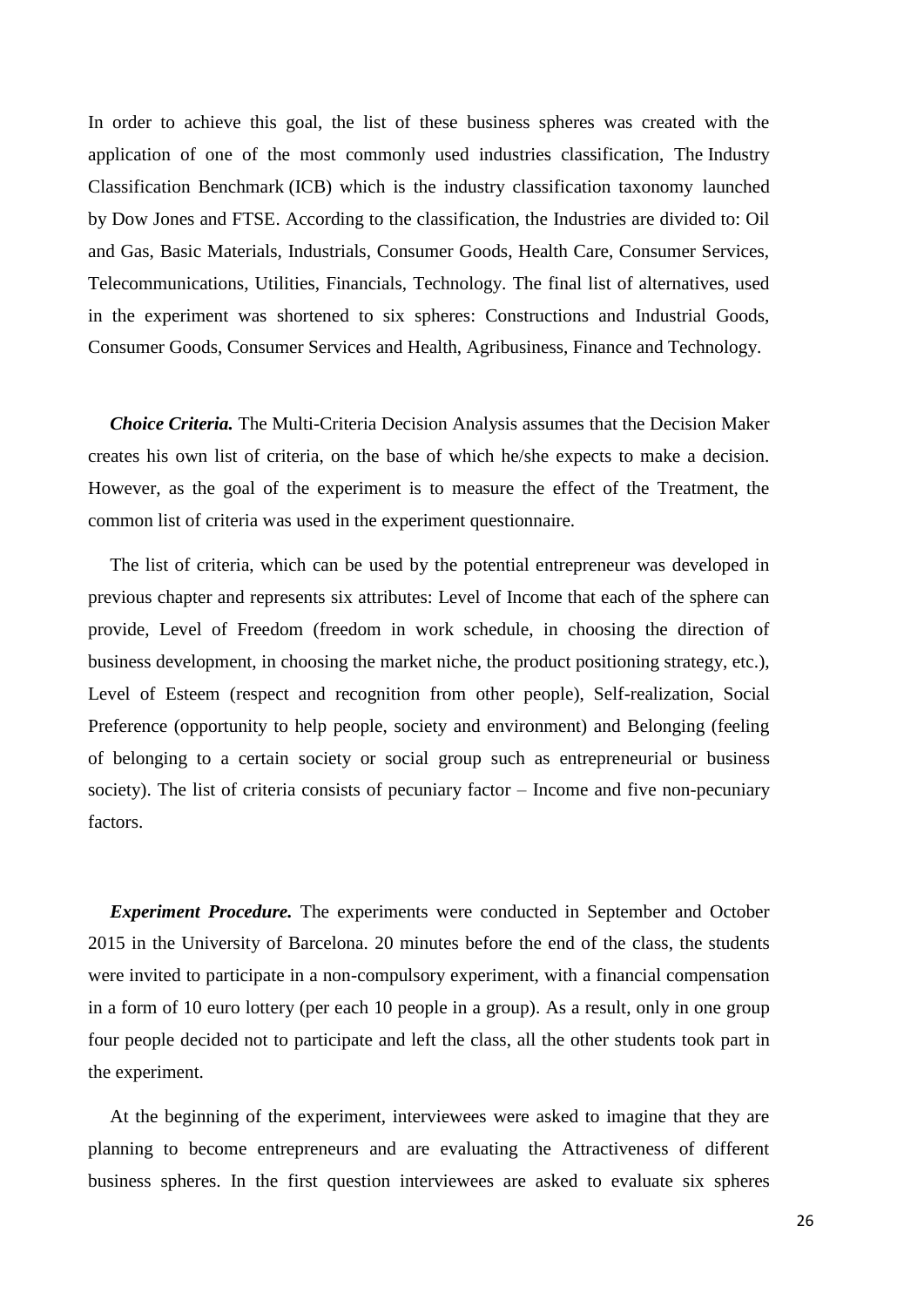In order to achieve this goal, the list of these business spheres was created with the application of one of the most commonly used industries classification, The Industry Classification Benchmark (ICB) which is the industry classification taxonomy launched by Dow Jones and FTSE. According to the classification, the Industries are divided to: Oil and Gas, Basic Materials, Industrials, Consumer Goods, Health Care, Consumer Services, Telecommunications, Utilities, Financials, Technology. The final list of alternatives, used in the experiment was shortened to six spheres: Constructions and Industrial Goods, Consumer Goods, Consumer Services and Health, Agribusiness, Finance and Technology.

*Choice Criteria.* The Multi-Criteria Decision Analysis assumes that the Decision Maker creates his own list of criteria, on the base of which he/she expects to make a decision. However, as the goal of the experiment is to measure the effect of the Treatment, the common list of criteria was used in the experiment questionnaire.

The list of criteria, which can be used by the potential entrepreneur was developed in previous chapter and represents six attributes: Level of Income that each of the sphere can provide, Level of Freedom (freedom in work schedule, in choosing the direction of business development, in choosing the market niche, the product positioning strategy, etc.), Level of Esteem (respect and recognition from other people), Self-realization, Social Preference (opportunity to help people, society and environment) and Belonging (feeling of belonging to a certain society or social group such as entrepreneurial or business society). The list of criteria consists of pecuniary factor – Income and five non-pecuniary factors.

*Experiment Procedure.* The experiments were conducted in September and October 2015 in the University of Barcelona. 20 minutes before the end of the class, the students were invited to participate in a non-compulsory experiment, with a financial compensation in a form of 10 euro lottery (per each 10 people in a group). As a result, only in one group four people decided not to participate and left the class, all the other students took part in the experiment.

At the beginning of the experiment, interviewees were asked to imagine that they are planning to become entrepreneurs and are evaluating the Attractiveness of different business spheres. In the first question interviewees are asked to evaluate six spheres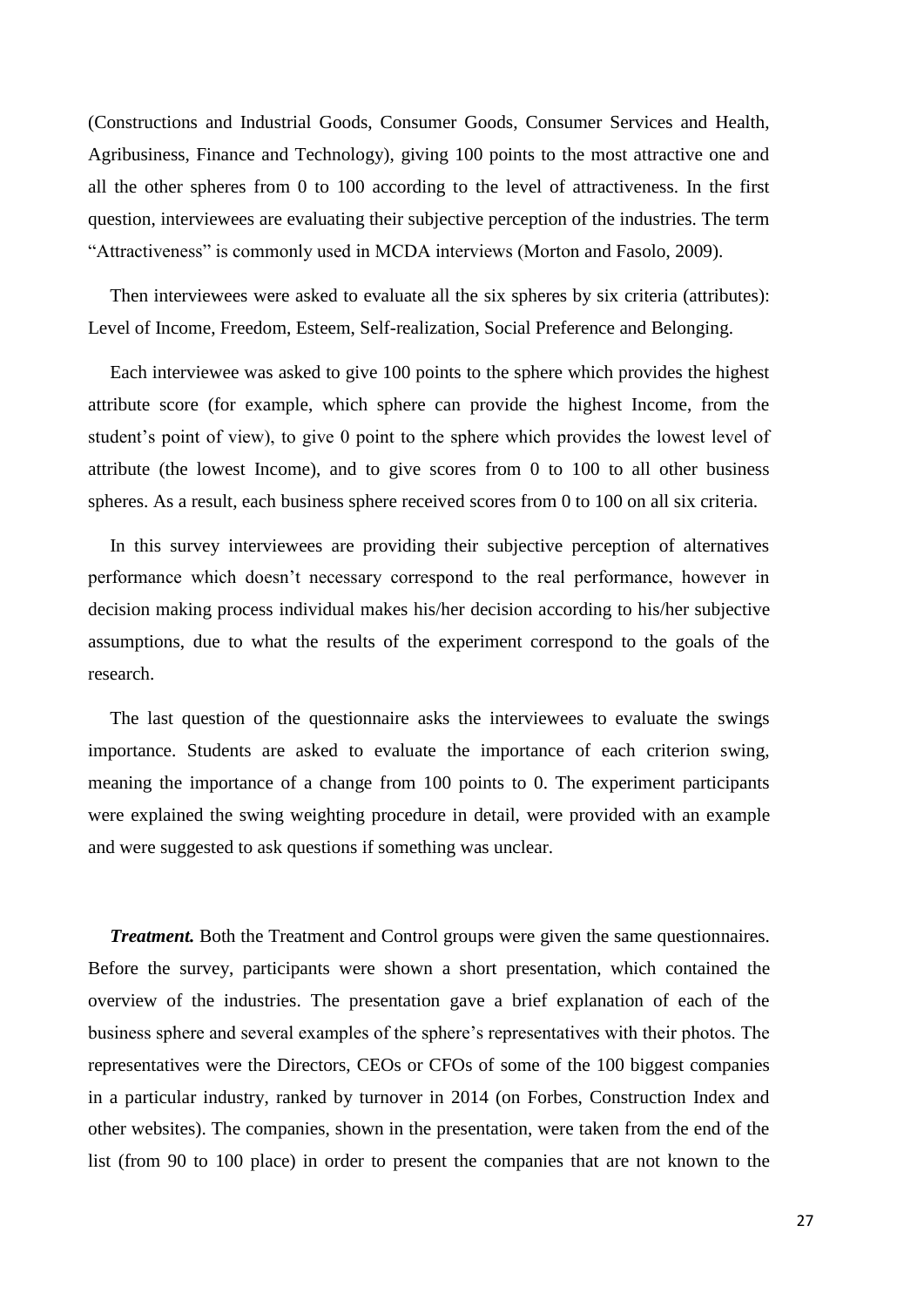(Constructions and Industrial Goods, Consumer Goods, Consumer Services and Health, Agribusiness, Finance and Technology), giving 100 points to the most attractive one and all the other spheres from 0 to 100 according to the level of attractiveness. In the first question, interviewees are evaluating their subjective perception of the industries. The term "Attractiveness" is commonly used in MCDA interviews (Morton and Fasolo, 2009).

Then interviewees were asked to evaluate all the six spheres by six criteria (attributes): Level of Income, Freedom, Esteem, Self-realization, Social Preference and Belonging.

Each interviewee was asked to give 100 points to the sphere which provides the highest attribute score (for example, which sphere can provide the highest Income, from the student's point of view), to give 0 point to the sphere which provides the lowest level of attribute (the lowest Income), and to give scores from 0 to 100 to all other business spheres. As a result, each business sphere received scores from 0 to 100 on all six criteria.

In this survey interviewees are providing their subjective perception of alternatives performance which doesn't necessary correspond to the real performance, however in decision making process individual makes his/her decision according to his/her subjective assumptions, due to what the results of the experiment correspond to the goals of the research.

The last question of the questionnaire asks the interviewees to evaluate the swings importance. Students are asked to evaluate the importance of each criterion swing, meaning the importance of a change from 100 points to 0. The experiment participants were explained the swing weighting procedure in detail, were provided with an example and were suggested to ask questions if something was unclear.

*Treatment.* Both the Treatment and Control groups were given the same questionnaires. Before the survey, participants were shown a short presentation, which contained the overview of the industries. The presentation gave a brief explanation of each of the business sphere and several examples of the sphere's representatives with their photos. The representatives were the Directors, CEOs or CFOs of some of the 100 biggest companies in a particular industry, ranked by turnover in 2014 (on Forbes, Construction Index and other websites). The companies, shown in the presentation, were taken from the end of the list (from 90 to 100 place) in order to present the companies that are not known to the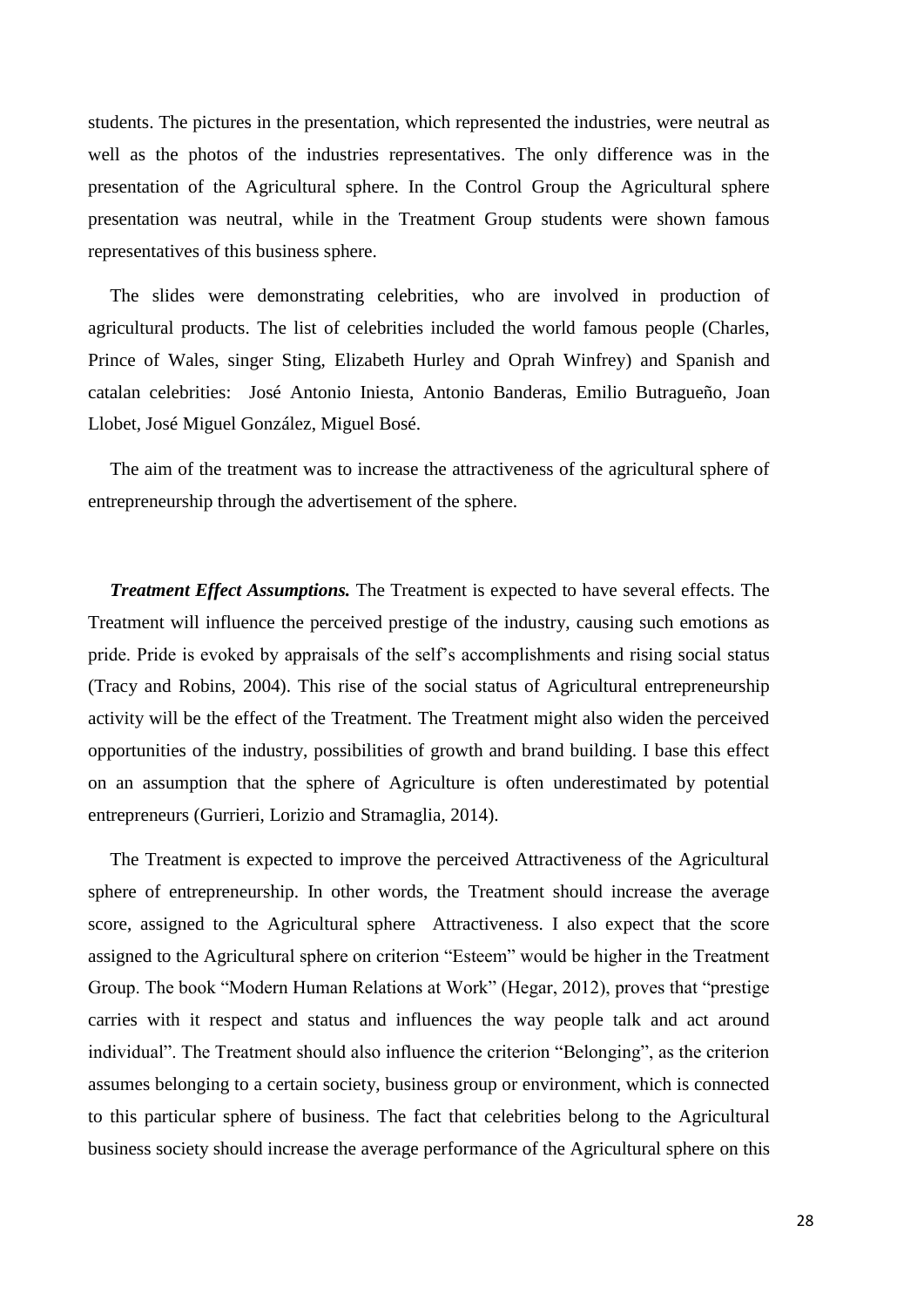students. The pictures in the presentation, which represented the industries, were neutral as well as the photos of the industries representatives. The only difference was in the presentation of the Agricultural sphere. In the Control Group the Agricultural sphere presentation was neutral, while in the Treatment Group students were shown famous representatives of this business sphere.

The slides were demonstrating celebrities, who are involved in production of agricultural products. The list of celebrities included the world famous people (Charles, Prince of Wales, singer Sting, Elizabeth Hurley and Oprah Winfrey) and Spanish and catalan celebrities: José Antonio Iniesta, Antonio Banderas, Emilio Butragueño, Joan Llobet, José Miguel González, Miguel Bosé.

The aim of the treatment was to increase the attractiveness of the agricultural sphere of entrepreneurship through the advertisement of the sphere.

*Treatment Effect Assumptions.* The Treatment is expected to have several effects. The Treatment will influence the perceived prestige of the industry, causing such emotions as pride. Pride is evoked by appraisals of the self's accomplishments and rising social status (Tracy and Robins, 2004). This rise of the social status of Agricultural entrepreneurship activity will be the effect of the Treatment. The Treatment might also widen the perceived opportunities of the industry, possibilities of growth and brand building. I base this effect on an assumption that the sphere of Agriculture is often underestimated by potential entrepreneurs (Gurrieri, Lorizio and Stramaglia, 2014).

The Treatment is expected to improve the perceived Attractiveness of the Agricultural sphere of entrepreneurship. In other words, the Treatment should increase the average score, assigned to the Agricultural sphere Attractiveness. I also expect that the score assigned to the Agricultural sphere on criterion "Esteem" would be higher in the Treatment Group. The book "Modern Human Relations at Work" (Hegar, 2012), proves that "prestige carries with it respect and status and influences the way people talk and act around individual". The Treatment should also influence the criterion "Belonging", as the criterion assumes belonging to a certain society, business group or environment, which is connected to this particular sphere of business. The fact that celebrities belong to the Agricultural business society should increase the average performance of the Agricultural sphere on this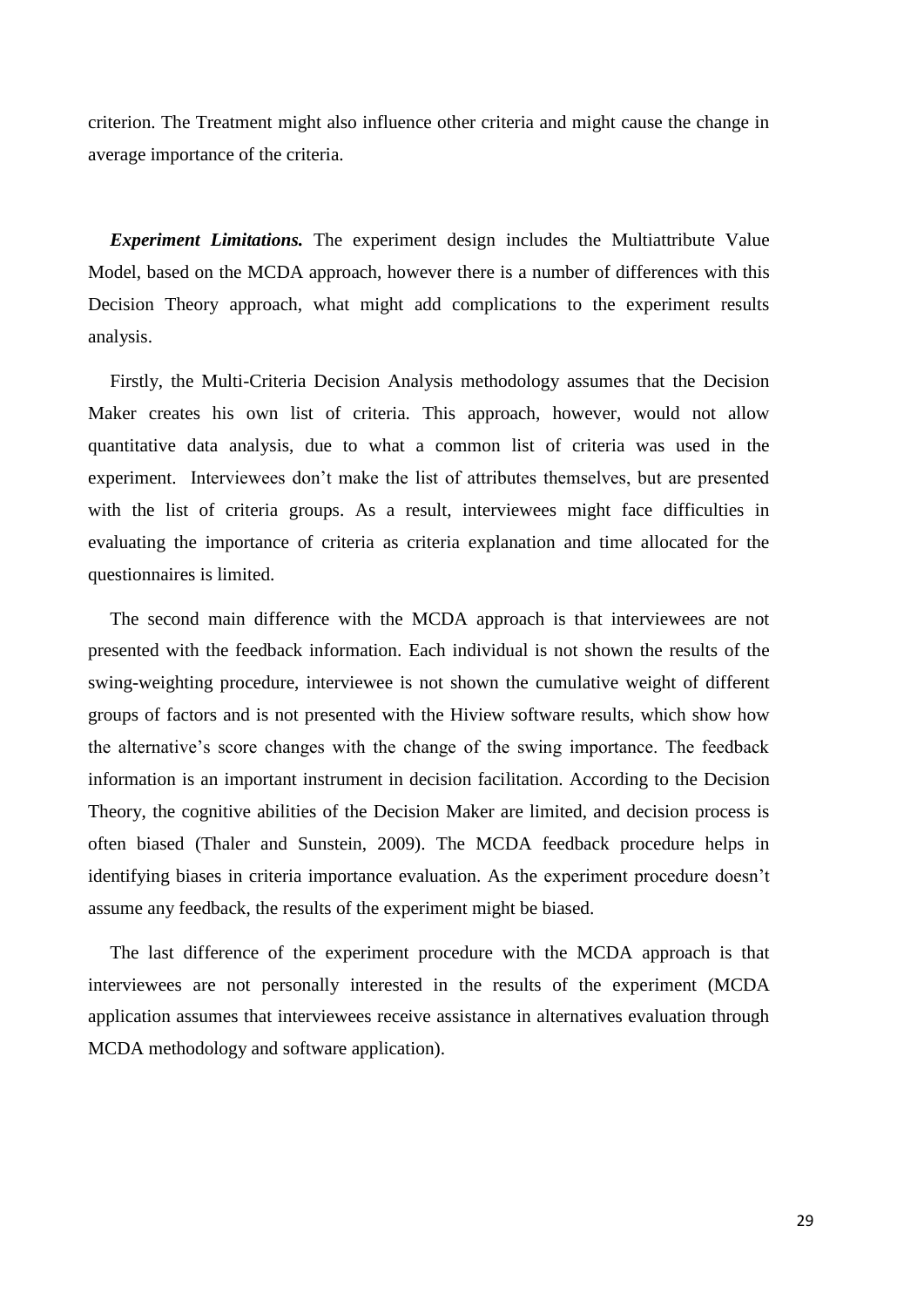criterion. The Treatment might also influence other criteria and might cause the change in average importance of the criteria.

*Experiment Limitations.* The experiment design includes the Multiattribute Value Model, based on the MCDA approach, however there is a number of differences with this Decision Theory approach, what might add complications to the experiment results analysis.

Firstly, the Multi-Criteria Decision Analysis methodology assumes that the Decision Maker creates his own list of criteria. This approach, however, would not allow quantitative data analysis, due to what a common list of criteria was used in the experiment. Interviewees don't make the list of attributes themselves, but are presented with the list of criteria groups. As a result, interviewees might face difficulties in evaluating the importance of criteria as criteria explanation and time allocated for the questionnaires is limited.

The second main difference with the MCDA approach is that interviewees are not presented with the feedback information. Each individual is not shown the results of the swing-weighting procedure, interviewee is not shown the cumulative weight of different groups of factors and is not presented with the Hiview software results, which show how the alternative's score changes with the change of the swing importance. The feedback information is an important instrument in decision facilitation. According to the Decision Theory, the cognitive abilities of the Decision Maker are limited, and decision process is often biased (Thaler and Sunstein, 2009). The MCDA feedback procedure helps in identifying biases in criteria importance evaluation. As the experiment procedure doesn't assume any feedback, the results of the experiment might be biased.

The last difference of the experiment procedure with the MCDA approach is that interviewees are not personally interested in the results of the experiment (MCDA application assumes that interviewees receive assistance in alternatives evaluation through MCDA methodology and software application).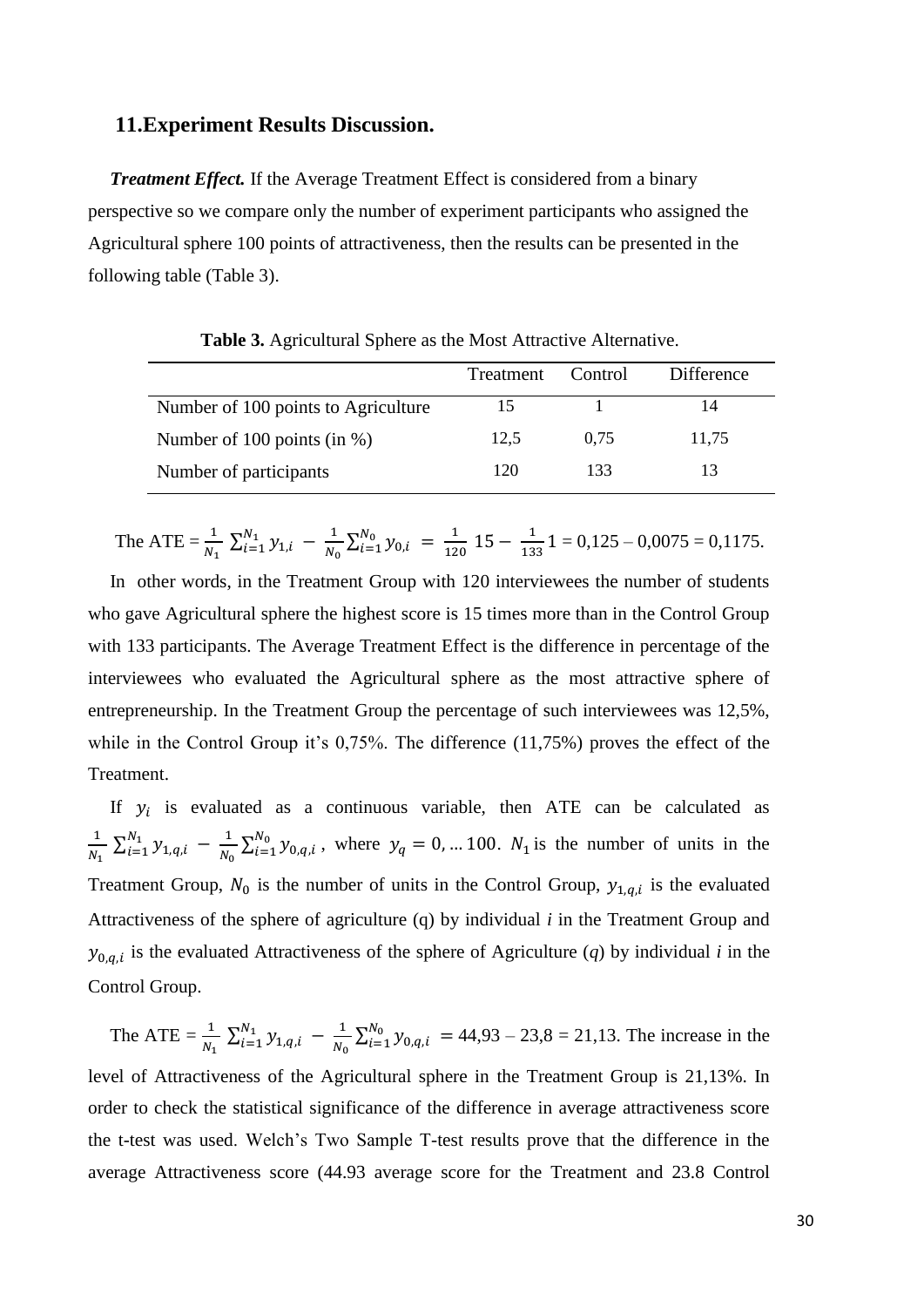#### **11.Experiment Results Discussion.**

*Treatment Effect.* If the Average Treatment Effect is considered from a binary perspective so we compare only the number of experiment participants who assigned the Agricultural sphere 100 points of attractiveness, then the results can be presented in the following table (Table 3).

|                                     | Treatment | Control | <b>Difference</b> |
|-------------------------------------|-----------|---------|-------------------|
| Number of 100 points to Agriculture | 15        |         |                   |
| Number of 100 points (in %)         | 12.5      | 0.75    | 11,75             |
| Number of participants              | 120       | 133     |                   |

**Table 3.** Agricultural Sphere as the Most Attractive Alternative.

The ATE = 
$$
\frac{1}{N_1} \sum_{i=1}^{N_1} y_{1,i} - \frac{1}{N_0} \sum_{i=1}^{N_0} y_{0,i} = \frac{1}{120} 15 - \frac{1}{133} 1 = 0,125 - 0,0075 = 0,1175.
$$

In other words, in the Treatment Group with 120 interviewees the number of students who gave Agricultural sphere the highest score is 15 times more than in the Control Group with 133 participants. The Average Treatment Effect is the difference in percentage of the interviewees who evaluated the Agricultural sphere as the most attractive sphere of entrepreneurship. In the Treatment Group the percentage of such interviewees was 12,5%, while in the Control Group it's 0,75%. The difference (11,75%) proves the effect of the Treatment.

If  $y_i$  is evaluated as a continuous variable, then ATE can be calculated as 1  $\frac{1}{N_1} \sum_{i=1}^{N_1} y_{1,q,i} - \frac{1}{N_0}$  $\frac{1}{N_0} \sum_{i=1}^{N_0} y_{0,q,i}$  $_{i=1}^{N_0}$   $y_{0,q,i}$ , where  $y_q = 0,... 100$ .  $N_1$  is the number of units in the Treatment Group,  $N_0$  is the number of units in the Control Group,  $y_{1,q,i}$  is the evaluated Attractiveness of the sphere of agriculture (q) by individual *i* in the Treatment Group and  $y_{0,q,i}$  is the evaluated Attractiveness of the sphere of Agriculture (*q*) by individual *i* in the Control Group.

The ATE = 
$$
\frac{1}{N_1} \sum_{i=1}^{N_1} y_{1,q,i} - \frac{1}{N_0} \sum_{i=1}^{N_0} y_{0,q,i} = 44,93 - 23,8 = 21,13
$$
. The increase in the  
level of Attractiveness of the Agricultural sphere in the Treatment Group is 21,13%. In  
order to check the statistical significance of the difference in average attractiveness score  
the t-test was used. Welch's Two Sample T-test results prove that the difference in the  
average Attractiveness score (44.93 average score for the Treatment and 23.8 Control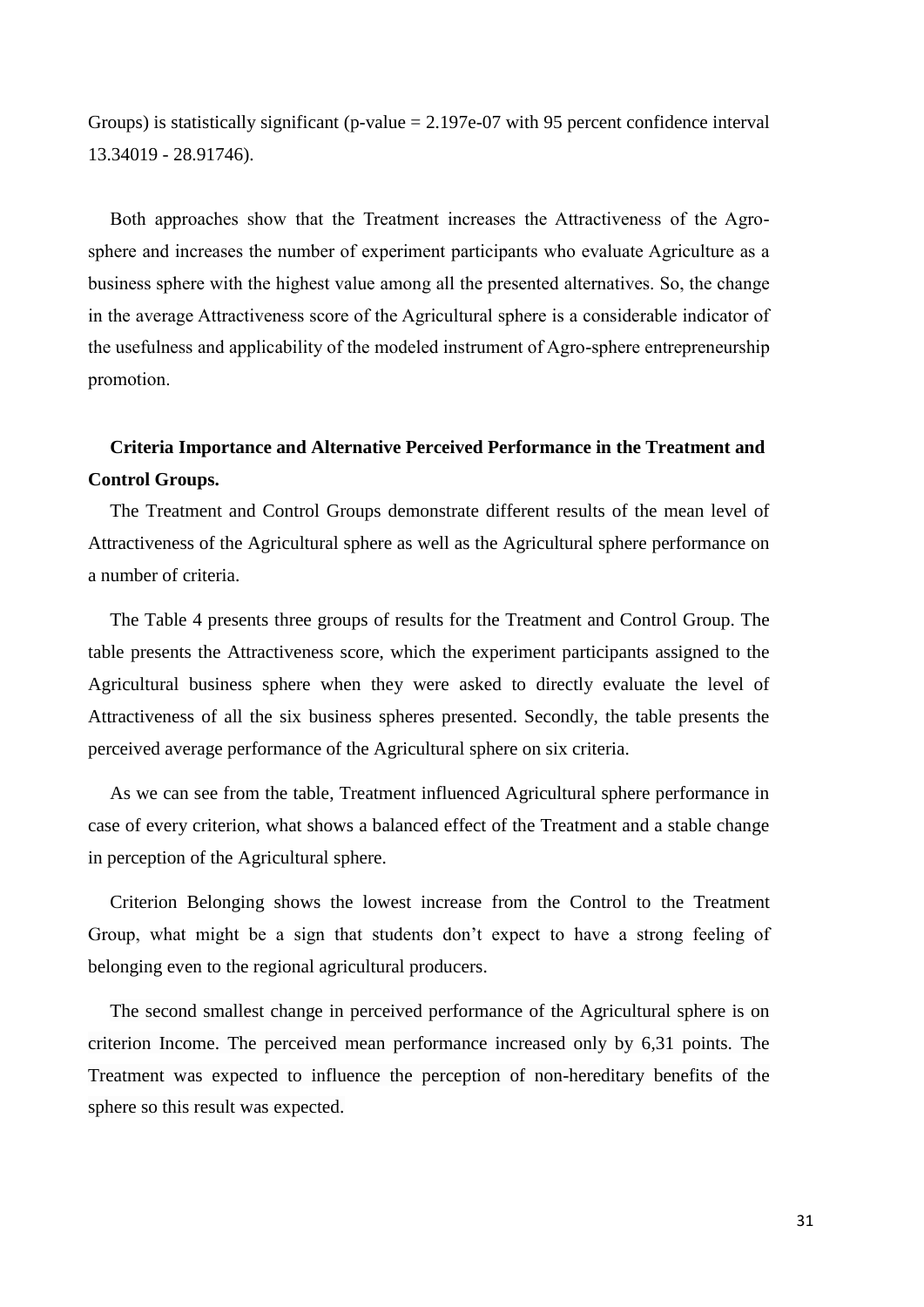Groups) is statistically significant (p-value  $= 2.197e-07$  with 95 percent confidence interval 13.34019 - 28.91746).

Both approaches show that the Treatment increases the Attractiveness of the Agrosphere and increases the number of experiment participants who evaluate Agriculture as a business sphere with the highest value among all the presented alternatives. So, the change in the average Attractiveness score of the Agricultural sphere is a considerable indicator of the usefulness and applicability of the modeled instrument of Agro-sphere entrepreneurship promotion.

### **Criteria Importance and Alternative Perceived Performance in the Treatment and Control Groups.**

The Treatment and Control Groups demonstrate different results of the mean level of Attractiveness of the Agricultural sphere as well as the Agricultural sphere performance on a number of criteria.

The Table 4 presents three groups of results for the Treatment and Control Group. The table presents the Attractiveness score, which the experiment participants assigned to the Agricultural business sphere when they were asked to directly evaluate the level of Attractiveness of all the six business spheres presented. Secondly, the table presents the perceived average performance of the Agricultural sphere on six criteria.

As we can see from the table, Treatment influenced Agricultural sphere performance in case of every criterion, what shows a balanced effect of the Treatment and a stable change in perception of the Agricultural sphere.

Criterion Belonging shows the lowest increase from the Control to the Treatment Group, what might be a sign that students don't expect to have a strong feeling of belonging even to the regional agricultural producers.

The second smallest change in perceived performance of the Agricultural sphere is on criterion Income. The perceived mean performance increased only by 6,31 points. The Treatment was expected to influence the perception of non-hereditary benefits of the sphere so this result was expected.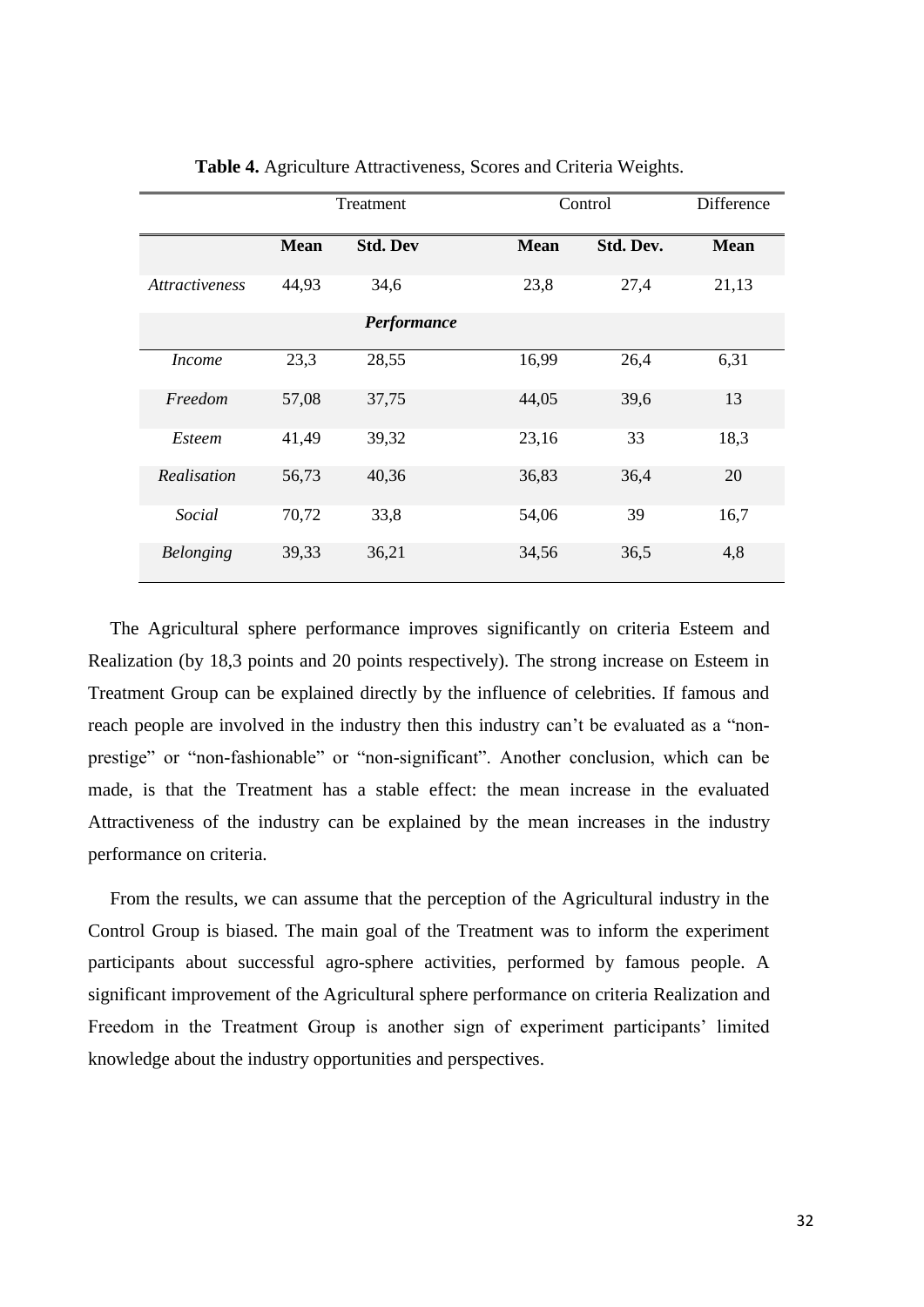|                       | Treatment   |                 |             | Control   |             |
|-----------------------|-------------|-----------------|-------------|-----------|-------------|
|                       | <b>Mean</b> | <b>Std. Dev</b> | <b>Mean</b> | Std. Dev. | <b>Mean</b> |
| <i>Attractiveness</i> | 44,93       | 34,6            | 23,8        | 27,4      | 21,13       |
|                       |             | Performance     |             |           |             |
| <i>Income</i>         | 23,3        | 28,55           | 16,99       | 26,4      | 6,31        |
| Freedom               | 57,08       | 37,75           | 44,05       | 39,6      | 13          |
| <i>Esteem</i>         | 41,49       | 39,32           | 23,16       | 33        | 18,3        |
| Realisation           | 56,73       | 40,36           | 36,83       | 36,4      | 20          |
| Social                | 70,72       | 33,8            | 54,06       | 39        | 16,7        |
| <b>Belonging</b>      | 39,33       | 36,21           | 34,56       | 36,5      | 4,8         |

**Table 4.** Agriculture Attractiveness, Scores and Criteria Weights.

The Agricultural sphere performance improves significantly on criteria Esteem and Realization (by 18,3 points and 20 points respectively). The strong increase on Esteem in Treatment Group can be explained directly by the influence of celebrities. If famous and reach people are involved in the industry then this industry can't be evaluated as a "nonprestige" or "non-fashionable" or "non-significant". Another conclusion, which can be made, is that the Treatment has a stable effect: the mean increase in the evaluated Attractiveness of the industry can be explained by the mean increases in the industry performance on criteria.

From the results, we can assume that the perception of the Agricultural industry in the Control Group is biased. The main goal of the Treatment was to inform the experiment participants about successful agro-sphere activities, performed by famous people. A significant improvement of the Agricultural sphere performance on criteria Realization and Freedom in the Treatment Group is another sign of experiment participants' limited knowledge about the industry opportunities and perspectives.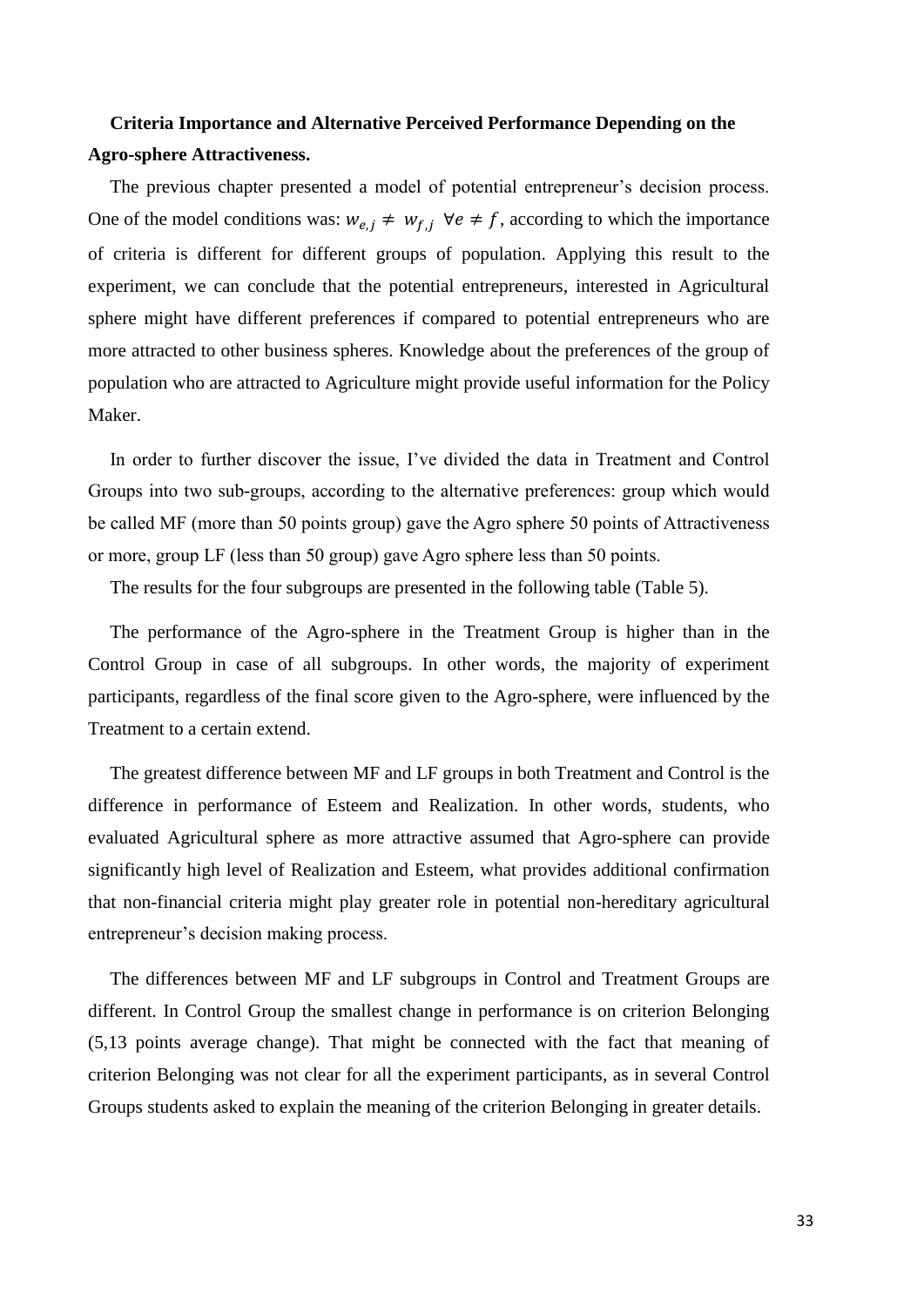### **Criteria Importance and Alternative Perceived Performance Depending on the Agro-sphere Attractiveness.**

The previous chapter presented a model of potential entrepreneur's decision process. One of the model conditions was:  $w_{e,i} \neq w_{f,i}$   $\forall e \neq f$ , according to which the importance of criteria is different for different groups of population. Applying this result to the experiment, we can conclude that the potential entrepreneurs, interested in Agricultural sphere might have different preferences if compared to potential entrepreneurs who are more attracted to other business spheres. Knowledge about the preferences of the group of population who are attracted to Agriculture might provide useful information for the Policy Maker.

In order to further discover the issue, I've divided the data in Treatment and Control Groups into two sub-groups, according to the alternative preferences: group which would be called MF (more than 50 points group) gave the Agro sphere 50 points of Attractiveness or more, group LF (less than 50 group) gave Agro sphere less than 50 points.

The results for the four subgroups are presented in the following table (Table 5).

The performance of the Agro-sphere in the Treatment Group is higher than in the Control Group in case of all subgroups. In other words, the majority of experiment participants, regardless of the final score given to the Agro-sphere, were influenced by the Treatment to a certain extend.

The greatest difference between MF and LF groups in both Treatment and Control is the difference in performance of Esteem and Realization. In other words, students, who evaluated Agricultural sphere as more attractive assumed that Agro-sphere can provide significantly high level of Realization and Esteem, what provides additional confirmation that non-financial criteria might play greater role in potential non-hereditary agricultural entrepreneur's decision making process.

The differences between MF and LF subgroups in Control and Treatment Groups are different. In Control Group the smallest change in performance is on criterion Belonging (5,13 points average change). That might be connected with the fact that meaning of criterion Belonging was not clear for all the experiment participants, as in several Control Groups students asked to explain the meaning of the criterion Belonging in greater details.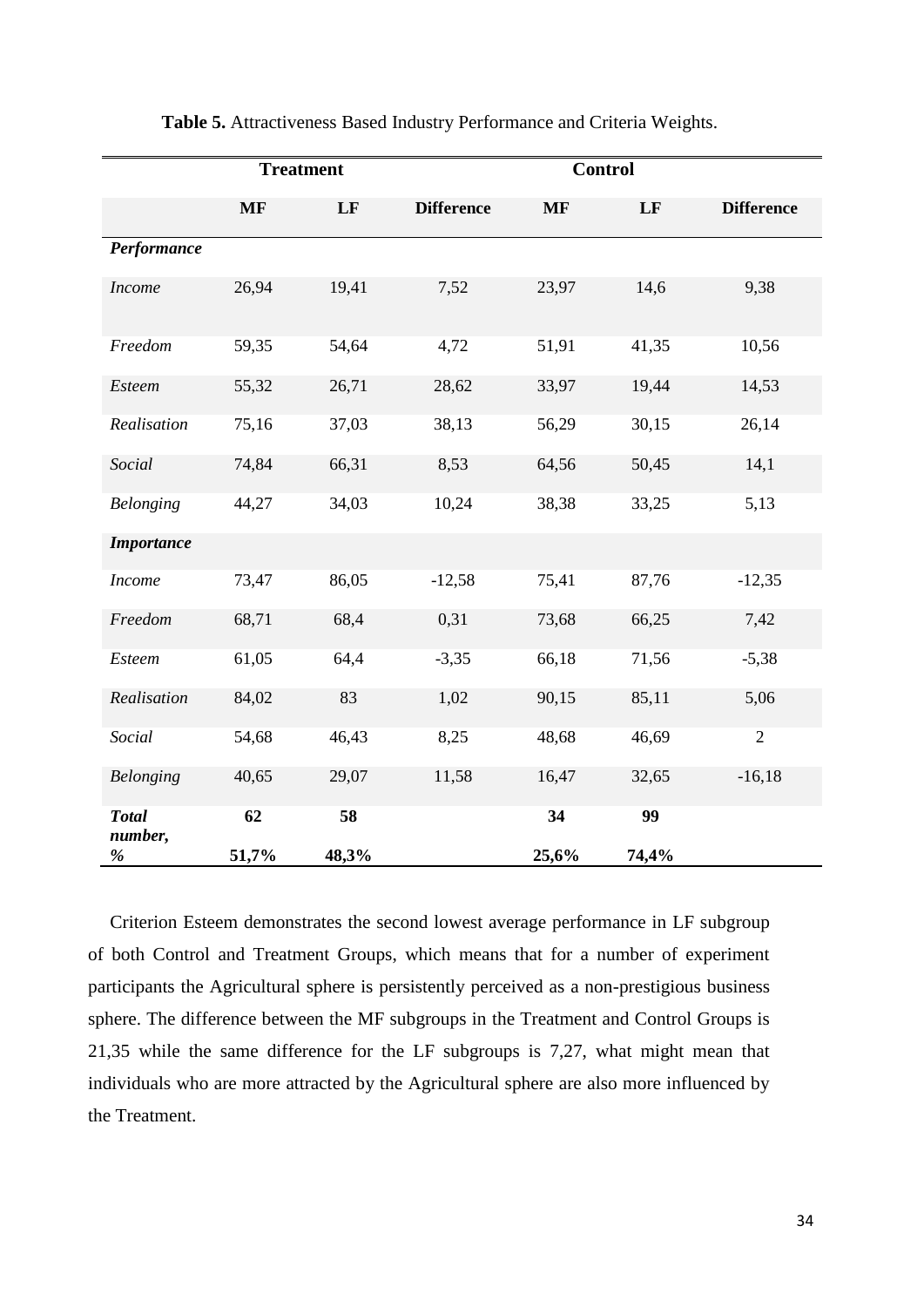|                         |           | <b>Treatment</b> |                   | <b>Control</b> |       |                   |  |
|-------------------------|-----------|------------------|-------------------|----------------|-------|-------------------|--|
|                         | <b>MF</b> | LF               | <b>Difference</b> | <b>MF</b>      | LF    | <b>Difference</b> |  |
| Performance             |           |                  |                   |                |       |                   |  |
| <b>Income</b>           | 26,94     | 19,41            | 7,52              | 23,97          | 14,6  | 9,38              |  |
| Freedom                 | 59,35     | 54,64            | 4,72              | 51,91          | 41,35 | 10,56             |  |
| <b>Esteem</b>           | 55,32     | 26,71            | 28,62             | 33,97          | 19,44 | 14,53             |  |
| Realisation             | 75,16     | 37,03            | 38,13             | 56,29          | 30,15 | 26,14             |  |
| Social                  | 74,84     | 66,31            | 8,53              | 64,56          | 50,45 | 14,1              |  |
| <b>Belonging</b>        | 44,27     | 34,03            | 10,24             | 38,38          | 33,25 | 5,13              |  |
| <b>Importance</b>       |           |                  |                   |                |       |                   |  |
| <b>Income</b>           | 73,47     | 86,05            | $-12,58$          | 75,41          | 87,76 | $-12,35$          |  |
| Freedom                 | 68,71     | 68,4             | 0,31              | 73,68          | 66,25 | 7,42              |  |
| Esteem                  | 61,05     | 64,4             | $-3,35$           | 66,18          | 71,56 | $-5,38$           |  |
| Realisation             | 84,02     | 83               | 1,02              | 90,15          | 85,11 | 5,06              |  |
| Social                  | 54,68     | 46,43            | 8,25              | 48,68          | 46,69 | $\sqrt{2}$        |  |
| <b>Belonging</b>        | 40,65     | 29,07            | 11,58             | 16,47          | 32,65 | $-16,18$          |  |
| <b>Total</b><br>number, | 62        | 58               |                   | 34             | 99    |                   |  |
| $\%$                    | 51,7%     | 48,3%            |                   | 25,6%          | 74,4% |                   |  |

#### **Table 5.** Attractiveness Based Industry Performance and Criteria Weights.

Criterion Esteem demonstrates the second lowest average performance in LF subgroup of both Control and Treatment Groups, which means that for a number of experiment participants the Agricultural sphere is persistently perceived as a non-prestigious business sphere. The difference between the MF subgroups in the Treatment and Control Groups is 21,35 while the same difference for the LF subgroups is 7,27, what might mean that individuals who are more attracted by the Agricultural sphere are also more influenced by the Treatment.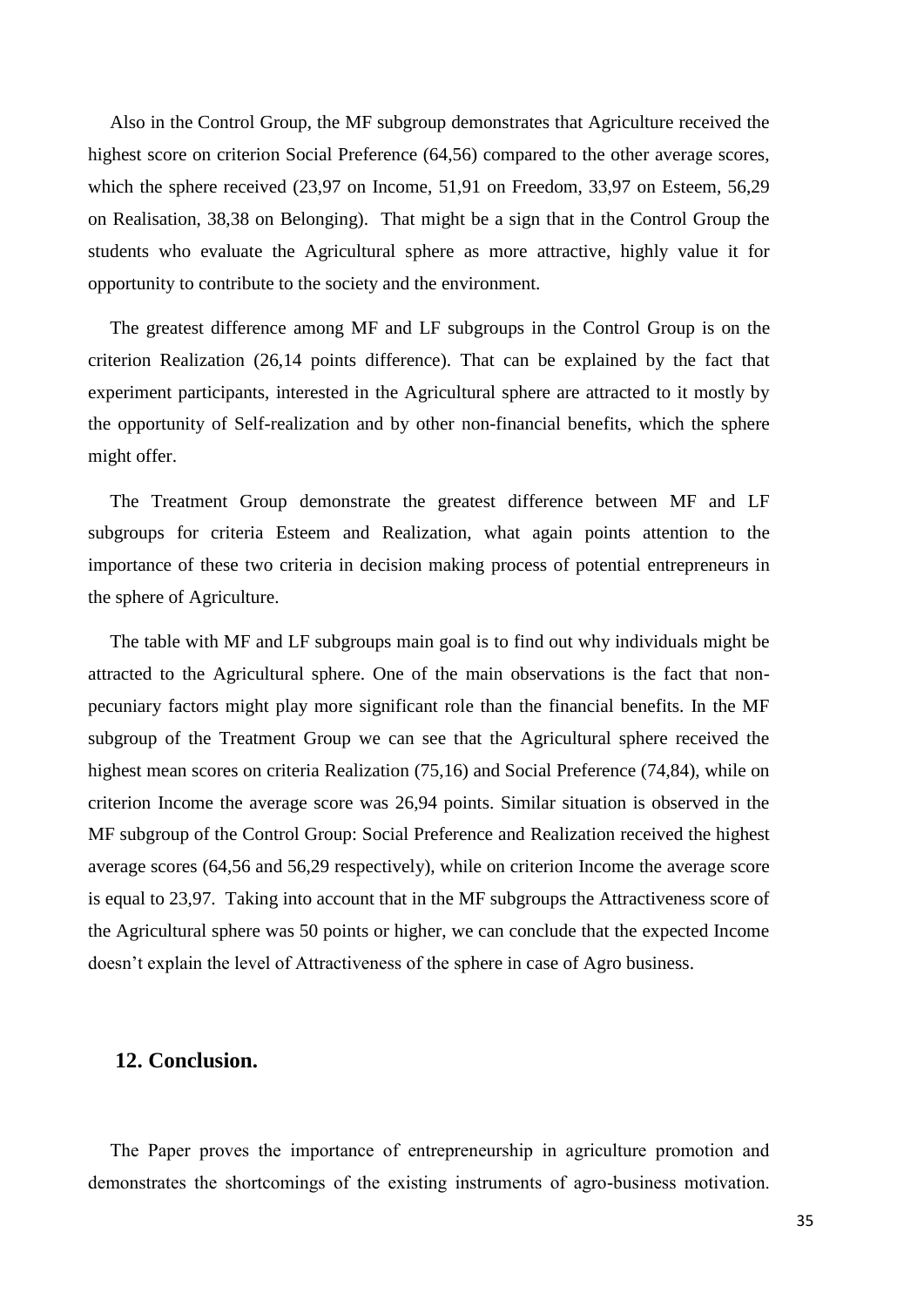Also in the Control Group, the MF subgroup demonstrates that Agriculture received the highest score on criterion Social Preference (64,56) compared to the other average scores, which the sphere received (23,97 on Income, 51,91 on Freedom, 33,97 on Esteem, 56,29 on Realisation, 38,38 on Belonging). That might be a sign that in the Control Group the students who evaluate the Agricultural sphere as more attractive, highly value it for opportunity to contribute to the society and the environment.

The greatest difference among MF and LF subgroups in the Control Group is on the criterion Realization (26,14 points difference). That can be explained by the fact that experiment participants, interested in the Agricultural sphere are attracted to it mostly by the opportunity of Self-realization and by other non-financial benefits, which the sphere might offer.

The Treatment Group demonstrate the greatest difference between MF and LF subgroups for criteria Esteem and Realization, what again points attention to the importance of these two criteria in decision making process of potential entrepreneurs in the sphere of Agriculture.

The table with MF and LF subgroups main goal is to find out why individuals might be attracted to the Agricultural sphere. One of the main observations is the fact that nonpecuniary factors might play more significant role than the financial benefits. In the MF subgroup of the Treatment Group we can see that the Agricultural sphere received the highest mean scores on criteria Realization (75,16) and Social Preference (74,84), while on criterion Income the average score was 26,94 points. Similar situation is observed in the MF subgroup of the Control Group: Social Preference and Realization received the highest average scores (64,56 and 56,29 respectively), while on criterion Income the average score is equal to 23,97. Taking into account that in the MF subgroups the Attractiveness score of the Agricultural sphere was 50 points or higher, we can conclude that the expected Income doesn't explain the level of Attractiveness of the sphere in case of Agro business.

#### **12. Conclusion.**

The Paper proves the importance of entrepreneurship in agriculture promotion and demonstrates the shortcomings of the existing instruments of agro-business motivation.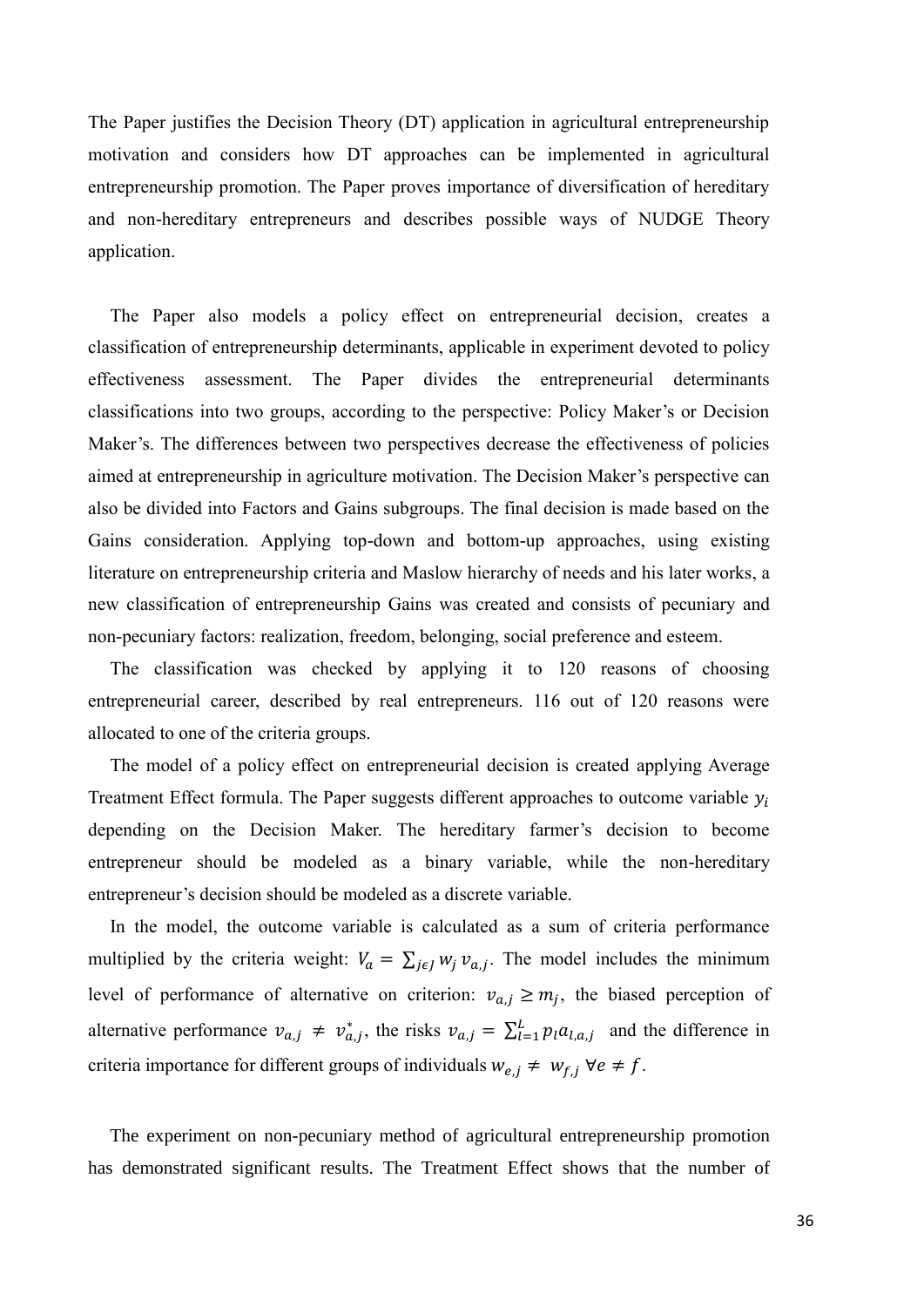The Paper justifies the Decision Theory (DT) application in agricultural entrepreneurship motivation and considers how DT approaches can be implemented in agricultural entrepreneurship promotion. The Paper proves importance of diversification of hereditary and non-hereditary entrepreneurs and describes possible ways of NUDGE Theory application.

The Paper also models a policy effect on entrepreneurial decision, creates a classification of entrepreneurship determinants, applicable in experiment devoted to policy effectiveness assessment. The Paper divides the entrepreneurial determinants classifications into two groups, according to the perspective: Policy Maker's or Decision Maker's. The differences between two perspectives decrease the effectiveness of policies aimed at entrepreneurship in agriculture motivation. The Decision Maker's perspective can also be divided into Factors and Gains subgroups. The final decision is made based on the Gains consideration. Applying top-down and bottom-up approaches, using existing literature on entrepreneurship criteria and Maslow hierarchy of needs and his later works, a new classification of entrepreneurship Gains was created and consists of pecuniary and non-pecuniary factors: realization, freedom, belonging, social preference and esteem.

The classification was checked by applying it to 120 reasons of choosing entrepreneurial career, described by real entrepreneurs. 116 out of 120 reasons were allocated to one of the criteria groups.

The model of a policy effect on entrepreneurial decision is created applying Average Treatment Effect formula. The Paper suggests different approaches to outcome variable  $y_i$ depending on the Decision Maker. The hereditary farmer's decision to become entrepreneur should be modeled as a binary variable, while the non-hereditary entrepreneur's decision should be modeled as a discrete variable.

In the model, the outcome variable is calculated as a sum of criteria performance multiplied by the criteria weight:  $V_a = \sum_{j \in J} w_j v_{a,j}$ . The model includes the minimum level of performance of alternative on criterion:  $v_{a,j} \ge m_j$ , the biased perception of alternative performance  $v_{a,j} \neq v_{a,j}^*$ , the risks  $v_{a,j} = \sum_{l=1}^L p_l a_{l,a,j}$  and the difference in criteria importance for different groups of individuals  $w_{e,j} \neq w_{f,j}$   $\forall e \neq f$ .

The experiment on non-pecuniary method of agricultural entrepreneurship promotion has demonstrated significant results. The Treatment Effect shows that the number of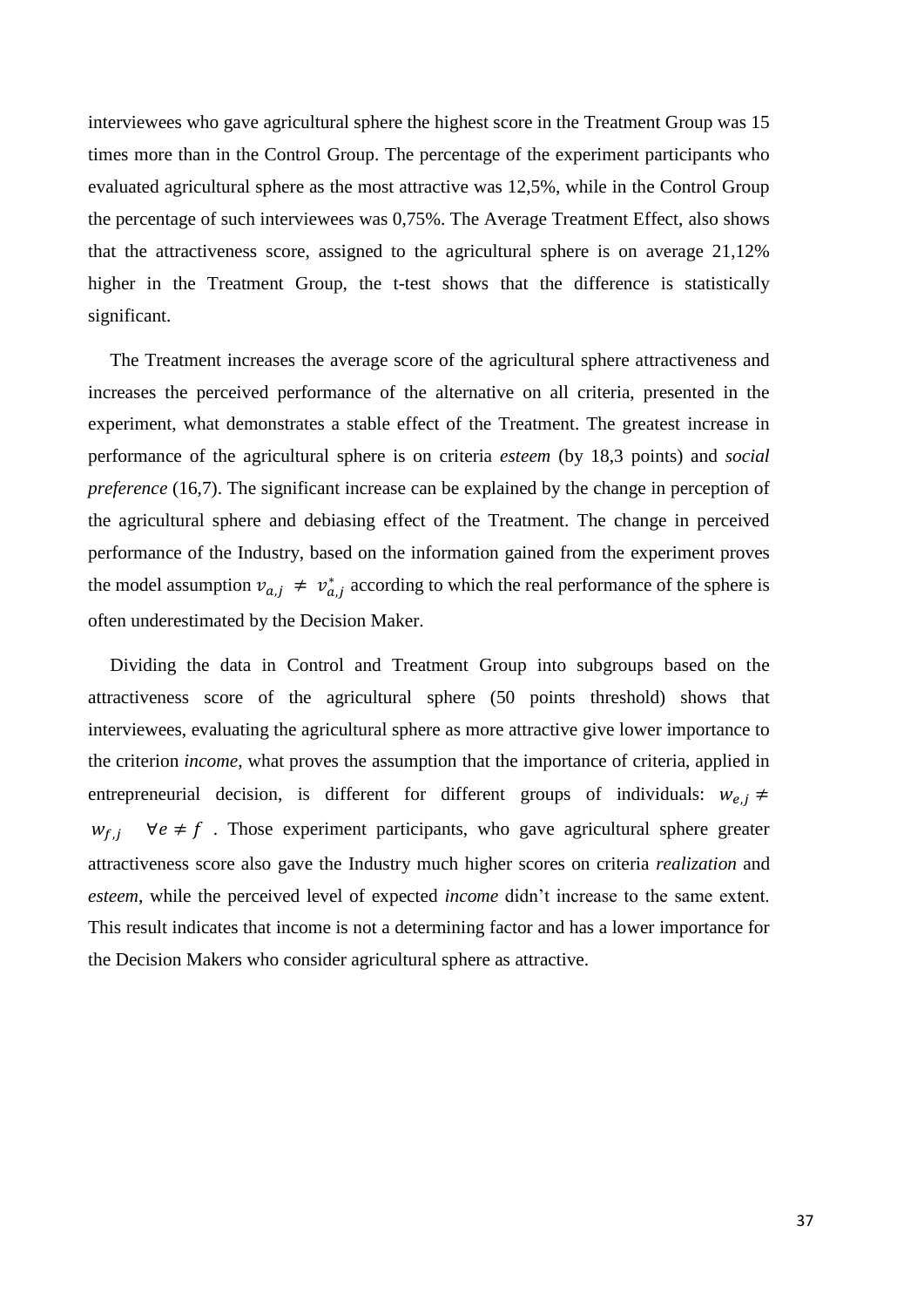interviewees who gave agricultural sphere the highest score in the Treatment Group was 15 times more than in the Control Group. The percentage of the experiment participants who evaluated agricultural sphere as the most attractive was 12,5%, while in the Control Group the percentage of such interviewees was 0,75%. The Average Treatment Effect, also shows that the attractiveness score, assigned to the agricultural sphere is on average 21,12% higher in the Treatment Group, the t-test shows that the difference is statistically significant.

The Treatment increases the average score of the agricultural sphere attractiveness and increases the perceived performance of the alternative on all criteria, presented in the experiment, what demonstrates a stable effect of the Treatment. The greatest increase in performance of the agricultural sphere is on criteria *esteem* (by 18,3 points) and *social preference* (16,7). The significant increase can be explained by the change in perception of the agricultural sphere and debiasing effect of the Treatment. The change in perceived performance of the Industry, based on the information gained from the experiment proves the model assumption  $v_{a,j} \neq v_{a,j}^*$  according to which the real performance of the sphere is often underestimated by the Decision Maker.

Dividing the data in Control and Treatment Group into subgroups based on the attractiveness score of the agricultural sphere (50 points threshold) shows that interviewees, evaluating the agricultural sphere as more attractive give lower importance to the criterion *income*, what proves the assumption that the importance of criteria, applied in entrepreneurial decision, is different for different groups of individuals:  $w_{e,i} \neq$  $w_{f,i}$   $\forall e \neq f$ . Those experiment participants, who gave agricultural sphere greater attractiveness score also gave the Industry much higher scores on criteria *realization* and *esteem*, while the perceived level of expected *income* didn't increase to the same extent. This result indicates that income is not a determining factor and has a lower importance for the Decision Makers who consider agricultural sphere as attractive.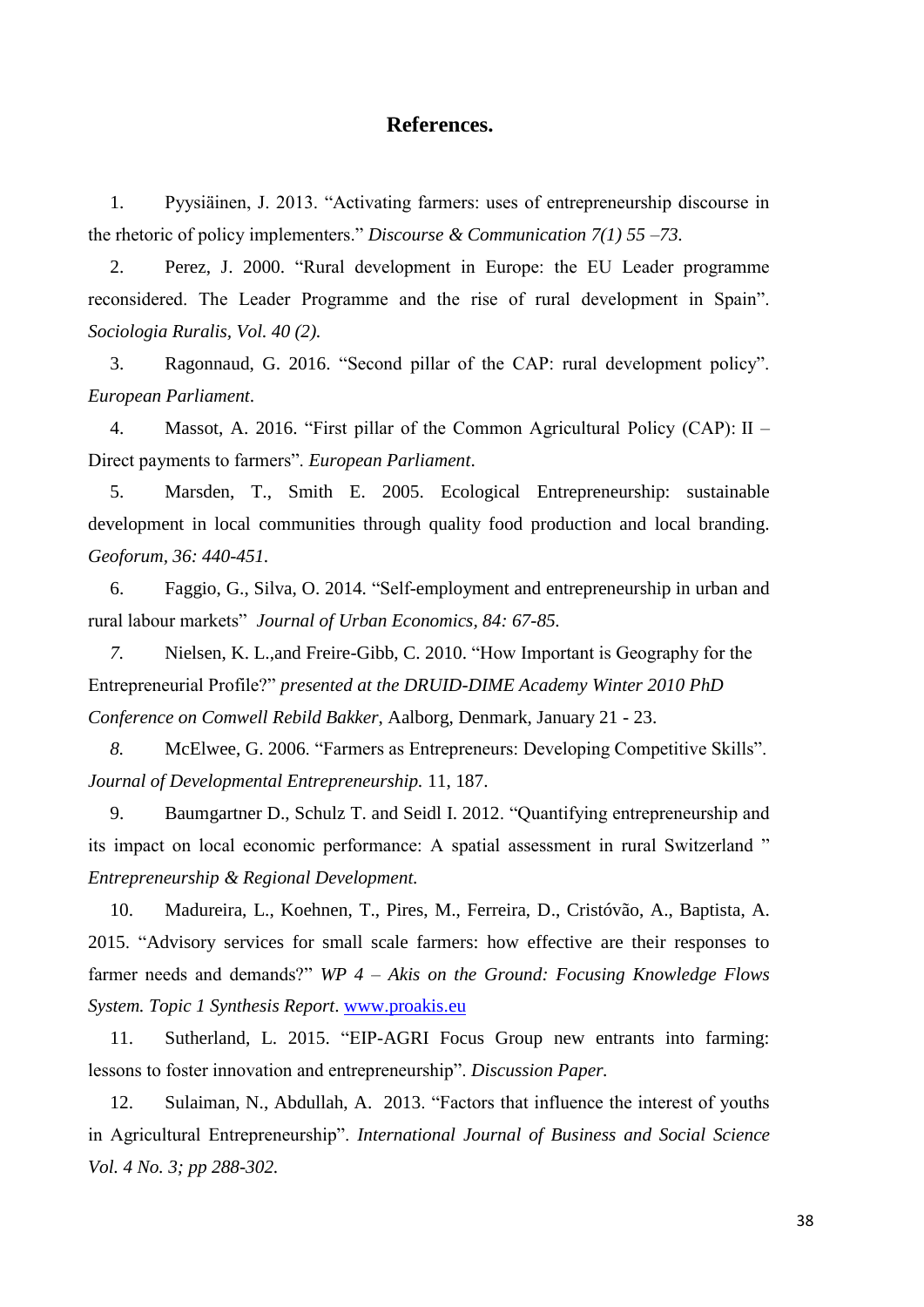#### **References.**

1. Pyysiäinen, J. 2013. "Activating farmers: uses of entrepreneurship discourse in the rhetoric of policy implementers." *Discourse & Communication 7(1) 55 –73.*

2. Perez, J. 2000. "Rural development in Europe: the EU Leader programme reconsidered. The Leader Programme and the rise of rural development in Spain". *Sociologia Ruralis, Vol. 40 (2).*

3. Ragonnaud, G. 2016. "Second pillar of the CAP: rural development policy". *European Parliament*.

4. Massot, A. 2016. "First pillar of the Common Agricultural Policy (CAP): II – Direct payments to farmers". *European Parliament*.

5. Marsden, T., Smith E. 2005. Ecological Entrepreneurship: sustainable development in local communities through quality food production and local branding. *Geoforum, 36: 440-451.*

6. Faggio, G., Silva, O. 2014. "Self-employment and entrepreneurship in urban and rural labour markets" *Journal of Urban Economics, 84: 67-85.*

*7.* Nielsen, K. L.,and Freire-Gibb, C. 2010. "How Important is Geography for the Entrepreneurial Profile?" *presented at the DRUID-DIME Academy Winter 2010 PhD Conference on Comwell Rebild Bakker*, Aalborg, Denmark, January 21 - 23.

*8.* McElwee, G. 2006. "Farmers as Entrepreneurs: Developing Competitive Skills". *[Journal of Developmental Entrepreneurship.](http://www.worldscientific.com/worldscinet/jde)* 11, 187.

9. Baumgartner D., Schulz T. and Seidl I. 2012. "Quantifying entrepreneurship and its impact on local economic performance: A spatial assessment in rural Switzerland " *Entrepreneurship & Regional Development.*

10. Madureira, L., Koehnen, T., Pires, M., Ferreira, D., Cristóvão, A., Baptista, A. 2015. "Advisory services for small scale farmers: how effective are their responses to farmer needs and demands?" *WP 4 – Akis on the Ground: Focusing Knowledge Flows System. Topic 1 Synthesis Report*. [www.proakis.eu](http://www.proakis.eu/)

11. Sutherland, L. 2015. "EIP-AGRI Focus Group new entrants into farming: lessons to foster innovation and entrepreneurship". *Discussion Paper.*

12. Sulaiman, N., Abdullah, A. 2013. "Factors that influence the interest of youths in Agricultural Entrepreneurship". *International Journal of Business and Social Science Vol. 4 No. 3; pp 288-302.*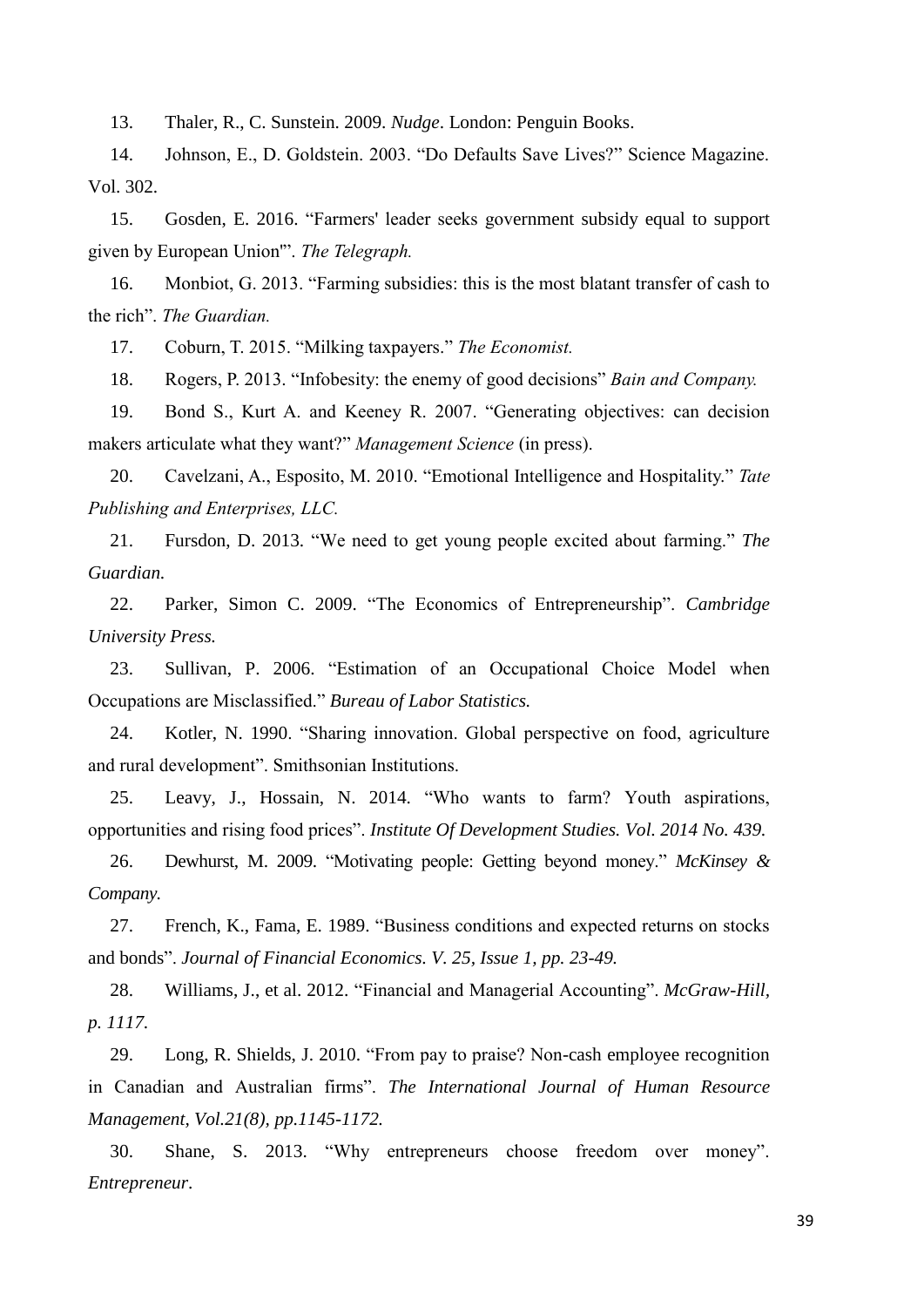13. Thaler, R., C. Sunstein. 2009. *Nudge*. London: Penguin Books.

14. Johnson, E., D. Goldstein. 2003. "Do Defaults Save Lives?" Science Magazine. Vol. 302.

15. Gosden, E. 2016. "Farmers' leader seeks government subsidy equal to support given by European Union'". *The Telegraph.*

16. Monbiot, G. 2013. "Farming subsidies: this is the most blatant transfer of cash to the rich". *The Guardian.*

17. Coburn, T. 2015. "Milking taxpayers." *The Economist.*

18. Rogers, P. 2013. "Infobesity: the enemy of good decisions" *Bain and Company.*

19. Bond S., Kurt A. and Keeney R. 2007. "Generating objectives: can decision makers articulate what they want?" *Management Science* (in press).

20. Cavelzani, A., Esposito, M. 2010. "Emotional Intelligence and Hospitality." *Tate Publishing and Enterprises, LLC.* 

21. Fursdon, D. 2013. "We need to get young people excited about farming." *The Guardian.*

22. Parker, Simon C. 2009. "The Economics of Entrepreneurship". *Cambridge University Press.*

23. Sullivan, P. 2006. "Estimation of an Occupational Choice Model when Occupations are Misclassified." *Bureau of Labor Statistics.*

24. Kotler, N. 1990. "Sharing innovation. Global perspective on food, agriculture and rural development". Smithsonian Institutions.

25. Leavy, J., Hossain, N. 2014. "Who wants to farm? Youth aspirations, opportunities and rising food prices". *Institute Of Development Studies. Vol. 2014 No. 439.*

26. Dewhurst, M. 2009. "Motivating people: Getting beyond money." *McKinsey & Company.*

27. French, K., Fama, E. 1989. "Business conditions and expected returns on stocks and bonds". *[Journal of Financial Economics.](http://www.sciencedirect.com/science/journal/0304405X) [V. 25, Issue 1,](http://www.sciencedirect.com/science/journal/0304405X/25/1) pp. 23-49.*

28. Williams, J., et al. 2012. "Financial and Managerial Accounting". *McGraw-Hill, p. 1117.*

29. Long, R. Shields, J. 2010. "From pay to praise? Non-cash employee recognition in Canadian and Australian firms". *The International Journal of Human Resource Management, Vol.21(8), pp.1145-1172.*

30. Shane, S. 2013. "Why entrepreneurs choose freedom over money". *Entrepreneur*.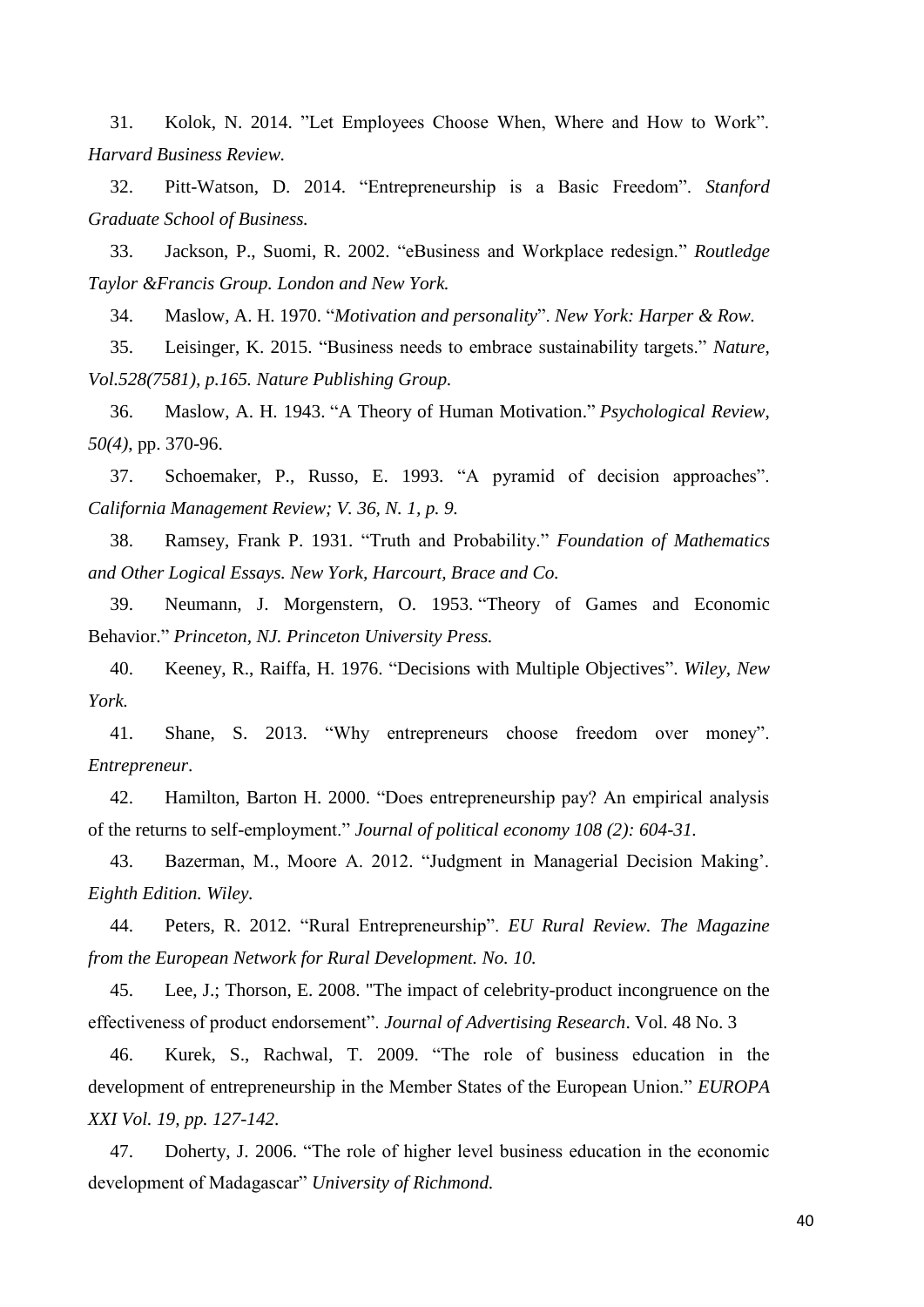31. Kolok, N. 2014. "Let Employees Choose When, Where and How to Work". *Harvard Business Review.*

32. Pitt-Watson, D. 2014. "Entrepreneurship is a Basic Freedom". *Stanford Graduate School of Business.*

33. Jackson, P., Suomi, R. 2002. "eBusiness and Workplace redesign." *Routledge Taylor &Francis Group. London and New York.*

34. Maslow, A. H. 1970. "*Motivation and personality*". *New York: Harper & Row.*

35. Leisinger, K. 2015. "Business needs to embrace sustainability targets." *Nature, Vol.528(7581), p.165. Nature Publishing Group.*

36. Maslow, A. H. 1943. ["A Theory of Human Motivation.](http://psychclassics.yorku.ca/Maslow/motivation.htm)" *Psychological Review, 50(4)*, pp. 370-96.

37. Schoemaker, P., Russo, E. 1993. "A pyramid of decision approaches". *California Management Review; V. 36, N. 1, p. 9.*

38. Ramsey, Frank P. 1931. "Truth and Probability." *Foundation of Mathematics and Other Logical Essays. New York, Harcourt, Brace and Co.*

39. Neumann, J. Morgenstern, O. 1953. ["Theory of Games and Economic](https://en.wikipedia.org/wiki/Theory_of_Games_and_Economic_Behavior)  [Behavior.](https://en.wikipedia.org/wiki/Theory_of_Games_and_Economic_Behavior)" *Princeton, NJ. Princeton University Press.*

40. Keeney, R., Raiffa, H. 1976. "Decisions with Multiple Objectives". *Wiley, New York.*

41. Shane, S. 2013. "Why entrepreneurs choose freedom over money". *Entrepreneur*.

42. Hamilton, Barton H. 2000. "Does entrepreneurship pay? An empirical analysis of the returns to self-employment." *Journal of political economy 108 (2): 604-31.*

43. Bazerman, M., Moore A. 2012. "Judgment in Managerial Decision Making'. *Eighth Edition. Wiley.*

44. Peters, R. 2012. "Rural Entrepreneurship". *EU Rural Review. The Magazine from the European Network for Rural Development. No. 10.*

45. Lee, J.; Thorson, E. 2008. "The impact of celebrity-product incongruence on the effectiveness of product endorsement". *Journal of Advertising Research*. Vol. 48 No. 3

46. Kurek, S., Rachwal, T. 2009. "The role of business education in the development of entrepreneurship in the Member States of the European Union." *EUROPA XXI Vol. 19, pp. 127-142.*

47. Doherty, J. 2006. "The role of higher level business education in the economic development of Madagascar" *University of Richmond.*